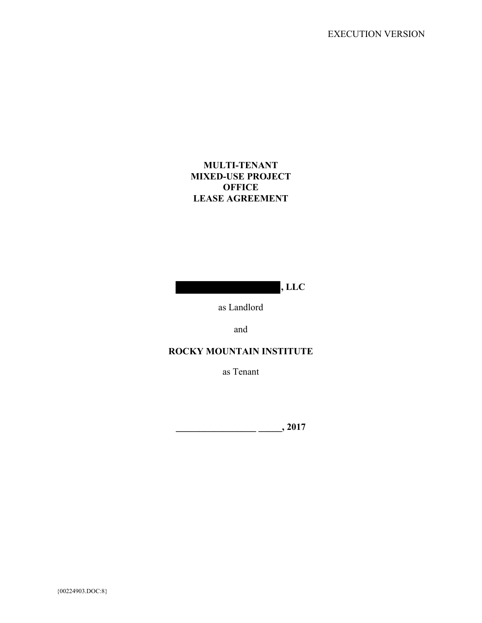# **MULTI-TENANT MIXED-USE PROJECT OFFICE LEASE AGREEMENT**

**, LLC** 

as Landlord

and

# **ROCKY MOUNTAIN INSTITUTE**

as Tenant

**\_\_\_\_\_\_\_\_\_\_\_\_\_\_\_\_\_ \_\_\_\_\_, 2017**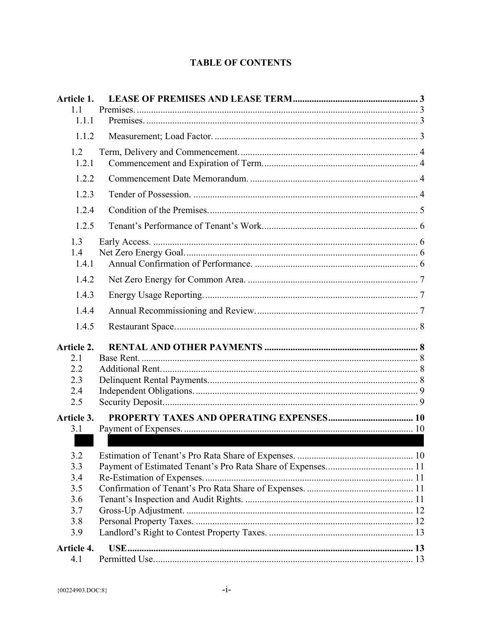# **TABLE OF CONTENTS**

| Article 1.   |  |  |
|--------------|--|--|
| 1.1          |  |  |
| 1.1.1        |  |  |
| 1.1.2        |  |  |
| 1.2<br>1.2.1 |  |  |
| 1.2.2        |  |  |
|              |  |  |
| 1.2.3        |  |  |
| 1.2.4        |  |  |
| 1.2.5        |  |  |
| 1.3          |  |  |
| 1.4          |  |  |
| 1.4.1        |  |  |
| 1.4.2        |  |  |
| 1.4.3        |  |  |
| 1.4.4        |  |  |
| 1.4.5        |  |  |
| Article 2.   |  |  |
| 2.1          |  |  |
| 2.2          |  |  |
| 2.3          |  |  |
| 2.4          |  |  |
| 2.5          |  |  |
| Article 3.   |  |  |
| 3.1          |  |  |
|              |  |  |
| 3.2<br>3.3   |  |  |
| 3.4          |  |  |
| 3.5          |  |  |
| 3.6          |  |  |
| 3.7          |  |  |
| 3.8          |  |  |
| 3.9          |  |  |
| Article 4.   |  |  |
| 4.1          |  |  |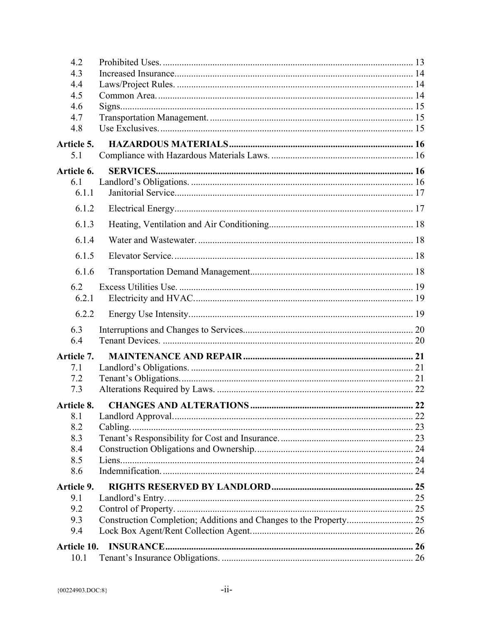| 4.2               |  |  |  |  |
|-------------------|--|--|--|--|
| 4.3               |  |  |  |  |
| 4.4               |  |  |  |  |
| 4.5               |  |  |  |  |
| 4.6               |  |  |  |  |
| 4.7<br>4.8        |  |  |  |  |
|                   |  |  |  |  |
| Article 5.<br>5.1 |  |  |  |  |
| Article 6.        |  |  |  |  |
| 6.1               |  |  |  |  |
| 6.1.1             |  |  |  |  |
| 6.1.2             |  |  |  |  |
| 6.1.3             |  |  |  |  |
| 6.1.4             |  |  |  |  |
| 6.1.5             |  |  |  |  |
| 6.1.6             |  |  |  |  |
| 6.2<br>6.2.1      |  |  |  |  |
|                   |  |  |  |  |
| 6.2.2             |  |  |  |  |
| 6.3<br>6.4        |  |  |  |  |
|                   |  |  |  |  |
| Article 7.<br>7.1 |  |  |  |  |
| 7.2               |  |  |  |  |
| 7.3               |  |  |  |  |
| Article 8.        |  |  |  |  |
| 8.1               |  |  |  |  |
| 8.2               |  |  |  |  |
| 8.3               |  |  |  |  |
| 8.4               |  |  |  |  |
| 8.5               |  |  |  |  |
| 8.6               |  |  |  |  |
| Article 9.        |  |  |  |  |
| 9.1               |  |  |  |  |
| 9.2               |  |  |  |  |
| 9.3               |  |  |  |  |
| 9.4               |  |  |  |  |
| Article 10.       |  |  |  |  |
| 10.1              |  |  |  |  |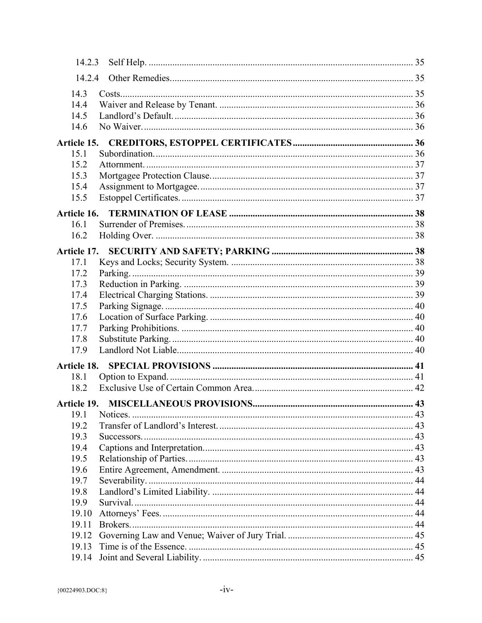| 14.2.3      |  |
|-------------|--|
| 14.2.4      |  |
| 14.3        |  |
| 14.4        |  |
| 14.5        |  |
| 14.6        |  |
| Article 15. |  |
| 15.1        |  |
| 15.2        |  |
| 15.3        |  |
| 15.4        |  |
| 15.5        |  |
| Article 16. |  |
| 16.1        |  |
| 16.2        |  |
| Article 17. |  |
| 17.1        |  |
| 17.2        |  |
| 17.3        |  |
| 17.4        |  |
| 17.5        |  |
| 17.6        |  |
| 17.7        |  |
| 17.8        |  |
| 17.9        |  |
| Article 18. |  |
| 18.1        |  |
| 18.2        |  |
|             |  |
| 19.1        |  |
| 19.2        |  |
| 19.3        |  |
| 19.4        |  |
| 19.5        |  |
| 19.6        |  |
| 19.7        |  |
| 19.8        |  |
| 19.9        |  |
| 19.10       |  |
| 19.11       |  |
| 19.12       |  |
| 19.13       |  |
| 19.14       |  |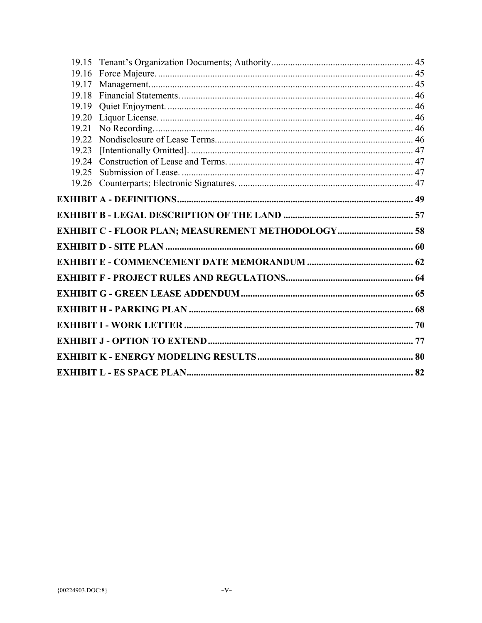| 19.15 |                                                    |  |
|-------|----------------------------------------------------|--|
| 19.16 |                                                    |  |
| 19.17 |                                                    |  |
| 19.18 |                                                    |  |
| 19.19 |                                                    |  |
| 19.20 |                                                    |  |
| 19.21 |                                                    |  |
| 19.22 |                                                    |  |
| 19.23 |                                                    |  |
| 19.24 |                                                    |  |
| 19.25 |                                                    |  |
|       |                                                    |  |
|       |                                                    |  |
|       |                                                    |  |
|       |                                                    |  |
|       | EXHIBIT C - FLOOR PLAN; MEASUREMENT METHODOLOGY 58 |  |
|       |                                                    |  |
|       |                                                    |  |
|       |                                                    |  |
|       |                                                    |  |
|       |                                                    |  |
|       |                                                    |  |
|       |                                                    |  |
|       |                                                    |  |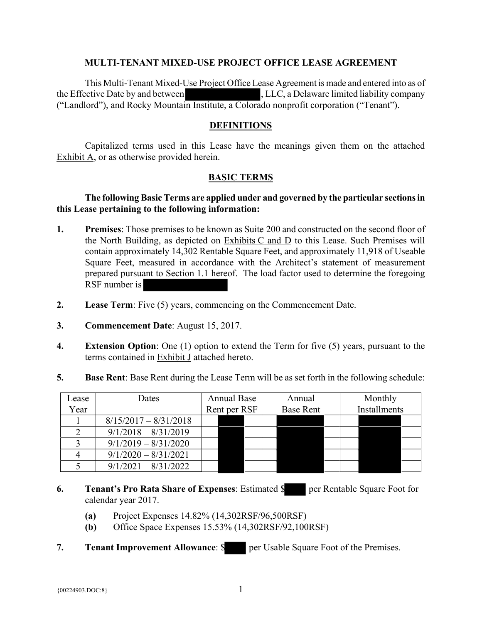### **MULTI-TENANT MIXED-USE PROJECT OFFICE LEASE AGREEMENT**

This Multi-Tenant Mixed-Use Project Office Lease Agreement is made and entered into as of the Effective Date by and between , LLC, a Delaware limited liability company ("Landlord"), and Rocky Mountain Institute, a Colorado nonprofit corporation ("Tenant").

### **DEFINITIONS**

 Capitalized terms used in this Lease have the meanings given them on the attached Exhibit A, or as otherwise provided herein.

# **BASIC TERMS**

### **The following Basic Terms are applied under and governed by the particular sections in this Lease pertaining to the following information:**

- **1. Premises**: Those premises to be known as Suite 200 and constructed on the second floor of the North Building, as depicted on Exhibits C and D to this Lease. Such Premises will contain approximately 14,302 Rentable Square Feet, and approximately 11,918 of Useable Square Feet, measured in accordance with the Architect's statement of measurement prepared pursuant to Section 1.1 hereof. The load factor used to determine the foregoing RSF number is
- **2. Lease Term**: Five (5) years, commencing on the Commencement Date.
- **3. Commencement Date**: August 15, 2017.
- **4. Extension Option**: One (1) option to extend the Term for five (5) years, pursuant to the terms contained in Exhibit J attached hereto.
- **5. Base Rent**: Base Rent during the Lease Term will be as set forth in the following schedule:

| Lease | Dates                   | <b>Annual Base</b> | Annual           | Monthly      |
|-------|-------------------------|--------------------|------------------|--------------|
| Year  |                         | Rent per RSF       | <b>Base Rent</b> | Installments |
|       | $8/15/2017 - 8/31/2018$ |                    |                  |              |
|       | $9/1/2018 - 8/31/2019$  |                    |                  |              |
|       | $9/1/2019 - 8/31/2020$  |                    |                  |              |
|       | $9/1/2020 - 8/31/2021$  |                    |                  |              |
|       | $9/1/2021 - 8/31/2022$  |                    |                  |              |

# **6. Tenant's Pro Rata Share of Expenses**: Estimated \$ per Rentable Square Foot for calendar year 2017.

- **(a)** Project Expenses 14.82% (14,302RSF/96,500RSF)
- **(b)** Office Space Expenses 15.53% (14,302RSF/92,100RSF)
- **7. Tenant Improvement Allowance: \$ per Usable Square Foot of the Premises.**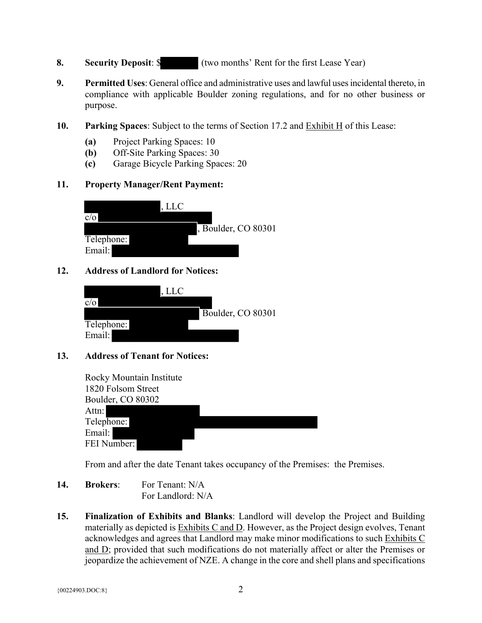- **8. Security Deposit**: \$ (two months' Rent for the first Lease Year)
- **9. Permitted Uses**: General office and administrative uses and lawful uses incidental thereto, in compliance with applicable Boulder zoning regulations, and for no other business or purpose.
- **10. Parking Spaces**: Subject to the terms of Section 17.2 and Exhibit H of this Lease:
	- **(a)** Project Parking Spaces: 10
	- **(b)** Off-Site Parking Spaces: 30
	- **(c)** Garage Bicycle Parking Spaces: 20

### **11. Property Manager/Rent Payment:**



# **12. Address of Landlord for Notices:**



# **13. Address of Tenant for Notices:**

| Rocky Mountain Institute |  |
|--------------------------|--|
| 1820 Folsom Street       |  |
| Boulder, CO 80302        |  |
| Attn:                    |  |
| Telephone:               |  |
| Email:                   |  |
| FEI Number:              |  |

From and after the date Tenant takes occupancy of the Premises: the Premises.

- **14. Brokers**: For Tenant: N/A For Landlord: N/A
- **15. Finalization of Exhibits and Blanks**: Landlord will develop the Project and Building materially as depicted is  $Exhibits C and D$ . However, as the Project design evolves, Tenant acknowledges and agrees that Landlord may make minor modifications to such Exhibits C and D; provided that such modifications do not materially affect or alter the Premises or jeopardize the achievement of NZE. A change in the core and shell plans and specifications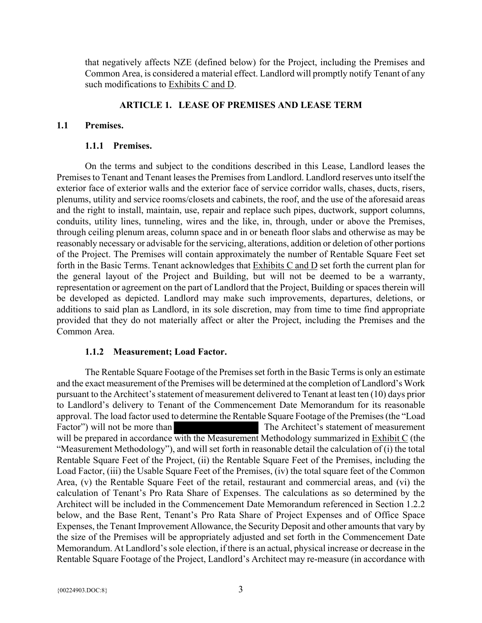that negatively affects NZE (defined below) for the Project, including the Premises and Common Area, is considered a material effect. Landlord will promptly notify Tenant of any such modifications to Exhibits C and D.

### **ARTICLE 1. LEASE OF PREMISES AND LEASE TERM**

### **1.1 Premises.**

### **1.1.1 Premises.**

On the terms and subject to the conditions described in this Lease, Landlord leases the Premises to Tenant and Tenant leases the Premises from Landlord. Landlord reserves unto itself the exterior face of exterior walls and the exterior face of service corridor walls, chases, ducts, risers, plenums, utility and service rooms/closets and cabinets, the roof, and the use of the aforesaid areas and the right to install, maintain, use, repair and replace such pipes, ductwork, support columns, conduits, utility lines, tunneling, wires and the like, in, through, under or above the Premises, through ceiling plenum areas, column space and in or beneath floor slabs and otherwise as may be reasonably necessary or advisable for the servicing, alterations, addition or deletion of other portions of the Project. The Premises will contain approximately the number of Rentable Square Feet set forth in the Basic Terms. Tenant acknowledges that Exhibits C and D set forth the current plan for the general layout of the Project and Building, but will not be deemed to be a warranty, representation or agreement on the part of Landlord that the Project, Building or spaces therein will be developed as depicted. Landlord may make such improvements, departures, deletions, or additions to said plan as Landlord, in its sole discretion, may from time to time find appropriate provided that they do not materially affect or alter the Project, including the Premises and the Common Area.

# **1.1.2 Measurement; Load Factor.**

The Rentable Square Footage of the Premises set forth in the Basic Terms is only an estimate and the exact measurement of the Premises will be determined at the completion of Landlord's Work pursuant to the Architect's statement of measurement delivered to Tenant at least ten (10) days prior to Landlord's delivery to Tenant of the Commencement Date Memorandum for its reasonable approval. The load factor used to determine the Rentable Square Footage of the Premises (the "Load Factor") will not be more than The Architect's statement of measurement will be prepared in accordance with the Measurement Methodology summarized in Exhibit C (the "Measurement Methodology"), and will set forth in reasonable detail the calculation of (i) the total Rentable Square Feet of the Project, (ii) the Rentable Square Feet of the Premises, including the Load Factor, (iii) the Usable Square Feet of the Premises, (iv) the total square feet of the Common Area, (v) the Rentable Square Feet of the retail, restaurant and commercial areas, and (vi) the calculation of Tenant's Pro Rata Share of Expenses. The calculations as so determined by the Architect will be included in the Commencement Date Memorandum referenced in Section 1.2.2 below, and the Base Rent, Tenant's Pro Rata Share of Project Expenses and of Office Space Expenses, the Tenant Improvement Allowance, the Security Deposit and other amounts that vary by the size of the Premises will be appropriately adjusted and set forth in the Commencement Date Memorandum. At Landlord's sole election, if there is an actual, physical increase or decrease in the Rentable Square Footage of the Project, Landlord's Architect may re-measure (in accordance with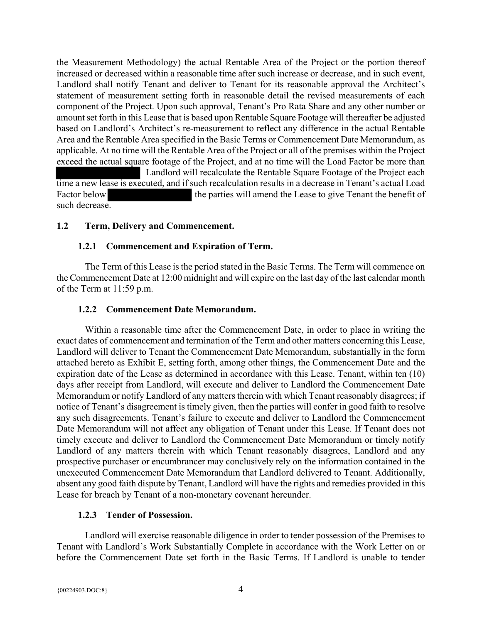the Measurement Methodology) the actual Rentable Area of the Project or the portion thereof increased or decreased within a reasonable time after such increase or decrease, and in such event, Landlord shall notify Tenant and deliver to Tenant for its reasonable approval the Architect's statement of measurement setting forth in reasonable detail the revised measurements of each component of the Project. Upon such approval, Tenant's Pro Rata Share and any other number or amount set forth in this Lease that is based upon Rentable Square Footage will thereafter be adjusted based on Landlord's Architect's re-measurement to reflect any difference in the actual Rentable Area and the Rentable Area specified in the Basic Terms or Commencement Date Memorandum, as applicable. At no time will the Rentable Area of the Project or all of the premises within the Project exceed the actual square footage of the Project, and at no time will the Load Factor be more than

 Landlord will recalculate the Rentable Square Footage of the Project each time a new lease is executed, and if such recalculation results in a decrease in Tenant's actual Load Factor below the parties will amend the Lease to give Tenant the benefit of such decrease.

# **1.2 Term, Delivery and Commencement.**

### **1.2.1 Commencement and Expiration of Term.**

The Term of this Lease is the period stated in the Basic Terms. The Term will commence on the Commencement Date at 12:00 midnight and will expire on the last day of the last calendar month of the Term at 11:59 p.m.

### **1.2.2 Commencement Date Memorandum.**

Within a reasonable time after the Commencement Date, in order to place in writing the exact dates of commencement and termination of the Term and other matters concerning this Lease, Landlord will deliver to Tenant the Commencement Date Memorandum, substantially in the form attached hereto as Exhibit E, setting forth, among other things, the Commencement Date and the expiration date of the Lease as determined in accordance with this Lease. Tenant, within ten (10) days after receipt from Landlord, will execute and deliver to Landlord the Commencement Date Memorandum or notify Landlord of any matters therein with which Tenant reasonably disagrees; if notice of Tenant's disagreement is timely given, then the parties will confer in good faith to resolve any such disagreements. Tenant's failure to execute and deliver to Landlord the Commencement Date Memorandum will not affect any obligation of Tenant under this Lease. If Tenant does not timely execute and deliver to Landlord the Commencement Date Memorandum or timely notify Landlord of any matters therein with which Tenant reasonably disagrees, Landlord and any prospective purchaser or encumbrancer may conclusively rely on the information contained in the unexecuted Commencement Date Memorandum that Landlord delivered to Tenant. Additionally, absent any good faith dispute by Tenant, Landlord will have the rights and remedies provided in this Lease for breach by Tenant of a non-monetary covenant hereunder.

# **1.2.3 Tender of Possession.**

Landlord will exercise reasonable diligence in order to tender possession of the Premises to Tenant with Landlord's Work Substantially Complete in accordance with the Work Letter on or before the Commencement Date set forth in the Basic Terms. If Landlord is unable to tender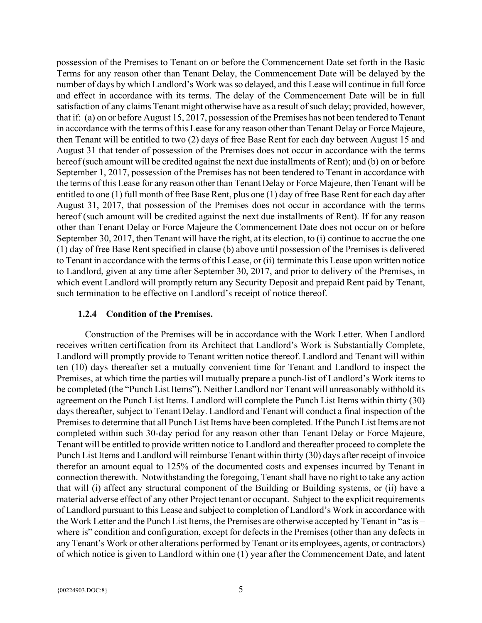possession of the Premises to Tenant on or before the Commencement Date set forth in the Basic Terms for any reason other than Tenant Delay, the Commencement Date will be delayed by the number of days by which Landlord's Work was so delayed, and this Lease will continue in full force and effect in accordance with its terms. The delay of the Commencement Date will be in full satisfaction of any claims Tenant might otherwise have as a result of such delay; provided, however, that if: (a) on or before August 15, 2017, possession of the Premises has not been tendered to Tenant in accordance with the terms of this Lease for any reason other than Tenant Delay or Force Majeure, then Tenant will be entitled to two (2) days of free Base Rent for each day between August 15 and August 31 that tender of possession of the Premises does not occur in accordance with the terms hereof (such amount will be credited against the next due installments of Rent); and (b) on or before September 1, 2017, possession of the Premises has not been tendered to Tenant in accordance with the terms of this Lease for any reason other than Tenant Delay or Force Majeure, then Tenant will be entitled to one (1) full month of free Base Rent, plus one (1) day of free Base Rent for each day after August 31, 2017, that possession of the Premises does not occur in accordance with the terms hereof (such amount will be credited against the next due installments of Rent). If for any reason other than Tenant Delay or Force Majeure the Commencement Date does not occur on or before September 30, 2017, then Tenant will have the right, at its election, to (i) continue to accrue the one (1) day of free Base Rent specified in clause (b) above until possession of the Premises is delivered to Tenant in accordance with the terms of this Lease, or (ii) terminate this Lease upon written notice to Landlord, given at any time after September 30, 2017, and prior to delivery of the Premises, in which event Landlord will promptly return any Security Deposit and prepaid Rent paid by Tenant, such termination to be effective on Landlord's receipt of notice thereof.

#### **1.2.4 Condition of the Premises.**

Construction of the Premises will be in accordance with the Work Letter. When Landlord receives written certification from its Architect that Landlord's Work is Substantially Complete, Landlord will promptly provide to Tenant written notice thereof. Landlord and Tenant will within ten (10) days thereafter set a mutually convenient time for Tenant and Landlord to inspect the Premises, at which time the parties will mutually prepare a punch-list of Landlord's Work items to be completed (the "Punch List Items"). Neither Landlord nor Tenant will unreasonably withhold its agreement on the Punch List Items. Landlord will complete the Punch List Items within thirty (30) days thereafter, subject to Tenant Delay. Landlord and Tenant will conduct a final inspection of the Premises to determine that all Punch List Items have been completed. If the Punch List Items are not completed within such 30-day period for any reason other than Tenant Delay or Force Majeure, Tenant will be entitled to provide written notice to Landlord and thereafter proceed to complete the Punch List Items and Landlord will reimburse Tenant within thirty (30) days after receipt of invoice therefor an amount equal to 125% of the documented costs and expenses incurred by Tenant in connection therewith. Notwithstanding the foregoing, Tenant shall have no right to take any action that will (i) affect any structural component of the Building or Building systems, or (ii) have a material adverse effect of any other Project tenant or occupant. Subject to the explicit requirements of Landlord pursuant to this Lease and subject to completion of Landlord's Work in accordance with the Work Letter and the Punch List Items, the Premises are otherwise accepted by Tenant in "as is – where is" condition and configuration, except for defects in the Premises (other than any defects in any Tenant's Work or other alterations performed by Tenant or its employees, agents, or contractors) of which notice is given to Landlord within one (1) year after the Commencement Date, and latent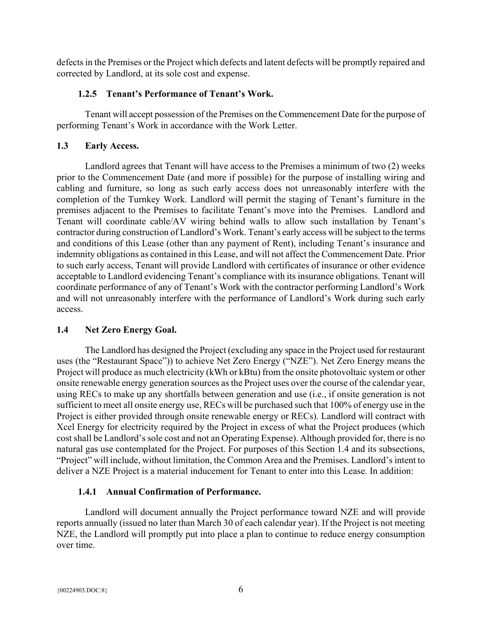defects in the Premises or the Project which defects and latent defects will be promptly repaired and corrected by Landlord, at its sole cost and expense.

### **1.2.5 Tenant's Performance of Tenant's Work.**

Tenant will accept possession of the Premises on the Commencement Date for the purpose of performing Tenant's Work in accordance with the Work Letter.

### **1.3 Early Access.**

Landlord agrees that Tenant will have access to the Premises a minimum of two (2) weeks prior to the Commencement Date (and more if possible) for the purpose of installing wiring and cabling and furniture, so long as such early access does not unreasonably interfere with the completion of the Turnkey Work. Landlord will permit the staging of Tenant's furniture in the premises adjacent to the Premises to facilitate Tenant's move into the Premises. Landlord and Tenant will coordinate cable/AV wiring behind walls to allow such installation by Tenant's contractor during construction of Landlord's Work. Tenant's early access will be subject to the terms and conditions of this Lease (other than any payment of Rent), including Tenant's insurance and indemnity obligations as contained in this Lease, and will not affect the Commencement Date. Prior to such early access, Tenant will provide Landlord with certificates of insurance or other evidence acceptable to Landlord evidencing Tenant's compliance with its insurance obligations. Tenant will coordinate performance of any of Tenant's Work with the contractor performing Landlord's Work and will not unreasonably interfere with the performance of Landlord's Work during such early access.

# **1.4 Net Zero Energy Goal.**

The Landlord has designed the Project (excluding any space in the Project used for restaurant uses (the "Restaurant Space")) to achieve Net Zero Energy ("NZE"). Net Zero Energy means the Project will produce as much electricity (kWh or kBtu) from the onsite photovoltaic system or other onsite renewable energy generation sources as the Project uses over the course of the calendar year, using RECs to make up any shortfalls between generation and use (i.e., if onsite generation is not sufficient to meet all onsite energy use, RECs will be purchased such that 100% of energy use in the Project is either provided through onsite renewable energy or RECs). Landlord will contract with Xcel Energy for electricity required by the Project in excess of what the Project produces (which cost shall be Landlord's sole cost and not an Operating Expense). Although provided for, there is no natural gas use contemplated for the Project. For purposes of this Section 1.4 and its subsections, "Project" will include, without limitation, the Common Area and the Premises. Landlord's intent to deliver a NZE Project is a material inducement for Tenant to enter into this Lease. In addition:

# **1.4.1 Annual Confirmation of Performance.**

Landlord will document annually the Project performance toward NZE and will provide reports annually (issued no later than March 30 of each calendar year). If the Project is not meeting NZE, the Landlord will promptly put into place a plan to continue to reduce energy consumption over time.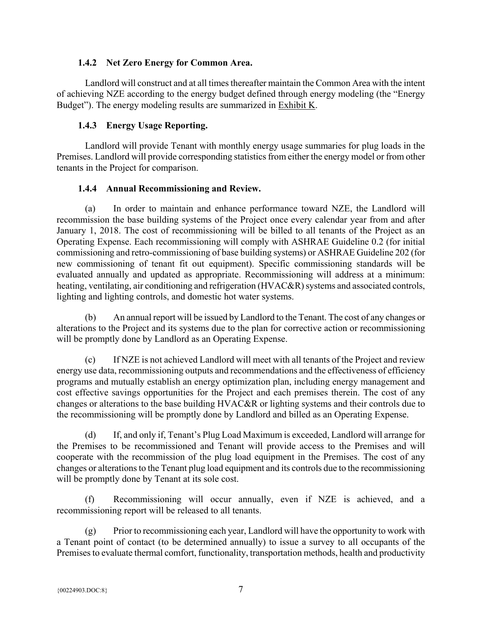### **1.4.2 Net Zero Energy for Common Area.**

Landlord will construct and at all times thereafter maintain the Common Area with the intent of achieving NZE according to the energy budget defined through energy modeling (the "Energy Budget"). The energy modeling results are summarized in Exhibit K.

# **1.4.3 Energy Usage Reporting.**

Landlord will provide Tenant with monthly energy usage summaries for plug loads in the Premises. Landlord will provide corresponding statistics from either the energy model or from other tenants in the Project for comparison.

# **1.4.4 Annual Recommissioning and Review.**

(a) In order to maintain and enhance performance toward NZE, the Landlord will recommission the base building systems of the Project once every calendar year from and after January 1, 2018. The cost of recommissioning will be billed to all tenants of the Project as an Operating Expense. Each recommissioning will comply with ASHRAE Guideline 0.2 (for initial commissioning and retro-commissioning of base building systems) or ASHRAE Guideline 202 (for new commissioning of tenant fit out equipment). Specific commissioning standards will be evaluated annually and updated as appropriate. Recommissioning will address at a minimum: heating, ventilating, air conditioning and refrigeration (HVAC&R) systems and associated controls, lighting and lighting controls, and domestic hot water systems.

(b) An annual report will be issued by Landlord to the Tenant. The cost of any changes or alterations to the Project and its systems due to the plan for corrective action or recommissioning will be promptly done by Landlord as an Operating Expense.

(c) If NZE is not achieved Landlord will meet with all tenants of the Project and review energy use data, recommissioning outputs and recommendations and the effectiveness of efficiency programs and mutually establish an energy optimization plan, including energy management and cost effective savings opportunities for the Project and each premises therein. The cost of any changes or alterations to the base building HVAC&R or lighting systems and their controls due to the recommissioning will be promptly done by Landlord and billed as an Operating Expense.

(d) If, and only if, Tenant's Plug Load Maximum is exceeded, Landlord will arrange for the Premises to be recommissioned and Tenant will provide access to the Premises and will cooperate with the recommission of the plug load equipment in the Premises. The cost of any changes or alterations to the Tenant plug load equipment and its controls due to the recommissioning will be promptly done by Tenant at its sole cost.

(f) Recommissioning will occur annually, even if NZE is achieved, and a recommissioning report will be released to all tenants.

(g) Prior to recommissioning each year, Landlord will have the opportunity to work with a Tenant point of contact (to be determined annually) to issue a survey to all occupants of the Premises to evaluate thermal comfort, functionality, transportation methods, health and productivity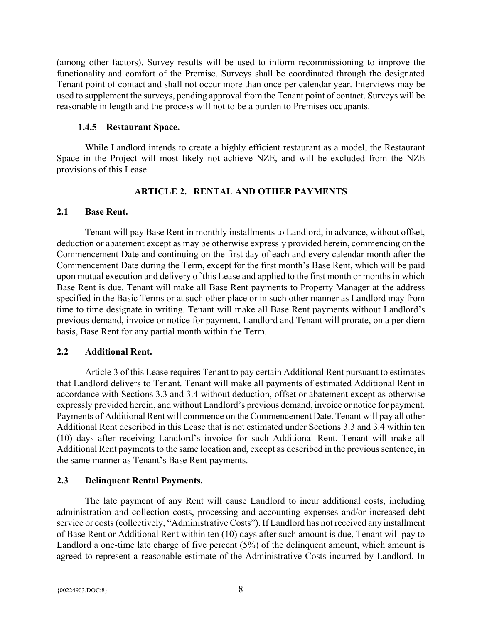(among other factors). Survey results will be used to inform recommissioning to improve the functionality and comfort of the Premise. Surveys shall be coordinated through the designated Tenant point of contact and shall not occur more than once per calendar year. Interviews may be used to supplement the surveys, pending approval from the Tenant point of contact. Surveys will be reasonable in length and the process will not to be a burden to Premises occupants.

### **1.4.5 Restaurant Space.**

While Landlord intends to create a highly efficient restaurant as a model, the Restaurant Space in the Project will most likely not achieve NZE, and will be excluded from the NZE provisions of this Lease.

### **ARTICLE 2. RENTAL AND OTHER PAYMENTS**

### **2.1 Base Rent.**

Tenant will pay Base Rent in monthly installments to Landlord, in advance, without offset, deduction or abatement except as may be otherwise expressly provided herein, commencing on the Commencement Date and continuing on the first day of each and every calendar month after the Commencement Date during the Term, except for the first month's Base Rent, which will be paid upon mutual execution and delivery of this Lease and applied to the first month or months in which Base Rent is due. Tenant will make all Base Rent payments to Property Manager at the address specified in the Basic Terms or at such other place or in such other manner as Landlord may from time to time designate in writing. Tenant will make all Base Rent payments without Landlord's previous demand, invoice or notice for payment. Landlord and Tenant will prorate, on a per diem basis, Base Rent for any partial month within the Term.

# **2.2 Additional Rent.**

Article 3 of this Lease requires Tenant to pay certain Additional Rent pursuant to estimates that Landlord delivers to Tenant. Tenant will make all payments of estimated Additional Rent in accordance with Sections 3.3 and 3.4 without deduction, offset or abatement except as otherwise expressly provided herein, and without Landlord's previous demand, invoice or notice for payment. Payments of Additional Rent will commence on the Commencement Date. Tenant will pay all other Additional Rent described in this Lease that is not estimated under Sections 3.3 and 3.4 within ten (10) days after receiving Landlord's invoice for such Additional Rent. Tenant will make all Additional Rent payments to the same location and, except as described in the previous sentence, in the same manner as Tenant's Base Rent payments.

### **2.3 Delinquent Rental Payments.**

The late payment of any Rent will cause Landlord to incur additional costs, including administration and collection costs, processing and accounting expenses and/or increased debt service or costs (collectively, "Administrative Costs"). If Landlord has not received any installment of Base Rent or Additional Rent within ten (10) days after such amount is due, Tenant will pay to Landlord a one-time late charge of five percent  $(5%)$  of the delinquent amount, which amount is agreed to represent a reasonable estimate of the Administrative Costs incurred by Landlord. In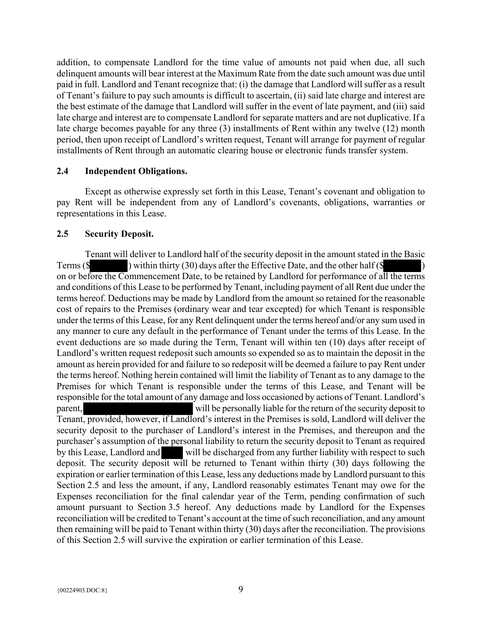addition, to compensate Landlord for the time value of amounts not paid when due, all such delinquent amounts will bear interest at the Maximum Rate from the date such amount was due until paid in full. Landlord and Tenant recognize that: (i) the damage that Landlord will suffer as a result of Tenant's failure to pay such amounts is difficult to ascertain, (ii) said late charge and interest are the best estimate of the damage that Landlord will suffer in the event of late payment, and (iii) said late charge and interest are to compensate Landlord for separate matters and are not duplicative. If a late charge becomes payable for any three (3) installments of Rent within any twelve (12) month period, then upon receipt of Landlord's written request, Tenant will arrange for payment of regular installments of Rent through an automatic clearing house or electronic funds transfer system.

#### **2.4 Independent Obligations.**

Except as otherwise expressly set forth in this Lease, Tenant's covenant and obligation to pay Rent will be independent from any of Landlord's covenants, obligations, warranties or representations in this Lease.

### **2.5 Security Deposit.**

Tenant will deliver to Landlord half of the security deposit in the amount stated in the Basic Terms (\$ ) within thirty (30) days after the Effective Date, and the other half (\$ ) on or before the Commencement Date, to be retained by Landlord for performance of all the terms and conditions of this Lease to be performed by Tenant, including payment of all Rent due under the terms hereof. Deductions may be made by Landlord from the amount so retained for the reasonable cost of repairs to the Premises (ordinary wear and tear excepted) for which Tenant is responsible under the terms of this Lease, for any Rent delinquent under the terms hereof and/or any sum used in any manner to cure any default in the performance of Tenant under the terms of this Lease. In the event deductions are so made during the Term, Tenant will within ten (10) days after receipt of Landlord's written request redeposit such amounts so expended so as to maintain the deposit in the amount as herein provided for and failure to so redeposit will be deemed a failure to pay Rent under the terms hereof. Nothing herein contained will limit the liability of Tenant as to any damage to the Premises for which Tenant is responsible under the terms of this Lease, and Tenant will be responsible for the total amount of any damage and loss occasioned by actions of Tenant. Landlord's parent, will be personally liable for the return of the security deposit to Tenant, provided, however, if Landlord's interest in the Premises is sold, Landlord will deliver the security deposit to the purchaser of Landlord's interest in the Premises, and thereupon and the purchaser's assumption of the personal liability to return the security deposit to Tenant as required by this Lease, Landlord and will be discharged from any further liability with respect to such deposit. The security deposit will be returned to Tenant within thirty (30) days following the expiration or earlier termination of this Lease, less any deductions made by Landlord pursuant to this Section 2.5 and less the amount, if any, Landlord reasonably estimates Tenant may owe for the Expenses reconciliation for the final calendar year of the Term, pending confirmation of such amount pursuant to Section 3.5 hereof. Any deductions made by Landlord for the Expenses reconciliation will be credited to Tenant's account at the time of such reconciliation, and any amount then remaining will be paid to Tenant within thirty (30) days after the reconciliation. The provisions of this Section 2.5 will survive the expiration or earlier termination of this Lease.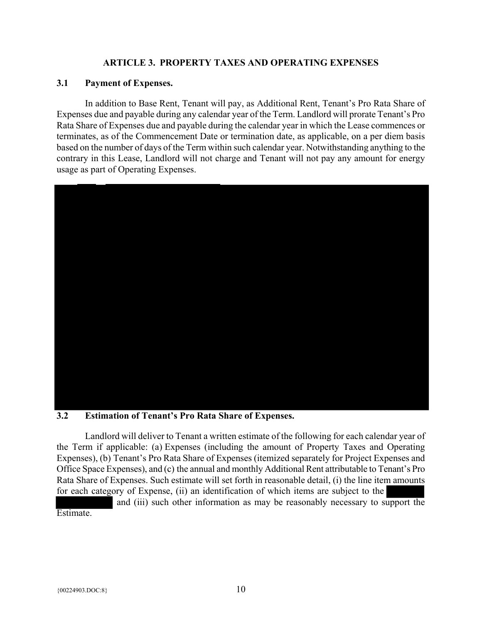# **ARTICLE 3. PROPERTY TAXES AND OPERATING EXPENSES**

#### **3.1 Payment of Expenses.**

In addition to Base Rent, Tenant will pay, as Additional Rent, Tenant's Pro Rata Share of Expenses due and payable during any calendar year of the Term. Landlord will prorate Tenant's Pro Rata Share of Expenses due and payable during the calendar year in which the Lease commences or terminates, as of the Commencement Date or termination date, as applicable, on a per diem basis based on the number of days of the Term within such calendar year. Notwithstanding anything to the contrary in this Lease, Landlord will not charge and Tenant will not pay any amount for energy usage as part of Operating Expenses.



**3.2 Estimation of Tenant's Pro Rata Share of Expenses.** 

Landlord will deliver to Tenant a written estimate of the following for each calendar year of the Term if applicable: (a) Expenses (including the amount of Property Taxes and Operating Expenses), (b) Tenant's Pro Rata Share of Expenses (itemized separately for Project Expenses and Office Space Expenses), and (c) the annual and monthly Additional Rent attributable to Tenant's Pro Rata Share of Expenses. Such estimate will set forth in reasonable detail, (i) the line item amounts for each category of Expense, (ii) an identification of which items are subject to the

 and (iii) such other information as may be reasonably necessary to support the **Estimate**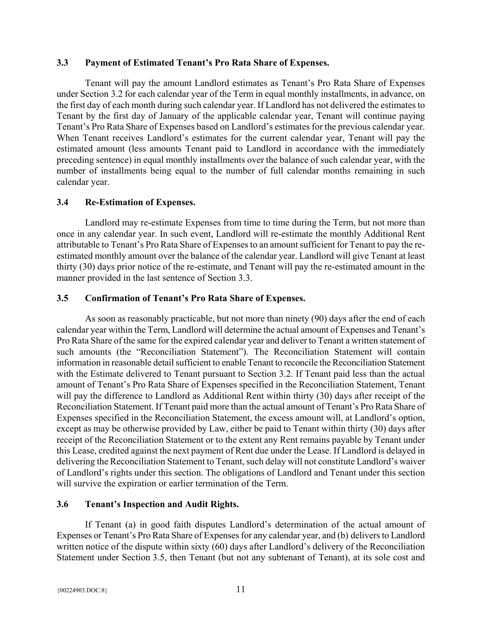#### **3.3 Payment of Estimated Tenant's Pro Rata Share of Expenses.**

Tenant will pay the amount Landlord estimates as Tenant's Pro Rata Share of Expenses under Section 3.2 for each calendar year of the Term in equal monthly installments, in advance, on the first day of each month during such calendar year. If Landlord has not delivered the estimates to Tenant by the first day of January of the applicable calendar year, Tenant will continue paying Tenant's Pro Rata Share of Expenses based on Landlord's estimates for the previous calendar year. When Tenant receives Landlord's estimates for the current calendar year, Tenant will pay the estimated amount (less amounts Tenant paid to Landlord in accordance with the immediately preceding sentence) in equal monthly installments over the balance of such calendar year, with the number of installments being equal to the number of full calendar months remaining in such calendar year.

### **3.4 Re-Estimation of Expenses.**

Landlord may re-estimate Expenses from time to time during the Term, but not more than once in any calendar year. In such event, Landlord will re-estimate the monthly Additional Rent attributable to Tenant's Pro Rata Share of Expenses to an amount sufficient for Tenant to pay the reestimated monthly amount over the balance of the calendar year. Landlord will give Tenant at least thirty (30) days prior notice of the re-estimate, and Tenant will pay the re-estimated amount in the manner provided in the last sentence of Section 3.3.

### **3.5 Confirmation of Tenant's Pro Rata Share of Expenses.**

As soon as reasonably practicable, but not more than ninety (90) days after the end of each calendar year within the Term, Landlord will determine the actual amount of Expenses and Tenant's Pro Rata Share of the same for the expired calendar year and deliver to Tenant a written statement of such amounts (the "Reconciliation Statement"). The Reconciliation Statement will contain information in reasonable detail sufficient to enable Tenant to reconcile the Reconciliation Statement with the Estimate delivered to Tenant pursuant to Section 3.2. If Tenant paid less than the actual amount of Tenant's Pro Rata Share of Expenses specified in the Reconciliation Statement, Tenant will pay the difference to Landlord as Additional Rent within thirty (30) days after receipt of the Reconciliation Statement. If Tenant paid more than the actual amount of Tenant's Pro Rata Share of Expenses specified in the Reconciliation Statement, the excess amount will, at Landlord's option, except as may be otherwise provided by Law, either be paid to Tenant within thirty (30) days after receipt of the Reconciliation Statement or to the extent any Rent remains payable by Tenant under this Lease, credited against the next payment of Rent due under the Lease. If Landlord is delayed in delivering the Reconciliation Statement to Tenant, such delay will not constitute Landlord's waiver of Landlord's rights under this section. The obligations of Landlord and Tenant under this section will survive the expiration or earlier termination of the Term.

### **3.6 Tenant's Inspection and Audit Rights.**

If Tenant (a) in good faith disputes Landlord's determination of the actual amount of Expenses or Tenant's Pro Rata Share of Expenses for any calendar year, and (b) delivers to Landlord written notice of the dispute within sixty (60) days after Landlord's delivery of the Reconciliation Statement under Section 3.5, then Tenant (but not any subtenant of Tenant), at its sole cost and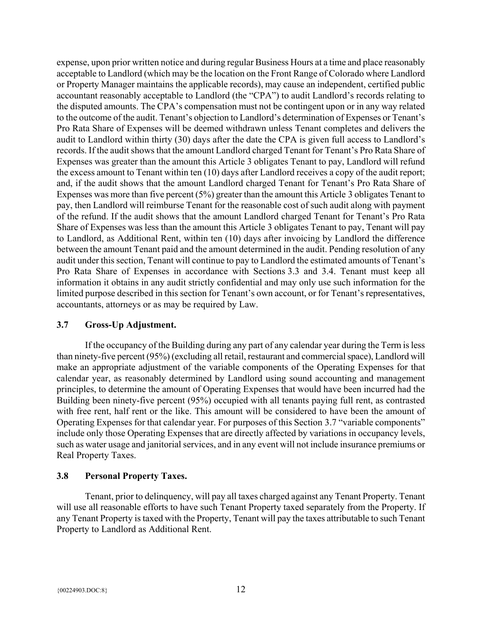expense, upon prior written notice and during regular Business Hours at a time and place reasonably acceptable to Landlord (which may be the location on the Front Range of Colorado where Landlord or Property Manager maintains the applicable records), may cause an independent, certified public accountant reasonably acceptable to Landlord (the "CPA") to audit Landlord's records relating to the disputed amounts. The CPA's compensation must not be contingent upon or in any way related to the outcome of the audit. Tenant's objection to Landlord's determination of Expenses or Tenant's Pro Rata Share of Expenses will be deemed withdrawn unless Tenant completes and delivers the audit to Landlord within thirty (30) days after the date the CPA is given full access to Landlord's records. If the audit shows that the amount Landlord charged Tenant for Tenant's Pro Rata Share of Expenses was greater than the amount this Article 3 obligates Tenant to pay, Landlord will refund the excess amount to Tenant within ten (10) days after Landlord receives a copy of the audit report; and, if the audit shows that the amount Landlord charged Tenant for Tenant's Pro Rata Share of Expenses was more than five percent (5%) greater than the amount this Article 3 obligates Tenant to pay, then Landlord will reimburse Tenant for the reasonable cost of such audit along with payment of the refund. If the audit shows that the amount Landlord charged Tenant for Tenant's Pro Rata Share of Expenses was less than the amount this Article 3 obligates Tenant to pay, Tenant will pay to Landlord, as Additional Rent, within ten (10) days after invoicing by Landlord the difference between the amount Tenant paid and the amount determined in the audit. Pending resolution of any audit under this section, Tenant will continue to pay to Landlord the estimated amounts of Tenant's Pro Rata Share of Expenses in accordance with Sections 3.3 and 3.4. Tenant must keep all information it obtains in any audit strictly confidential and may only use such information for the limited purpose described in this section for Tenant's own account, or for Tenant's representatives, accountants, attorneys or as may be required by Law.

### **3.7 Gross-Up Adjustment.**

If the occupancy of the Building during any part of any calendar year during the Term is less than ninety-five percent (95%) (excluding all retail, restaurant and commercial space), Landlord will make an appropriate adjustment of the variable components of the Operating Expenses for that calendar year, as reasonably determined by Landlord using sound accounting and management principles, to determine the amount of Operating Expenses that would have been incurred had the Building been ninety-five percent (95%) occupied with all tenants paying full rent, as contrasted with free rent, half rent or the like. This amount will be considered to have been the amount of Operating Expenses for that calendar year. For purposes of this Section 3.7 "variable components" include only those Operating Expenses that are directly affected by variations in occupancy levels, such as water usage and janitorial services, and in any event will not include insurance premiums or Real Property Taxes.

# **3.8 Personal Property Taxes.**

Tenant, prior to delinquency, will pay all taxes charged against any Tenant Property. Tenant will use all reasonable efforts to have such Tenant Property taxed separately from the Property. If any Tenant Property is taxed with the Property, Tenant will pay the taxes attributable to such Tenant Property to Landlord as Additional Rent.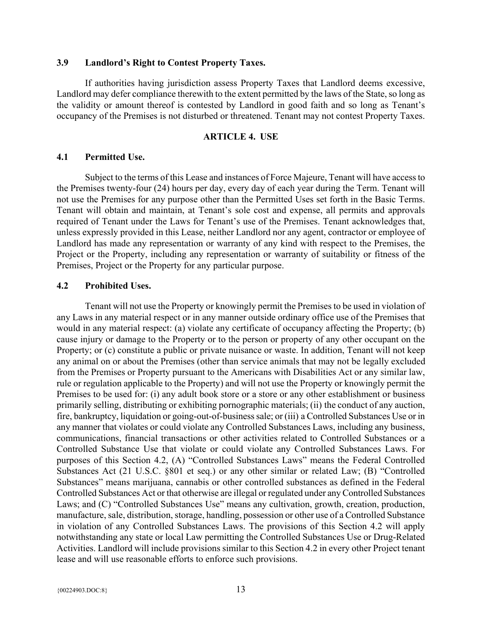#### **3.9 Landlord's Right to Contest Property Taxes.**

If authorities having jurisdiction assess Property Taxes that Landlord deems excessive, Landlord may defer compliance therewith to the extent permitted by the laws of the State, so long as the validity or amount thereof is contested by Landlord in good faith and so long as Tenant's occupancy of the Premises is not disturbed or threatened. Tenant may not contest Property Taxes.

#### **ARTICLE 4. USE**

### **4.1 Permitted Use.**

Subject to the terms of this Lease and instances of Force Majeure, Tenant will have access to the Premises twenty-four (24) hours per day, every day of each year during the Term. Tenant will not use the Premises for any purpose other than the Permitted Uses set forth in the Basic Terms. Tenant will obtain and maintain, at Tenant's sole cost and expense, all permits and approvals required of Tenant under the Laws for Tenant's use of the Premises. Tenant acknowledges that, unless expressly provided in this Lease, neither Landlord nor any agent, contractor or employee of Landlord has made any representation or warranty of any kind with respect to the Premises, the Project or the Property, including any representation or warranty of suitability or fitness of the Premises, Project or the Property for any particular purpose.

### **4.2 Prohibited Uses.**

Tenant will not use the Property or knowingly permit the Premises to be used in violation of any Laws in any material respect or in any manner outside ordinary office use of the Premises that would in any material respect: (a) violate any certificate of occupancy affecting the Property; (b) cause injury or damage to the Property or to the person or property of any other occupant on the Property; or (c) constitute a public or private nuisance or waste. In addition, Tenant will not keep any animal on or about the Premises (other than service animals that may not be legally excluded from the Premises or Property pursuant to the Americans with Disabilities Act or any similar law, rule or regulation applicable to the Property) and will not use the Property or knowingly permit the Premises to be used for: (i) any adult book store or a store or any other establishment or business primarily selling, distributing or exhibiting pornographic materials; (ii) the conduct of any auction, fire, bankruptcy, liquidation or going-out-of-business sale; or (iii) a Controlled Substances Use or in any manner that violates or could violate any Controlled Substances Laws, including any business, communications, financial transactions or other activities related to Controlled Substances or a Controlled Substance Use that violate or could violate any Controlled Substances Laws. For purposes of this Section 4.2, (A) "Controlled Substances Laws" means the Federal Controlled Substances Act (21 U.S.C. §801 et seq.) or any other similar or related Law; (B) "Controlled Substances" means marijuana, cannabis or other controlled substances as defined in the Federal Controlled Substances Act or that otherwise are illegal or regulated under any Controlled Substances Laws; and (C) "Controlled Substances Use" means any cultivation, growth, creation, production, manufacture, sale, distribution, storage, handling, possession or other use of a Controlled Substance in violation of any Controlled Substances Laws. The provisions of this Section 4.2 will apply notwithstanding any state or local Law permitting the Controlled Substances Use or Drug-Related Activities. Landlord will include provisions similar to this Section 4.2 in every other Project tenant lease and will use reasonable efforts to enforce such provisions.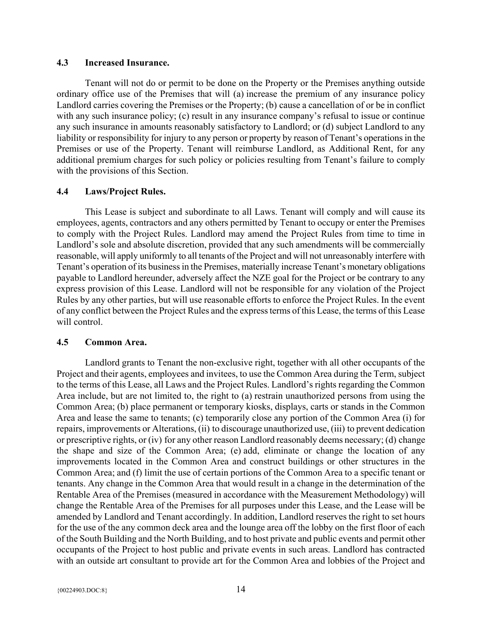### **4.3 Increased Insurance.**

Tenant will not do or permit to be done on the Property or the Premises anything outside ordinary office use of the Premises that will (a) increase the premium of any insurance policy Landlord carries covering the Premises or the Property; (b) cause a cancellation of or be in conflict with any such insurance policy; (c) result in any insurance company's refusal to issue or continue any such insurance in amounts reasonably satisfactory to Landlord; or (d) subject Landlord to any liability or responsibility for injury to any person or property by reason of Tenant's operations in the Premises or use of the Property. Tenant will reimburse Landlord, as Additional Rent, for any additional premium charges for such policy or policies resulting from Tenant's failure to comply with the provisions of this Section.

### **4.4 Laws/Project Rules.**

This Lease is subject and subordinate to all Laws. Tenant will comply and will cause its employees, agents, contractors and any others permitted by Tenant to occupy or enter the Premises to comply with the Project Rules. Landlord may amend the Project Rules from time to time in Landlord's sole and absolute discretion, provided that any such amendments will be commercially reasonable, will apply uniformly to all tenants of the Project and will not unreasonably interfere with Tenant's operation of its business in the Premises, materially increase Tenant's monetary obligations payable to Landlord hereunder, adversely affect the NZE goal for the Project or be contrary to any express provision of this Lease. Landlord will not be responsible for any violation of the Project Rules by any other parties, but will use reasonable efforts to enforce the Project Rules. In the event of any conflict between the Project Rules and the express terms of this Lease, the terms of this Lease will control.

# **4.5 Common Area.**

Landlord grants to Tenant the non-exclusive right, together with all other occupants of the Project and their agents, employees and invitees, to use the Common Area during the Term, subject to the terms of this Lease, all Laws and the Project Rules. Landlord's rights regarding the Common Area include, but are not limited to, the right to (a) restrain unauthorized persons from using the Common Area; (b) place permanent or temporary kiosks, displays, carts or stands in the Common Area and lease the same to tenants; (c) temporarily close any portion of the Common Area (i) for repairs, improvements or Alterations, (ii) to discourage unauthorized use, (iii) to prevent dedication or prescriptive rights, or (iv) for any other reason Landlord reasonably deems necessary; (d) change the shape and size of the Common Area; (e) add, eliminate or change the location of any improvements located in the Common Area and construct buildings or other structures in the Common Area; and (f) limit the use of certain portions of the Common Area to a specific tenant or tenants. Any change in the Common Area that would result in a change in the determination of the Rentable Area of the Premises (measured in accordance with the Measurement Methodology) will change the Rentable Area of the Premises for all purposes under this Lease, and the Lease will be amended by Landlord and Tenant accordingly. In addition, Landlord reserves the right to set hours for the use of the any common deck area and the lounge area off the lobby on the first floor of each of the South Building and the North Building, and to host private and public events and permit other occupants of the Project to host public and private events in such areas. Landlord has contracted with an outside art consultant to provide art for the Common Area and lobbies of the Project and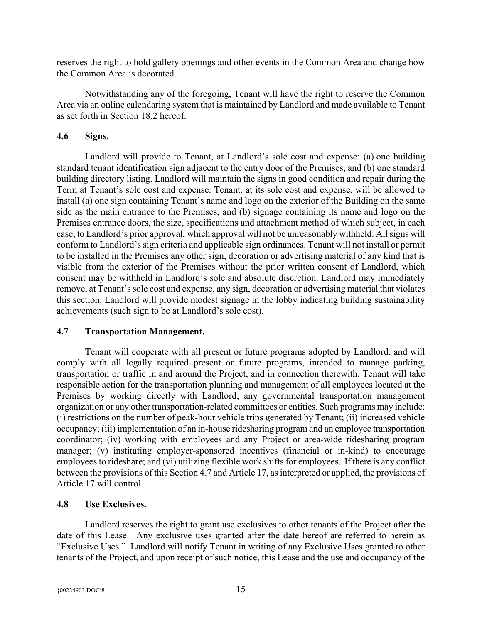reserves the right to hold gallery openings and other events in the Common Area and change how the Common Area is decorated.

Notwithstanding any of the foregoing, Tenant will have the right to reserve the Common Area via an online calendaring system that is maintained by Landlord and made available to Tenant as set forth in Section 18.2 hereof.

### **4.6 Signs.**

Landlord will provide to Tenant, at Landlord's sole cost and expense: (a) one building standard tenant identification sign adjacent to the entry door of the Premises, and (b) one standard building directory listing. Landlord will maintain the signs in good condition and repair during the Term at Tenant's sole cost and expense. Tenant, at its sole cost and expense, will be allowed to install (a) one sign containing Tenant's name and logo on the exterior of the Building on the same side as the main entrance to the Premises, and (b) signage containing its name and logo on the Premises entrance doors, the size, specifications and attachment method of which subject, in each case, to Landlord's prior approval, which approval will not be unreasonably withheld. All signs will conform to Landlord's sign criteria and applicable sign ordinances. Tenant will not install or permit to be installed in the Premises any other sign, decoration or advertising material of any kind that is visible from the exterior of the Premises without the prior written consent of Landlord, which consent may be withheld in Landlord's sole and absolute discretion. Landlord may immediately remove, at Tenant's sole cost and expense, any sign, decoration or advertising material that violates this section. Landlord will provide modest signage in the lobby indicating building sustainability achievements (such sign to be at Landlord's sole cost).

### **4.7 Transportation Management.**

Tenant will cooperate with all present or future programs adopted by Landlord, and will comply with all legally required present or future programs, intended to manage parking, transportation or traffic in and around the Project, and in connection therewith, Tenant will take responsible action for the transportation planning and management of all employees located at the Premises by working directly with Landlord, any governmental transportation management organization or any other transportation-related committees or entities. Such programs may include: (i) restrictions on the number of peak-hour vehicle trips generated by Tenant; (ii) increased vehicle occupancy; (iii) implementation of an in-house ridesharing program and an employee transportation coordinator; (iv) working with employees and any Project or area-wide ridesharing program manager; (v) instituting employer-sponsored incentives (financial or in-kind) to encourage employees to rideshare; and (vi) utilizing flexible work shifts for employees. If there is any conflict between the provisions of this Section 4.7 and Article 17, as interpreted or applied, the provisions of Article 17 will control.

# **4.8 Use Exclusives.**

Landlord reserves the right to grant use exclusives to other tenants of the Project after the date of this Lease. Any exclusive uses granted after the date hereof are referred to herein as "Exclusive Uses." Landlord will notify Tenant in writing of any Exclusive Uses granted to other tenants of the Project, and upon receipt of such notice, this Lease and the use and occupancy of the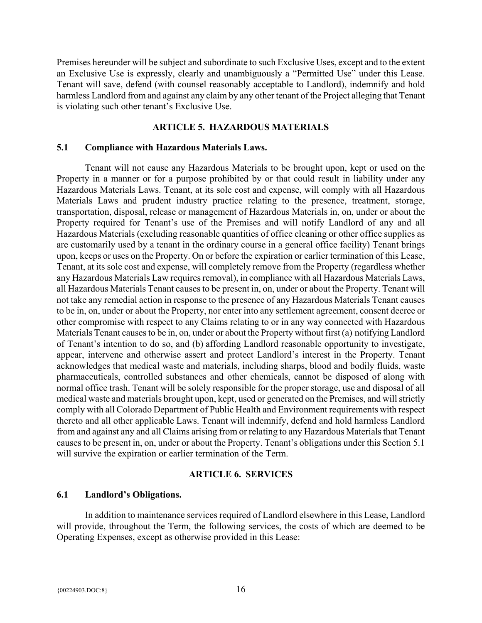Premises hereunder will be subject and subordinate to such Exclusive Uses, except and to the extent an Exclusive Use is expressly, clearly and unambiguously a "Permitted Use" under this Lease. Tenant will save, defend (with counsel reasonably acceptable to Landlord), indemnify and hold harmless Landlord from and against any claim by any other tenant of the Project alleging that Tenant is violating such other tenant's Exclusive Use.

### **ARTICLE 5. HAZARDOUS MATERIALS**

### **5.1 Compliance with Hazardous Materials Laws.**

Tenant will not cause any Hazardous Materials to be brought upon, kept or used on the Property in a manner or for a purpose prohibited by or that could result in liability under any Hazardous Materials Laws. Tenant, at its sole cost and expense, will comply with all Hazardous Materials Laws and prudent industry practice relating to the presence, treatment, storage, transportation, disposal, release or management of Hazardous Materials in, on, under or about the Property required for Tenant's use of the Premises and will notify Landlord of any and all Hazardous Materials (excluding reasonable quantities of office cleaning or other office supplies as are customarily used by a tenant in the ordinary course in a general office facility) Tenant brings upon, keeps or uses on the Property. On or before the expiration or earlier termination of this Lease, Tenant, at its sole cost and expense, will completely remove from the Property (regardless whether any Hazardous Materials Law requires removal), in compliance with all Hazardous Materials Laws, all Hazardous Materials Tenant causes to be present in, on, under or about the Property. Tenant will not take any remedial action in response to the presence of any Hazardous Materials Tenant causes to be in, on, under or about the Property, nor enter into any settlement agreement, consent decree or other compromise with respect to any Claims relating to or in any way connected with Hazardous Materials Tenant causes to be in, on, under or about the Property without first (a) notifying Landlord of Tenant's intention to do so, and (b) affording Landlord reasonable opportunity to investigate, appear, intervene and otherwise assert and protect Landlord's interest in the Property. Tenant acknowledges that medical waste and materials, including sharps, blood and bodily fluids, waste pharmaceuticals, controlled substances and other chemicals, cannot be disposed of along with normal office trash. Tenant will be solely responsible for the proper storage, use and disposal of all medical waste and materials brought upon, kept, used or generated on the Premises, and will strictly comply with all Colorado Department of Public Health and Environment requirements with respect thereto and all other applicable Laws. Tenant will indemnify, defend and hold harmless Landlord from and against any and all Claims arising from or relating to any Hazardous Materials that Tenant causes to be present in, on, under or about the Property. Tenant's obligations under this Section 5.1 will survive the expiration or earlier termination of the Term.

### **ARTICLE 6. SERVICES**

### **6.1 Landlord's Obligations.**

In addition to maintenance services required of Landlord elsewhere in this Lease, Landlord will provide, throughout the Term, the following services, the costs of which are deemed to be Operating Expenses, except as otherwise provided in this Lease: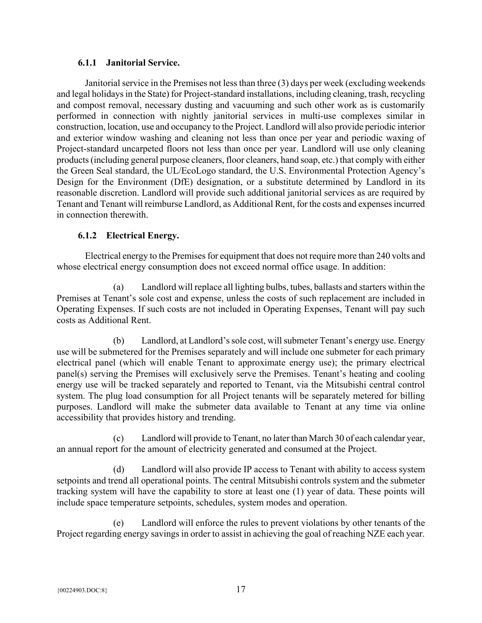### **6.1.1 Janitorial Service.**

Janitorial service in the Premises not less than three (3) days per week (excluding weekends and legal holidays in the State) for Project-standard installations, including cleaning, trash, recycling and compost removal, necessary dusting and vacuuming and such other work as is customarily performed in connection with nightly janitorial services in multi-use complexes similar in construction, location, use and occupancy to the Project. Landlord will also provide periodic interior and exterior window washing and cleaning not less than once per year and periodic waxing of Project-standard uncarpeted floors not less than once per year. Landlord will use only cleaning products (including general purpose cleaners, floor cleaners, hand soap, etc.) that comply with either the Green Seal standard, the UL/EcoLogo standard, the U.S. Environmental Protection Agency's Design for the Environment (DfE) designation, or a substitute determined by Landlord in its reasonable discretion. Landlord will provide such additional janitorial services as are required by Tenant and Tenant will reimburse Landlord, as Additional Rent, for the costs and expenses incurred in connection therewith.

# **6.1.2 Electrical Energy.**

Electrical energy to the Premises for equipment that does not require more than 240 volts and whose electrical energy consumption does not exceed normal office usage. In addition:

(a) Landlord will replace all lighting bulbs, tubes, ballasts and starters within the Premises at Tenant's sole cost and expense, unless the costs of such replacement are included in Operating Expenses. If such costs are not included in Operating Expenses, Tenant will pay such costs as Additional Rent.

(b) Landlord, at Landlord's sole cost, will submeter Tenant's energy use. Energy use will be submetered for the Premises separately and will include one submeter for each primary electrical panel (which will enable Tenant to approximate energy use); the primary electrical panel(s) serving the Premises will exclusively serve the Premises. Tenant's heating and cooling energy use will be tracked separately and reported to Tenant, via the Mitsubishi central control system. The plug load consumption for all Project tenants will be separately metered for billing purposes. Landlord will make the submeter data available to Tenant at any time via online accessibility that provides history and trending.

(c) Landlord will provide to Tenant, no later than March 30 of each calendar year, an annual report for the amount of electricity generated and consumed at the Project.

(d) Landlord will also provide IP access to Tenant with ability to access system setpoints and trend all operational points. The central Mitsubishi controls system and the submeter tracking system will have the capability to store at least one (1) year of data. These points will include space temperature setpoints, schedules, system modes and operation.

(e) Landlord will enforce the rules to prevent violations by other tenants of the Project regarding energy savings in order to assist in achieving the goal of reaching NZE each year.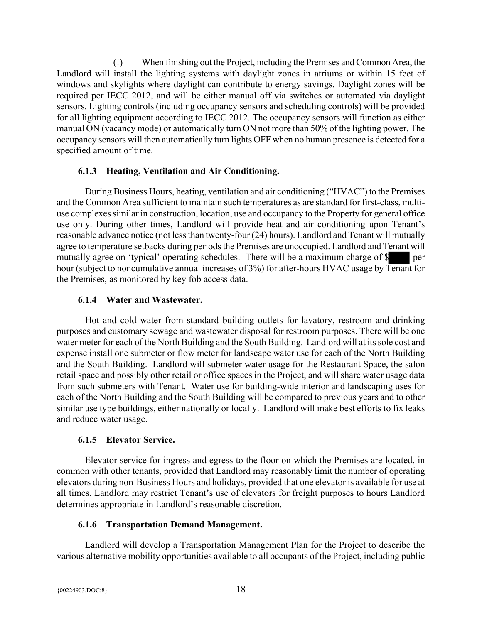(f) When finishing out the Project, including the Premises and Common Area, the Landlord will install the lighting systems with daylight zones in atriums or within 15 feet of windows and skylights where daylight can contribute to energy savings. Daylight zones will be required per IECC 2012, and will be either manual off via switches or automated via daylight sensors. Lighting controls (including occupancy sensors and scheduling controls) will be provided for all lighting equipment according to IECC 2012. The occupancy sensors will function as either manual ON (vacancy mode) or automatically turn ON not more than 50% of the lighting power. The occupancy sensors will then automatically turn lights OFF when no human presence is detected for a specified amount of time.

# **6.1.3 Heating, Ventilation and Air Conditioning.**

During Business Hours, heating, ventilation and air conditioning ("HVAC") to the Premises and the Common Area sufficient to maintain such temperatures as are standard for first-class, multiuse complexes similar in construction, location, use and occupancy to the Property for general office use only. During other times, Landlord will provide heat and air conditioning upon Tenant's reasonable advance notice (not less than twenty-four (24) hours). Landlord and Tenant will mutually agree to temperature setbacks during periods the Premises are unoccupied. Landlord and Tenant will mutually agree on 'typical' operating schedules. There will be a maximum charge of \$ per hour (subject to noncumulative annual increases of 3%) for after-hours HVAC usage by Tenant for the Premises, as monitored by key fob access data.

# **6.1.4 Water and Wastewater.**

Hot and cold water from standard building outlets for lavatory, restroom and drinking purposes and customary sewage and wastewater disposal for restroom purposes. There will be one water meter for each of the North Building and the South Building. Landlord will at its sole cost and expense install one submeter or flow meter for landscape water use for each of the North Building and the South Building. Landlord will submeter water usage for the Restaurant Space, the salon retail space and possibly other retail or office spaces in the Project, and will share water usage data from such submeters with Tenant. Water use for building-wide interior and landscaping uses for each of the North Building and the South Building will be compared to previous years and to other similar use type buildings, either nationally or locally. Landlord will make best efforts to fix leaks and reduce water usage.

# **6.1.5 Elevator Service.**

Elevator service for ingress and egress to the floor on which the Premises are located, in common with other tenants, provided that Landlord may reasonably limit the number of operating elevators during non-Business Hours and holidays, provided that one elevator is available for use at all times. Landlord may restrict Tenant's use of elevators for freight purposes to hours Landlord determines appropriate in Landlord's reasonable discretion.

### **6.1.6 Transportation Demand Management.**

Landlord will develop a Transportation Management Plan for the Project to describe the various alternative mobility opportunities available to all occupants of the Project, including public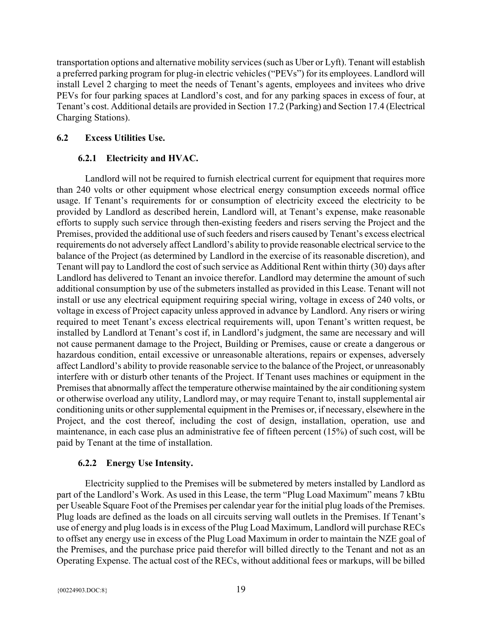transportation options and alternative mobility services (such as Uber or Lyft). Tenant will establish a preferred parking program for plug-in electric vehicles ("PEVs") for its employees. Landlord will install Level 2 charging to meet the needs of Tenant's agents, employees and invitees who drive PEVs for four parking spaces at Landlord's cost, and for any parking spaces in excess of four, at Tenant's cost. Additional details are provided in Section 17.2 (Parking) and Section 17.4 (Electrical Charging Stations).

# **6.2 Excess Utilities Use.**

# **6.2.1 Electricity and HVAC.**

Landlord will not be required to furnish electrical current for equipment that requires more than 240 volts or other equipment whose electrical energy consumption exceeds normal office usage. If Tenant's requirements for or consumption of electricity exceed the electricity to be provided by Landlord as described herein, Landlord will, at Tenant's expense, make reasonable efforts to supply such service through then-existing feeders and risers serving the Project and the Premises, provided the additional use of such feeders and risers caused by Tenant's excess electrical requirements do not adversely affect Landlord's ability to provide reasonable electrical service to the balance of the Project (as determined by Landlord in the exercise of its reasonable discretion), and Tenant will pay to Landlord the cost of such service as Additional Rent within thirty (30) days after Landlord has delivered to Tenant an invoice therefor. Landlord may determine the amount of such additional consumption by use of the submeters installed as provided in this Lease. Tenant will not install or use any electrical equipment requiring special wiring, voltage in excess of 240 volts, or voltage in excess of Project capacity unless approved in advance by Landlord. Any risers or wiring required to meet Tenant's excess electrical requirements will, upon Tenant's written request, be installed by Landlord at Tenant's cost if, in Landlord's judgment, the same are necessary and will not cause permanent damage to the Project, Building or Premises, cause or create a dangerous or hazardous condition, entail excessive or unreasonable alterations, repairs or expenses, adversely affect Landlord's ability to provide reasonable service to the balance of the Project, or unreasonably interfere with or disturb other tenants of the Project. If Tenant uses machines or equipment in the Premises that abnormally affect the temperature otherwise maintained by the air conditioning system or otherwise overload any utility, Landlord may, or may require Tenant to, install supplemental air conditioning units or other supplemental equipment in the Premises or, if necessary, elsewhere in the Project, and the cost thereof, including the cost of design, installation, operation, use and maintenance, in each case plus an administrative fee of fifteen percent (15%) of such cost, will be paid by Tenant at the time of installation.

# **6.2.2 Energy Use Intensity.**

Electricity supplied to the Premises will be submetered by meters installed by Landlord as part of the Landlord's Work. As used in this Lease, the term "Plug Load Maximum" means 7 kBtu per Useable Square Foot of the Premises per calendar year for the initial plug loads of the Premises. Plug loads are defined as the loads on all circuits serving wall outlets in the Premises. If Tenant's use of energy and plug loads is in excess of the Plug Load Maximum, Landlord will purchase RECs to offset any energy use in excess of the Plug Load Maximum in order to maintain the NZE goal of the Premises, and the purchase price paid therefor will billed directly to the Tenant and not as an Operating Expense. The actual cost of the RECs, without additional fees or markups, will be billed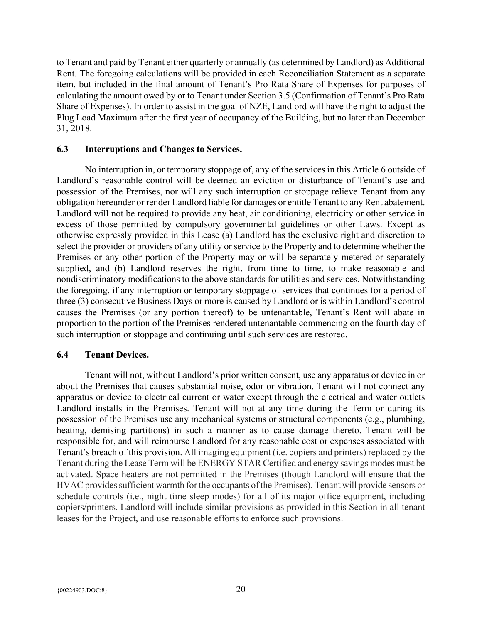to Tenant and paid by Tenant either quarterly or annually (as determined by Landlord) as Additional Rent. The foregoing calculations will be provided in each Reconciliation Statement as a separate item, but included in the final amount of Tenant's Pro Rata Share of Expenses for purposes of calculating the amount owed by or to Tenant under Section 3.5 (Confirmation of Tenant's Pro Rata Share of Expenses). In order to assist in the goal of NZE, Landlord will have the right to adjust the Plug Load Maximum after the first year of occupancy of the Building, but no later than December 31, 2018.

### **6.3 Interruptions and Changes to Services.**

No interruption in, or temporary stoppage of, any of the services in this Article 6 outside of Landlord's reasonable control will be deemed an eviction or disturbance of Tenant's use and possession of the Premises, nor will any such interruption or stoppage relieve Tenant from any obligation hereunder or render Landlord liable for damages or entitle Tenant to any Rent abatement. Landlord will not be required to provide any heat, air conditioning, electricity or other service in excess of those permitted by compulsory governmental guidelines or other Laws. Except as otherwise expressly provided in this Lease (a) Landlord has the exclusive right and discretion to select the provider or providers of any utility or service to the Property and to determine whether the Premises or any other portion of the Property may or will be separately metered or separately supplied, and (b) Landlord reserves the right, from time to time, to make reasonable and nondiscriminatory modifications to the above standards for utilities and services. Notwithstanding the foregoing, if any interruption or temporary stoppage of services that continues for a period of three (3) consecutive Business Days or more is caused by Landlord or is within Landlord's control causes the Premises (or any portion thereof) to be untenantable, Tenant's Rent will abate in proportion to the portion of the Premises rendered untenantable commencing on the fourth day of such interruption or stoppage and continuing until such services are restored.

# **6.4 Tenant Devices.**

Tenant will not, without Landlord's prior written consent, use any apparatus or device in or about the Premises that causes substantial noise, odor or vibration. Tenant will not connect any apparatus or device to electrical current or water except through the electrical and water outlets Landlord installs in the Premises. Tenant will not at any time during the Term or during its possession of the Premises use any mechanical systems or structural components (e.g., plumbing, heating, demising partitions) in such a manner as to cause damage thereto. Tenant will be responsible for, and will reimburse Landlord for any reasonable cost or expenses associated with Tenant's breach of this provision. All imaging equipment (i.e. copiers and printers) replaced by the Tenant during the Lease Term will be ENERGY STAR Certified and energy savings modes must be activated. Space heaters are not permitted in the Premises (though Landlord will ensure that the HVAC provides sufficient warmth for the occupants of the Premises). Tenant will provide sensors or schedule controls (i.e., night time sleep modes) for all of its major office equipment, including copiers/printers. Landlord will include similar provisions as provided in this Section in all tenant leases for the Project, and use reasonable efforts to enforce such provisions.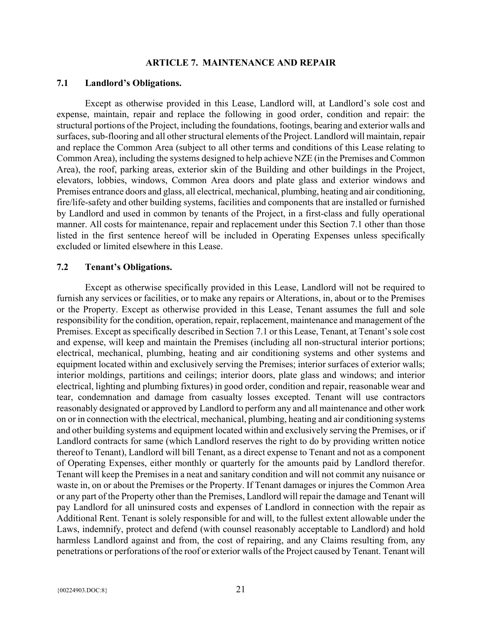#### **ARTICLE 7. MAINTENANCE AND REPAIR**

### **7.1 Landlord's Obligations.**

Except as otherwise provided in this Lease, Landlord will, at Landlord's sole cost and expense, maintain, repair and replace the following in good order, condition and repair: the structural portions of the Project, including the foundations, footings, bearing and exterior walls and surfaces, sub-flooring and all other structural elements of the Project. Landlord will maintain, repair and replace the Common Area (subject to all other terms and conditions of this Lease relating to Common Area), including the systems designed to help achieve NZE (in the Premises and Common Area), the roof, parking areas, exterior skin of the Building and other buildings in the Project, elevators, lobbies, windows, Common Area doors and plate glass and exterior windows and Premises entrance doors and glass, all electrical, mechanical, plumbing, heating and air conditioning, fire/life-safety and other building systems, facilities and components that are installed or furnished by Landlord and used in common by tenants of the Project, in a first-class and fully operational manner. All costs for maintenance, repair and replacement under this Section 7.1 other than those listed in the first sentence hereof will be included in Operating Expenses unless specifically excluded or limited elsewhere in this Lease.

#### **7.2 Tenant's Obligations.**

Except as otherwise specifically provided in this Lease, Landlord will not be required to furnish any services or facilities, or to make any repairs or Alterations, in, about or to the Premises or the Property. Except as otherwise provided in this Lease, Tenant assumes the full and sole responsibility for the condition, operation, repair, replacement, maintenance and management of the Premises. Except as specifically described in Section 7.1 or this Lease, Tenant, at Tenant's sole cost and expense, will keep and maintain the Premises (including all non-structural interior portions; electrical, mechanical, plumbing, heating and air conditioning systems and other systems and equipment located within and exclusively serving the Premises; interior surfaces of exterior walls; interior moldings, partitions and ceilings; interior doors, plate glass and windows; and interior electrical, lighting and plumbing fixtures) in good order, condition and repair, reasonable wear and tear, condemnation and damage from casualty losses excepted. Tenant will use contractors reasonably designated or approved by Landlord to perform any and all maintenance and other work on or in connection with the electrical, mechanical, plumbing, heating and air conditioning systems and other building systems and equipment located within and exclusively serving the Premises, or if Landlord contracts for same (which Landlord reserves the right to do by providing written notice thereof to Tenant), Landlord will bill Tenant, as a direct expense to Tenant and not as a component of Operating Expenses, either monthly or quarterly for the amounts paid by Landlord therefor. Tenant will keep the Premises in a neat and sanitary condition and will not commit any nuisance or waste in, on or about the Premises or the Property. If Tenant damages or injures the Common Area or any part of the Property other than the Premises, Landlord will repair the damage and Tenant will pay Landlord for all uninsured costs and expenses of Landlord in connection with the repair as Additional Rent. Tenant is solely responsible for and will, to the fullest extent allowable under the Laws, indemnify, protect and defend (with counsel reasonably acceptable to Landlord) and hold harmless Landlord against and from, the cost of repairing, and any Claims resulting from, any penetrations or perforations of the roof or exterior walls of the Project caused by Tenant. Tenant will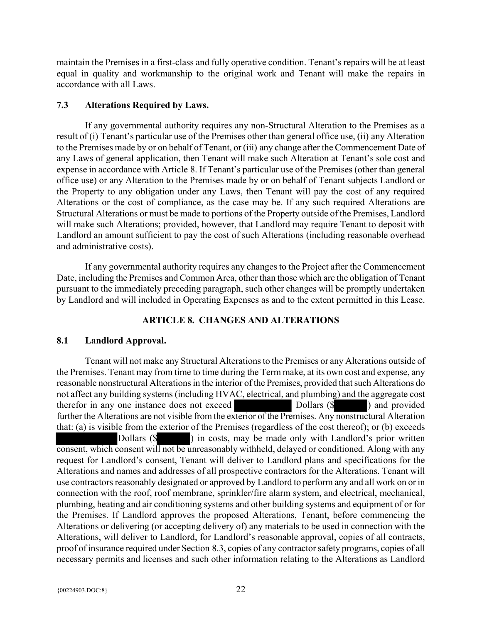maintain the Premises in a first-class and fully operative condition. Tenant's repairs will be at least equal in quality and workmanship to the original work and Tenant will make the repairs in accordance with all Laws.

### **7.3 Alterations Required by Laws.**

If any governmental authority requires any non-Structural Alteration to the Premises as a result of (i) Tenant's particular use of the Premises other than general office use, (ii) any Alteration to the Premises made by or on behalf of Tenant, or (iii) any change after the Commencement Date of any Laws of general application, then Tenant will make such Alteration at Tenant's sole cost and expense in accordance with Article 8. If Tenant's particular use of the Premises (other than general office use) or any Alteration to the Premises made by or on behalf of Tenant subjects Landlord or the Property to any obligation under any Laws, then Tenant will pay the cost of any required Alterations or the cost of compliance, as the case may be. If any such required Alterations are Structural Alterations or must be made to portions of the Property outside of the Premises, Landlord will make such Alterations; provided, however, that Landlord may require Tenant to deposit with Landlord an amount sufficient to pay the cost of such Alterations (including reasonable overhead and administrative costs).

If any governmental authority requires any changes to the Project after the Commencement Date, including the Premises and Common Area, other than those which are the obligation of Tenant pursuant to the immediately preceding paragraph, such other changes will be promptly undertaken by Landlord and will included in Operating Expenses as and to the extent permitted in this Lease.

# **ARTICLE 8. CHANGES AND ALTERATIONS**

# **8.1 Landlord Approval.**

Tenant will not make any Structural Alterations to the Premises or any Alterations outside of the Premises. Tenant may from time to time during the Term make, at its own cost and expense, any reasonable nonstructural Alterations in the interior of the Premises, provided that such Alterations do not affect any building systems (including HVAC, electrical, and plumbing) and the aggregate cost therefor in any one instance does not exceed Dollars (\$ ) and provided further the Alterations are not visible from the exterior of the Premises. Any nonstructural Alteration that: (a) is visible from the exterior of the Premises (regardless of the cost thereof); or (b) exceeds Dollars (\$ ) in costs, may be made only with Landlord's prior written consent, which consent will not be unreasonably withheld, delayed or conditioned. Along with any request for Landlord's consent, Tenant will deliver to Landlord plans and specifications for the Alterations and names and addresses of all prospective contractors for the Alterations. Tenant will use contractors reasonably designated or approved by Landlord to perform any and all work on or in connection with the roof, roof membrane, sprinkler/fire alarm system, and electrical, mechanical, plumbing, heating and air conditioning systems and other building systems and equipment of or for the Premises. If Landlord approves the proposed Alterations, Tenant, before commencing the Alterations or delivering (or accepting delivery of) any materials to be used in connection with the Alterations, will deliver to Landlord, for Landlord's reasonable approval, copies of all contracts, proof of insurance required under Section 8.3, copies of any contractor safety programs, copies of all necessary permits and licenses and such other information relating to the Alterations as Landlord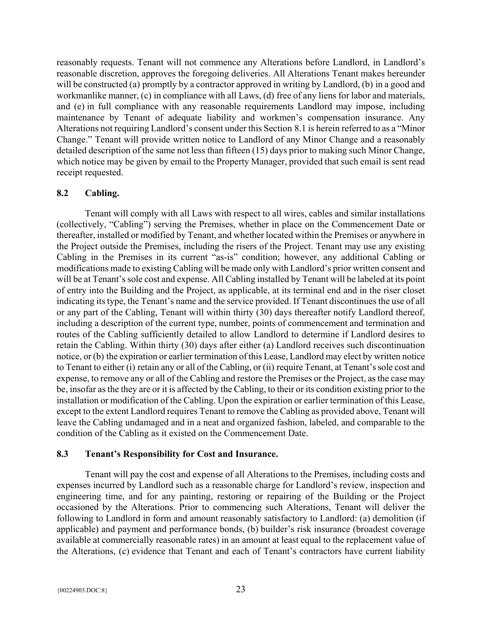reasonably requests. Tenant will not commence any Alterations before Landlord, in Landlord's reasonable discretion, approves the foregoing deliveries. All Alterations Tenant makes hereunder will be constructed (a) promptly by a contractor approved in writing by Landlord, (b) in a good and workmanlike manner, (c) in compliance with all Laws, (d) free of any liens for labor and materials, and (e) in full compliance with any reasonable requirements Landlord may impose, including maintenance by Tenant of adequate liability and workmen's compensation insurance. Any Alterations not requiring Landlord's consent under this Section 8.1 is herein referred to as a "Minor Change." Tenant will provide written notice to Landlord of any Minor Change and a reasonably detailed description of the same not less than fifteen (15) days prior to making such Minor Change, which notice may be given by email to the Property Manager, provided that such email is sent read receipt requested.

### **8.2 Cabling.**

Tenant will comply with all Laws with respect to all wires, cables and similar installations (collectively, "Cabling") serving the Premises, whether in place on the Commencement Date or thereafter, installed or modified by Tenant, and whether located within the Premises or anywhere in the Project outside the Premises, including the risers of the Project. Tenant may use any existing Cabling in the Premises in its current "as-is" condition; however, any additional Cabling or modifications made to existing Cabling will be made only with Landlord's prior written consent and will be at Tenant's sole cost and expense. All Cabling installed by Tenant will be labeled at its point of entry into the Building and the Project, as applicable, at its terminal end and in the riser closet indicating its type, the Tenant's name and the service provided. If Tenant discontinues the use of all or any part of the Cabling, Tenant will within thirty (30) days thereafter notify Landlord thereof, including a description of the current type, number, points of commencement and termination and routes of the Cabling sufficiently detailed to allow Landlord to determine if Landlord desires to retain the Cabling. Within thirty (30) days after either (a) Landlord receives such discontinuation notice, or (b) the expiration or earlier termination of this Lease, Landlord may elect by written notice to Tenant to either (i) retain any or all of the Cabling, or (ii) require Tenant, at Tenant's sole cost and expense, to remove any or all of the Cabling and restore the Premises or the Project, as the case may be, insofar as the they are or it is affected by the Cabling, to their or its condition existing prior to the installation or modification of the Cabling. Upon the expiration or earlier termination of this Lease, except to the extent Landlord requires Tenant to remove the Cabling as provided above, Tenant will leave the Cabling undamaged and in a neat and organized fashion, labeled, and comparable to the condition of the Cabling as it existed on the Commencement Date.

# **8.3 Tenant's Responsibility for Cost and Insurance.**

Tenant will pay the cost and expense of all Alterations to the Premises, including costs and expenses incurred by Landlord such as a reasonable charge for Landlord's review, inspection and engineering time, and for any painting, restoring or repairing of the Building or the Project occasioned by the Alterations. Prior to commencing such Alterations, Tenant will deliver the following to Landlord in form and amount reasonably satisfactory to Landlord: (a) demolition (if applicable) and payment and performance bonds, (b) builder's risk insurance (broadest coverage available at commercially reasonable rates) in an amount at least equal to the replacement value of the Alterations, (c) evidence that Tenant and each of Tenant's contractors have current liability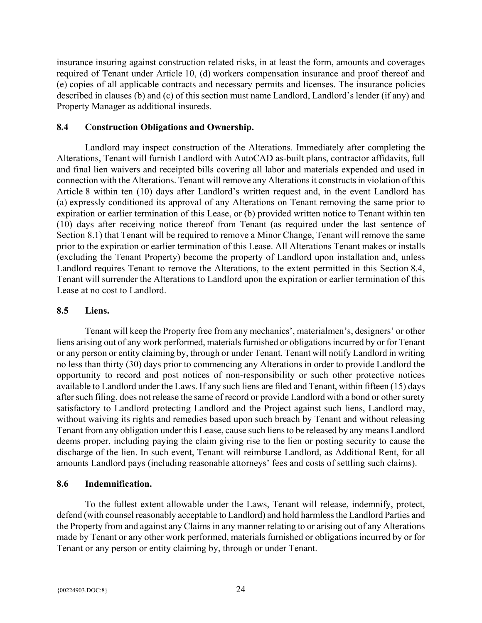insurance insuring against construction related risks, in at least the form, amounts and coverages required of Tenant under Article 10, (d) workers compensation insurance and proof thereof and (e) copies of all applicable contracts and necessary permits and licenses. The insurance policies described in clauses (b) and (c) of this section must name Landlord, Landlord's lender (if any) and Property Manager as additional insureds.

#### **8.4 Construction Obligations and Ownership.**

Landlord may inspect construction of the Alterations. Immediately after completing the Alterations, Tenant will furnish Landlord with AutoCAD as-built plans, contractor affidavits, full and final lien waivers and receipted bills covering all labor and materials expended and used in connection with the Alterations. Tenant will remove any Alterations it constructs in violation of this Article 8 within ten (10) days after Landlord's written request and, in the event Landlord has (a) expressly conditioned its approval of any Alterations on Tenant removing the same prior to expiration or earlier termination of this Lease, or (b) provided written notice to Tenant within ten (10) days after receiving notice thereof from Tenant (as required under the last sentence of Section 8.1) that Tenant will be required to remove a Minor Change, Tenant will remove the same prior to the expiration or earlier termination of this Lease. All Alterations Tenant makes or installs (excluding the Tenant Property) become the property of Landlord upon installation and, unless Landlord requires Tenant to remove the Alterations, to the extent permitted in this Section 8.4, Tenant will surrender the Alterations to Landlord upon the expiration or earlier termination of this Lease at no cost to Landlord.

#### **8.5 Liens.**

Tenant will keep the Property free from any mechanics', materialmen's, designers' or other liens arising out of any work performed, materials furnished or obligations incurred by or for Tenant or any person or entity claiming by, through or under Tenant. Tenant will notify Landlord in writing no less than thirty (30) days prior to commencing any Alterations in order to provide Landlord the opportunity to record and post notices of non-responsibility or such other protective notices available to Landlord under the Laws. If any such liens are filed and Tenant, within fifteen (15) days after such filing, does not release the same of record or provide Landlord with a bond or other surety satisfactory to Landlord protecting Landlord and the Project against such liens, Landlord may, without waiving its rights and remedies based upon such breach by Tenant and without releasing Tenant from any obligation under this Lease, cause such liens to be released by any means Landlord deems proper, including paying the claim giving rise to the lien or posting security to cause the discharge of the lien. In such event, Tenant will reimburse Landlord, as Additional Rent, for all amounts Landlord pays (including reasonable attorneys' fees and costs of settling such claims).

### **8.6 Indemnification.**

To the fullest extent allowable under the Laws, Tenant will release, indemnify, protect, defend (with counsel reasonably acceptable to Landlord) and hold harmless the Landlord Parties and the Property from and against any Claims in any manner relating to or arising out of any Alterations made by Tenant or any other work performed, materials furnished or obligations incurred by or for Tenant or any person or entity claiming by, through or under Tenant.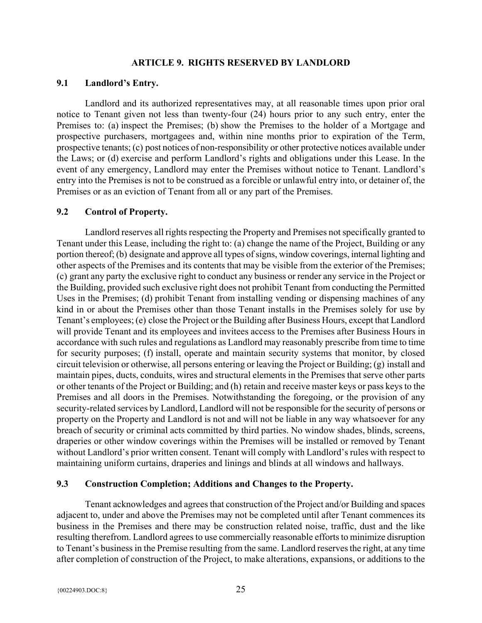#### **ARTICLE 9. RIGHTS RESERVED BY LANDLORD**

#### **9.1 Landlord's Entry.**

Landlord and its authorized representatives may, at all reasonable times upon prior oral notice to Tenant given not less than twenty-four (24) hours prior to any such entry, enter the Premises to: (a) inspect the Premises; (b) show the Premises to the holder of a Mortgage and prospective purchasers, mortgagees and, within nine months prior to expiration of the Term, prospective tenants; (c) post notices of non-responsibility or other protective notices available under the Laws; or (d) exercise and perform Landlord's rights and obligations under this Lease. In the event of any emergency, Landlord may enter the Premises without notice to Tenant. Landlord's entry into the Premises is not to be construed as a forcible or unlawful entry into, or detainer of, the Premises or as an eviction of Tenant from all or any part of the Premises.

#### **9.2 Control of Property.**

Landlord reserves all rights respecting the Property and Premises not specifically granted to Tenant under this Lease, including the right to: (a) change the name of the Project, Building or any portion thereof; (b) designate and approve all types of signs, window coverings, internal lighting and other aspects of the Premises and its contents that may be visible from the exterior of the Premises; (c) grant any party the exclusive right to conduct any business or render any service in the Project or the Building, provided such exclusive right does not prohibit Tenant from conducting the Permitted Uses in the Premises; (d) prohibit Tenant from installing vending or dispensing machines of any kind in or about the Premises other than those Tenant installs in the Premises solely for use by Tenant's employees; (e) close the Project or the Building after Business Hours, except that Landlord will provide Tenant and its employees and invitees access to the Premises after Business Hours in accordance with such rules and regulations as Landlord may reasonably prescribe from time to time for security purposes; (f) install, operate and maintain security systems that monitor, by closed circuit television or otherwise, all persons entering or leaving the Project or Building; (g) install and maintain pipes, ducts, conduits, wires and structural elements in the Premises that serve other parts or other tenants of the Project or Building; and (h) retain and receive master keys or pass keys to the Premises and all doors in the Premises. Notwithstanding the foregoing, or the provision of any security-related services by Landlord, Landlord will not be responsible for the security of persons or property on the Property and Landlord is not and will not be liable in any way whatsoever for any breach of security or criminal acts committed by third parties. No window shades, blinds, screens, draperies or other window coverings within the Premises will be installed or removed by Tenant without Landlord's prior written consent. Tenant will comply with Landlord's rules with respect to maintaining uniform curtains, draperies and linings and blinds at all windows and hallways.

#### **9.3 Construction Completion; Additions and Changes to the Property.**

Tenant acknowledges and agrees that construction of the Project and/or Building and spaces adjacent to, under and above the Premises may not be completed until after Tenant commences its business in the Premises and there may be construction related noise, traffic, dust and the like resulting therefrom. Landlord agrees to use commercially reasonable efforts to minimize disruption to Tenant's business in the Premise resulting from the same. Landlord reserves the right, at any time after completion of construction of the Project, to make alterations, expansions, or additions to the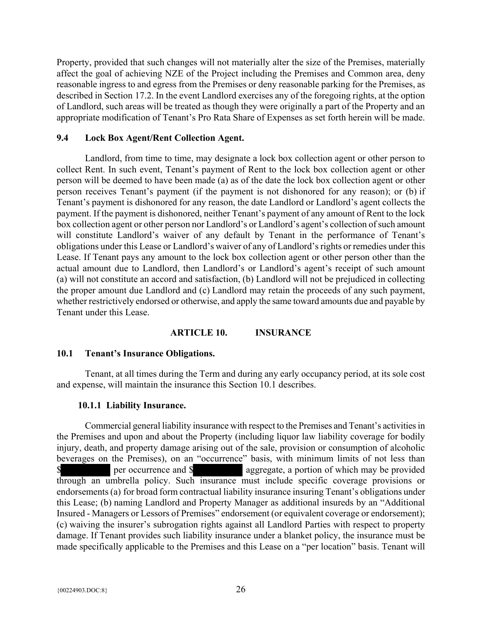Property, provided that such changes will not materially alter the size of the Premises, materially affect the goal of achieving NZE of the Project including the Premises and Common area, deny reasonable ingress to and egress from the Premises or deny reasonable parking for the Premises, as described in Section 17.2. In the event Landlord exercises any of the foregoing rights, at the option of Landlord, such areas will be treated as though they were originally a part of the Property and an appropriate modification of Tenant's Pro Rata Share of Expenses as set forth herein will be made.

### **9.4 Lock Box Agent/Rent Collection Agent.**

Landlord, from time to time, may designate a lock box collection agent or other person to collect Rent. In such event, Tenant's payment of Rent to the lock box collection agent or other person will be deemed to have been made (a) as of the date the lock box collection agent or other person receives Tenant's payment (if the payment is not dishonored for any reason); or (b) if Tenant's payment is dishonored for any reason, the date Landlord or Landlord's agent collects the payment. If the payment is dishonored, neither Tenant's payment of any amount of Rent to the lock box collection agent or other person nor Landlord's or Landlord's agent's collection of such amount will constitute Landlord's waiver of any default by Tenant in the performance of Tenant's obligations under this Lease or Landlord's waiver of any of Landlord's rights or remedies under this Lease. If Tenant pays any amount to the lock box collection agent or other person other than the actual amount due to Landlord, then Landlord's or Landlord's agent's receipt of such amount (a) will not constitute an accord and satisfaction, (b) Landlord will not be prejudiced in collecting the proper amount due Landlord and (c) Landlord may retain the proceeds of any such payment, whether restrictively endorsed or otherwise, and apply the same toward amounts due and payable by Tenant under this Lease.

# **ARTICLE 10. INSURANCE**

### **10.1 Tenant's Insurance Obligations.**

Tenant, at all times during the Term and during any early occupancy period, at its sole cost and expense, will maintain the insurance this Section 10.1 describes.

### **10.1.1 Liability Insurance.**

Commercial general liability insurance with respect to the Premises and Tenant's activities in the Premises and upon and about the Property (including liquor law liability coverage for bodily injury, death, and property damage arising out of the sale, provision or consumption of alcoholic beverages on the Premises), on an "occurrence" basis, with minimum limits of not less than per occurrence and \$ aggregate, a portion of which may be provided through an umbrella policy. Such insurance must include specific coverage provisions or endorsements (a) for broad form contractual liability insurance insuring Tenant's obligations under this Lease; (b) naming Landlord and Property Manager as additional insureds by an "Additional Insured - Managers or Lessors of Premises" endorsement (or equivalent coverage or endorsement); (c) waiving the insurer's subrogation rights against all Landlord Parties with respect to property damage. If Tenant provides such liability insurance under a blanket policy, the insurance must be made specifically applicable to the Premises and this Lease on a "per location" basis. Tenant will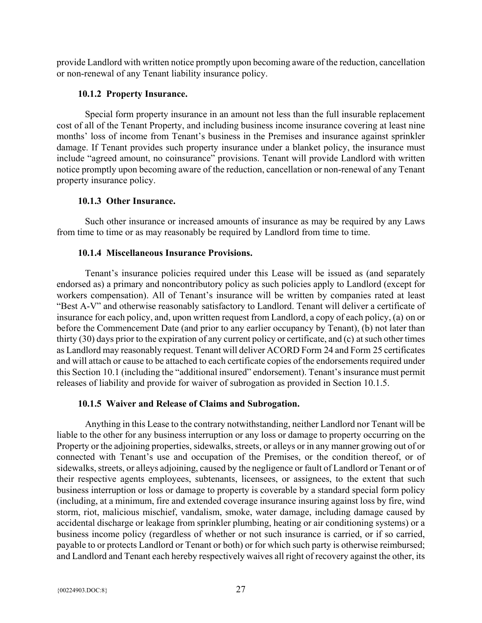provide Landlord with written notice promptly upon becoming aware of the reduction, cancellation or non-renewal of any Tenant liability insurance policy.

### **10.1.2 Property Insurance.**

Special form property insurance in an amount not less than the full insurable replacement cost of all of the Tenant Property, and including business income insurance covering at least nine months' loss of income from Tenant's business in the Premises and insurance against sprinkler damage. If Tenant provides such property insurance under a blanket policy, the insurance must include "agreed amount, no coinsurance" provisions. Tenant will provide Landlord with written notice promptly upon becoming aware of the reduction, cancellation or non-renewal of any Tenant property insurance policy.

### **10.1.3 Other Insurance.**

Such other insurance or increased amounts of insurance as may be required by any Laws from time to time or as may reasonably be required by Landlord from time to time.

# **10.1.4 Miscellaneous Insurance Provisions.**

Tenant's insurance policies required under this Lease will be issued as (and separately endorsed as) a primary and noncontributory policy as such policies apply to Landlord (except for workers compensation). All of Tenant's insurance will be written by companies rated at least "Best A-V" and otherwise reasonably satisfactory to Landlord. Tenant will deliver a certificate of insurance for each policy, and, upon written request from Landlord, a copy of each policy, (a) on or before the Commencement Date (and prior to any earlier occupancy by Tenant), (b) not later than thirty (30) days prior to the expiration of any current policy or certificate, and (c) at such other times as Landlord may reasonably request. Tenant will deliver ACORD Form 24 and Form 25 certificates and will attach or cause to be attached to each certificate copies of the endorsements required under this Section 10.1 (including the "additional insured" endorsement). Tenant's insurance must permit releases of liability and provide for waiver of subrogation as provided in Section 10.1.5.

# **10.1.5 Waiver and Release of Claims and Subrogation.**

Anything in this Lease to the contrary notwithstanding, neither Landlord nor Tenant will be liable to the other for any business interruption or any loss or damage to property occurring on the Property or the adjoining properties, sidewalks, streets, or alleys or in any manner growing out of or connected with Tenant's use and occupation of the Premises, or the condition thereof, or of sidewalks, streets, or alleys adjoining, caused by the negligence or fault of Landlord or Tenant or of their respective agents employees, subtenants, licensees, or assignees, to the extent that such business interruption or loss or damage to property is coverable by a standard special form policy (including, at a minimum, fire and extended coverage insurance insuring against loss by fire, wind storm, riot, malicious mischief, vandalism, smoke, water damage, including damage caused by accidental discharge or leakage from sprinkler plumbing, heating or air conditioning systems) or a business income policy (regardless of whether or not such insurance is carried, or if so carried, payable to or protects Landlord or Tenant or both) or for which such party is otherwise reimbursed; and Landlord and Tenant each hereby respectively waives all right of recovery against the other, its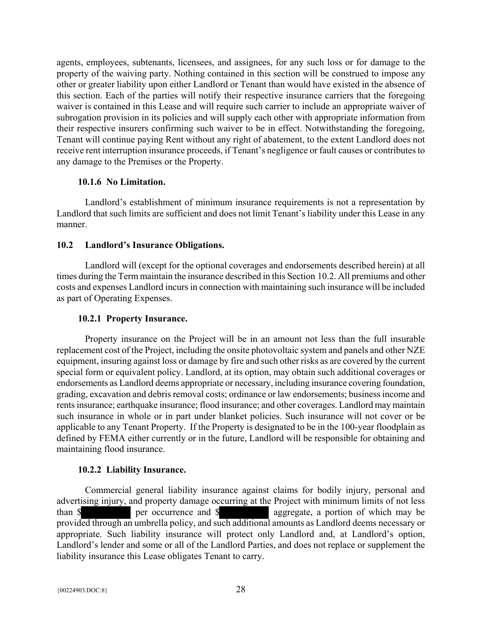agents, employees, subtenants, licensees, and assignees, for any such loss or for damage to the property of the waiving party. Nothing contained in this section will be construed to impose any other or greater liability upon either Landlord or Tenant than would have existed in the absence of this section. Each of the parties will notify their respective insurance carriers that the foregoing waiver is contained in this Lease and will require such carrier to include an appropriate waiver of subrogation provision in its policies and will supply each other with appropriate information from their respective insurers confirming such waiver to be in effect. Notwithstanding the foregoing, Tenant will continue paying Rent without any right of abatement, to the extent Landlord does not receive rent interruption insurance proceeds, if Tenant's negligence or fault causes or contributes to any damage to the Premises or the Property.

# **10.1.6 No Limitation.**

Landlord's establishment of minimum insurance requirements is not a representation by Landlord that such limits are sufficient and does not limit Tenant's liability under this Lease in any manner.

# **10.2 Landlord's Insurance Obligations.**

Landlord will (except for the optional coverages and endorsements described herein) at all times during the Term maintain the insurance described in this Section 10.2. All premiums and other costs and expenses Landlord incurs in connection with maintaining such insurance will be included as part of Operating Expenses.

# **10.2.1 Property Insurance.**

Property insurance on the Project will be in an amount not less than the full insurable replacement cost of the Project, including the onsite photovoltaic system and panels and other NZE equipment, insuring against loss or damage by fire and such other risks as are covered by the current special form or equivalent policy. Landlord, at its option, may obtain such additional coverages or endorsements as Landlord deems appropriate or necessary, including insurance covering foundation, grading, excavation and debris removal costs; ordinance or law endorsements; business income and rents insurance; earthquake insurance; flood insurance; and other coverages. Landlord may maintain such insurance in whole or in part under blanket policies. Such insurance will not cover or be applicable to any Tenant Property. If the Property is designated to be in the 100-year floodplain as defined by FEMA either currently or in the future, Landlord will be responsible for obtaining and maintaining flood insurance.

### **10.2.2 Liability Insurance.**

Commercial general liability insurance against claims for bodily injury, personal and advertising injury, and property damage occurring at the Project with minimum limits of not less than \$ per occurrence and \$ aggregate, a portion of which may be provided through an umbrella policy, and such additional amounts as Landlord deems necessary or appropriate. Such liability insurance will protect only Landlord and, at Landlord's option, Landlord's lender and some or all of the Landlord Parties, and does not replace or supplement the liability insurance this Lease obligates Tenant to carry.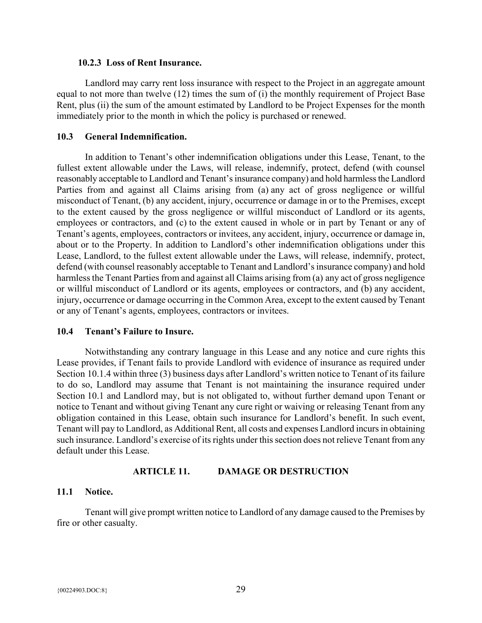#### **10.2.3 Loss of Rent Insurance.**

Landlord may carry rent loss insurance with respect to the Project in an aggregate amount equal to not more than twelve (12) times the sum of (i) the monthly requirement of Project Base Rent, plus (ii) the sum of the amount estimated by Landlord to be Project Expenses for the month immediately prior to the month in which the policy is purchased or renewed.

#### **10.3 General Indemnification.**

In addition to Tenant's other indemnification obligations under this Lease, Tenant, to the fullest extent allowable under the Laws, will release, indemnify, protect, defend (with counsel reasonably acceptable to Landlord and Tenant's insurance company) and hold harmless the Landlord Parties from and against all Claims arising from (a) any act of gross negligence or willful misconduct of Tenant, (b) any accident, injury, occurrence or damage in or to the Premises, except to the extent caused by the gross negligence or willful misconduct of Landlord or its agents, employees or contractors, and (c) to the extent caused in whole or in part by Tenant or any of Tenant's agents, employees, contractors or invitees, any accident, injury, occurrence or damage in, about or to the Property. In addition to Landlord's other indemnification obligations under this Lease, Landlord, to the fullest extent allowable under the Laws, will release, indemnify, protect, defend (with counsel reasonably acceptable to Tenant and Landlord's insurance company) and hold harmless the Tenant Parties from and against all Claims arising from (a) any act of gross negligence or willful misconduct of Landlord or its agents, employees or contractors, and (b) any accident, injury, occurrence or damage occurring in the Common Area, except to the extent caused by Tenant or any of Tenant's agents, employees, contractors or invitees.

#### **10.4 Tenant's Failure to Insure.**

Notwithstanding any contrary language in this Lease and any notice and cure rights this Lease provides, if Tenant fails to provide Landlord with evidence of insurance as required under Section 10.1.4 within three (3) business days after Landlord's written notice to Tenant of its failure to do so, Landlord may assume that Tenant is not maintaining the insurance required under Section 10.1 and Landlord may, but is not obligated to, without further demand upon Tenant or notice to Tenant and without giving Tenant any cure right or waiving or releasing Tenant from any obligation contained in this Lease, obtain such insurance for Landlord's benefit. In such event, Tenant will pay to Landlord, as Additional Rent, all costs and expenses Landlord incurs in obtaining such insurance. Landlord's exercise of its rights under this section does not relieve Tenant from any default under this Lease.

### **ARTICLE 11. DAMAGE OR DESTRUCTION**

#### **11.1 Notice.**

Tenant will give prompt written notice to Landlord of any damage caused to the Premises by fire or other casualty.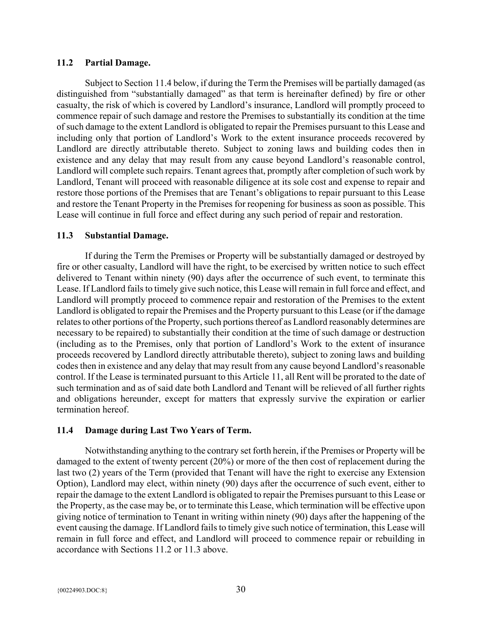### **11.2 Partial Damage.**

Subject to Section 11.4 below, if during the Term the Premises will be partially damaged (as distinguished from "substantially damaged" as that term is hereinafter defined) by fire or other casualty, the risk of which is covered by Landlord's insurance, Landlord will promptly proceed to commence repair of such damage and restore the Premises to substantially its condition at the time of such damage to the extent Landlord is obligated to repair the Premises pursuant to this Lease and including only that portion of Landlord's Work to the extent insurance proceeds recovered by Landlord are directly attributable thereto. Subject to zoning laws and building codes then in existence and any delay that may result from any cause beyond Landlord's reasonable control, Landlord will complete such repairs. Tenant agrees that, promptly after completion of such work by Landlord, Tenant will proceed with reasonable diligence at its sole cost and expense to repair and restore those portions of the Premises that are Tenant's obligations to repair pursuant to this Lease and restore the Tenant Property in the Premises for reopening for business as soon as possible. This Lease will continue in full force and effect during any such period of repair and restoration.

### **11.3 Substantial Damage.**

If during the Term the Premises or Property will be substantially damaged or destroyed by fire or other casualty, Landlord will have the right, to be exercised by written notice to such effect delivered to Tenant within ninety (90) days after the occurrence of such event, to terminate this Lease. If Landlord fails to timely give such notice, this Lease will remain in full force and effect, and Landlord will promptly proceed to commence repair and restoration of the Premises to the extent Landlord is obligated to repair the Premises and the Property pursuant to this Lease (or if the damage relates to other portions of the Property, such portions thereof as Landlord reasonably determines are necessary to be repaired) to substantially their condition at the time of such damage or destruction (including as to the Premises, only that portion of Landlord's Work to the extent of insurance proceeds recovered by Landlord directly attributable thereto), subject to zoning laws and building codes then in existence and any delay that may result from any cause beyond Landlord's reasonable control. If the Lease is terminated pursuant to this Article 11, all Rent will be prorated to the date of such termination and as of said date both Landlord and Tenant will be relieved of all further rights and obligations hereunder, except for matters that expressly survive the expiration or earlier termination hereof.

# **11.4 Damage during Last Two Years of Term.**

Notwithstanding anything to the contrary set forth herein, if the Premises or Property will be damaged to the extent of twenty percent (20%) or more of the then cost of replacement during the last two (2) years of the Term (provided that Tenant will have the right to exercise any Extension Option), Landlord may elect, within ninety (90) days after the occurrence of such event, either to repair the damage to the extent Landlord is obligated to repair the Premises pursuant to this Lease or the Property, as the case may be, or to terminate this Lease, which termination will be effective upon giving notice of termination to Tenant in writing within ninety (90) days after the happening of the event causing the damage. If Landlord fails to timely give such notice of termination, this Lease will remain in full force and effect, and Landlord will proceed to commence repair or rebuilding in accordance with Sections 11.2 or 11.3 above.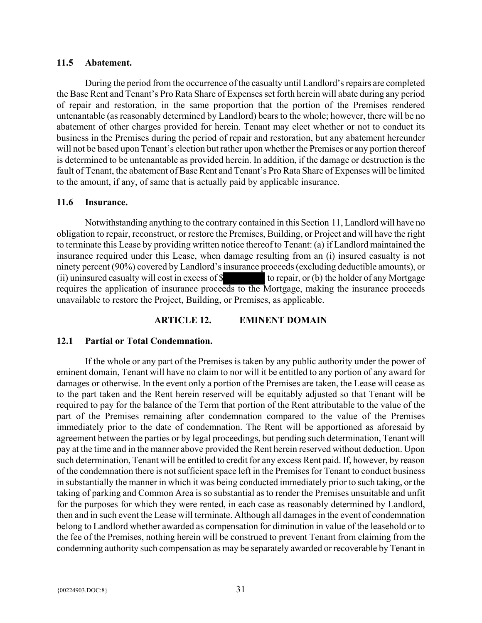#### **11.5 Abatement.**

During the period from the occurrence of the casualty until Landlord's repairs are completed the Base Rent and Tenant's Pro Rata Share of Expenses set forth herein will abate during any period of repair and restoration, in the same proportion that the portion of the Premises rendered untenantable (as reasonably determined by Landlord) bears to the whole; however, there will be no abatement of other charges provided for herein. Tenant may elect whether or not to conduct its business in the Premises during the period of repair and restoration, but any abatement hereunder will not be based upon Tenant's election but rather upon whether the Premises or any portion thereof is determined to be untenantable as provided herein. In addition, if the damage or destruction is the fault of Tenant, the abatement of Base Rent and Tenant's Pro Rata Share of Expenses will be limited to the amount, if any, of same that is actually paid by applicable insurance.

#### **11.6 Insurance.**

Notwithstanding anything to the contrary contained in this Section 11, Landlord will have no obligation to repair, reconstruct, or restore the Premises, Building, or Project and will have the right to terminate this Lease by providing written notice thereof to Tenant: (a) if Landlord maintained the insurance required under this Lease, when damage resulting from an (i) insured casualty is not ninety percent (90%) covered by Landlord's insurance proceeds (excluding deductible amounts), or (ii) uninsured casualty will cost in excess of  $\$\$  to repair, or (b) the holder of any Mortgage requires the application of insurance proceeds to the Mortgage, making the insurance proceeds unavailable to restore the Project, Building, or Premises, as applicable.

### **ARTICLE 12. EMINENT DOMAIN**

#### **12.1 Partial or Total Condemnation.**

If the whole or any part of the Premises is taken by any public authority under the power of eminent domain, Tenant will have no claim to nor will it be entitled to any portion of any award for damages or otherwise. In the event only a portion of the Premises are taken, the Lease will cease as to the part taken and the Rent herein reserved will be equitably adjusted so that Tenant will be required to pay for the balance of the Term that portion of the Rent attributable to the value of the part of the Premises remaining after condemnation compared to the value of the Premises immediately prior to the date of condemnation. The Rent will be apportioned as aforesaid by agreement between the parties or by legal proceedings, but pending such determination, Tenant will pay at the time and in the manner above provided the Rent herein reserved without deduction. Upon such determination, Tenant will be entitled to credit for any excess Rent paid. If, however, by reason of the condemnation there is not sufficient space left in the Premises for Tenant to conduct business in substantially the manner in which it was being conducted immediately prior to such taking, or the taking of parking and Common Area is so substantial as to render the Premises unsuitable and unfit for the purposes for which they were rented, in each case as reasonably determined by Landlord, then and in such event the Lease will terminate. Although all damages in the event of condemnation belong to Landlord whether awarded as compensation for diminution in value of the leasehold or to the fee of the Premises, nothing herein will be construed to prevent Tenant from claiming from the condemning authority such compensation as may be separately awarded or recoverable by Tenant in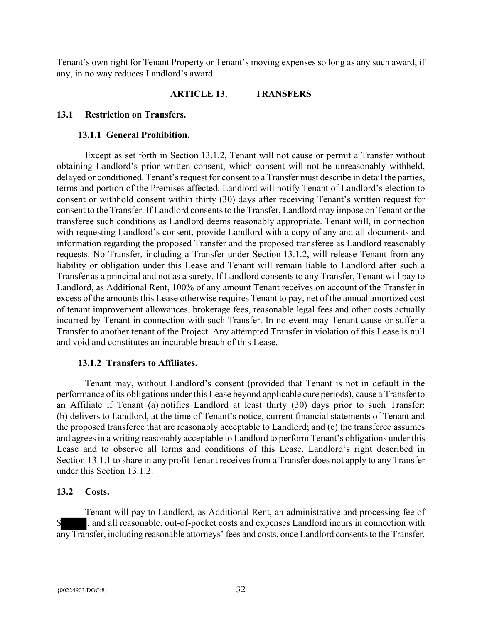Tenant's own right for Tenant Property or Tenant's moving expenses so long as any such award, if any, in no way reduces Landlord's award.

### **ARTICLE 13. TRANSFERS**

### **13.1 Restriction on Transfers.**

#### **13.1.1 General Prohibition.**

Except as set forth in Section 13.1.2, Tenant will not cause or permit a Transfer without obtaining Landlord's prior written consent, which consent will not be unreasonably withheld, delayed or conditioned. Tenant's request for consent to a Transfer must describe in detail the parties, terms and portion of the Premises affected. Landlord will notify Tenant of Landlord's election to consent or withhold consent within thirty (30) days after receiving Tenant's written request for consent to the Transfer. If Landlord consents to the Transfer, Landlord may impose on Tenant or the transferee such conditions as Landlord deems reasonably appropriate. Tenant will, in connection with requesting Landlord's consent, provide Landlord with a copy of any and all documents and information regarding the proposed Transfer and the proposed transferee as Landlord reasonably requests. No Transfer, including a Transfer under Section 13.1.2, will release Tenant from any liability or obligation under this Lease and Tenant will remain liable to Landlord after such a Transfer as a principal and not as a surety. If Landlord consents to any Transfer, Tenant will pay to Landlord, as Additional Rent, 100% of any amount Tenant receives on account of the Transfer in excess of the amounts this Lease otherwise requires Tenant to pay, net of the annual amortized cost of tenant improvement allowances, brokerage fees, reasonable legal fees and other costs actually incurred by Tenant in connection with such Transfer. In no event may Tenant cause or suffer a Transfer to another tenant of the Project. Any attempted Transfer in violation of this Lease is null and void and constitutes an incurable breach of this Lease.

#### **13.1.2 Transfers to Affiliates.**

Tenant may, without Landlord's consent (provided that Tenant is not in default in the performance of its obligations under this Lease beyond applicable cure periods), cause a Transfer to an Affiliate if Tenant (a) notifies Landlord at least thirty (30) days prior to such Transfer; (b) delivers to Landlord, at the time of Tenant's notice, current financial statements of Tenant and the proposed transferee that are reasonably acceptable to Landlord; and (c) the transferee assumes and agrees in a writing reasonably acceptable to Landlord to perform Tenant's obligations under this Lease and to observe all terms and conditions of this Lease. Landlord's right described in Section 13.1.1 to share in any profit Tenant receives from a Transfer does not apply to any Transfer under this Section 13.1.2.

### **13.2 Costs.**

Tenant will pay to Landlord, as Additional Rent, an administrative and processing fee of , and all reasonable, out-of-pocket costs and expenses Landlord incurs in connection with any Transfer, including reasonable attorneys' fees and costs, once Landlord consents to the Transfer.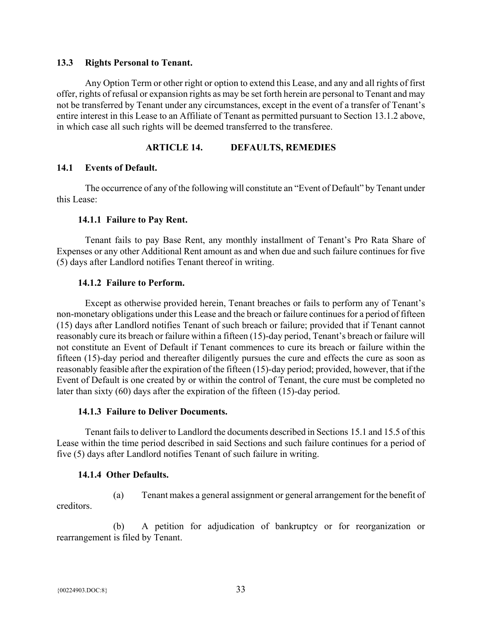#### **13.3 Rights Personal to Tenant.**

Any Option Term or other right or option to extend this Lease, and any and all rights of first offer, rights of refusal or expansion rights as may be set forth herein are personal to Tenant and may not be transferred by Tenant under any circumstances, except in the event of a transfer of Tenant's entire interest in this Lease to an Affiliate of Tenant as permitted pursuant to Section 13.1.2 above, in which case all such rights will be deemed transferred to the transferee.

#### **ARTICLE 14. DEFAULTS, REMEDIES**

#### **14.1 Events of Default.**

The occurrence of any of the following will constitute an "Event of Default" by Tenant under this Lease:

#### **14.1.1 Failure to Pay Rent.**

Tenant fails to pay Base Rent, any monthly installment of Tenant's Pro Rata Share of Expenses or any other Additional Rent amount as and when due and such failure continues for five (5) days after Landlord notifies Tenant thereof in writing.

### **14.1.2 Failure to Perform.**

Except as otherwise provided herein, Tenant breaches or fails to perform any of Tenant's non-monetary obligations under this Lease and the breach or failure continues for a period of fifteen (15) days after Landlord notifies Tenant of such breach or failure; provided that if Tenant cannot reasonably cure its breach or failure within a fifteen (15)-day period, Tenant's breach or failure will not constitute an Event of Default if Tenant commences to cure its breach or failure within the fifteen (15)-day period and thereafter diligently pursues the cure and effects the cure as soon as reasonably feasible after the expiration of the fifteen (15)-day period; provided, however, that if the Event of Default is one created by or within the control of Tenant, the cure must be completed no later than sixty (60) days after the expiration of the fifteen (15)-day period.

### **14.1.3 Failure to Deliver Documents.**

Tenant fails to deliver to Landlord the documents described in Sections 15.1 and 15.5 of this Lease within the time period described in said Sections and such failure continues for a period of five (5) days after Landlord notifies Tenant of such failure in writing.

### **14.1.4 Other Defaults.**

(a) Tenant makes a general assignment or general arrangement for the benefit of creditors.

(b) A petition for adjudication of bankruptcy or for reorganization or rearrangement is filed by Tenant.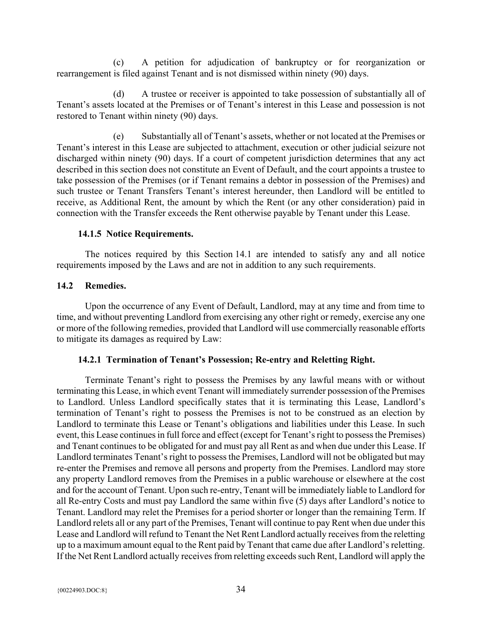(c) A petition for adjudication of bankruptcy or for reorganization or rearrangement is filed against Tenant and is not dismissed within ninety (90) days.

(d) A trustee or receiver is appointed to take possession of substantially all of Tenant's assets located at the Premises or of Tenant's interest in this Lease and possession is not restored to Tenant within ninety (90) days.

(e) Substantially all of Tenant's assets, whether or not located at the Premises or Tenant's interest in this Lease are subjected to attachment, execution or other judicial seizure not discharged within ninety (90) days. If a court of competent jurisdiction determines that any act described in this section does not constitute an Event of Default, and the court appoints a trustee to take possession of the Premises (or if Tenant remains a debtor in possession of the Premises) and such trustee or Tenant Transfers Tenant's interest hereunder, then Landlord will be entitled to receive, as Additional Rent, the amount by which the Rent (or any other consideration) paid in connection with the Transfer exceeds the Rent otherwise payable by Tenant under this Lease.

#### **14.1.5 Notice Requirements.**

The notices required by this Section 14.1 are intended to satisfy any and all notice requirements imposed by the Laws and are not in addition to any such requirements.

#### **14.2 Remedies.**

Upon the occurrence of any Event of Default, Landlord, may at any time and from time to time, and without preventing Landlord from exercising any other right or remedy, exercise any one or more of the following remedies, provided that Landlord will use commercially reasonable efforts to mitigate its damages as required by Law:

### **14.2.1 Termination of Tenant's Possession; Re-entry and Reletting Right.**

Terminate Tenant's right to possess the Premises by any lawful means with or without terminating this Lease, in which event Tenant will immediately surrender possession of the Premises to Landlord. Unless Landlord specifically states that it is terminating this Lease, Landlord's termination of Tenant's right to possess the Premises is not to be construed as an election by Landlord to terminate this Lease or Tenant's obligations and liabilities under this Lease. In such event, this Lease continues in full force and effect (except for Tenant's right to possess the Premises) and Tenant continues to be obligated for and must pay all Rent as and when due under this Lease. If Landlord terminates Tenant's right to possess the Premises, Landlord will not be obligated but may re-enter the Premises and remove all persons and property from the Premises. Landlord may store any property Landlord removes from the Premises in a public warehouse or elsewhere at the cost and for the account of Tenant. Upon such re-entry, Tenant will be immediately liable to Landlord for all Re-entry Costs and must pay Landlord the same within five (5) days after Landlord's notice to Tenant. Landlord may relet the Premises for a period shorter or longer than the remaining Term. If Landlord relets all or any part of the Premises, Tenant will continue to pay Rent when due under this Lease and Landlord will refund to Tenant the Net Rent Landlord actually receives from the reletting up to a maximum amount equal to the Rent paid by Tenant that came due after Landlord's reletting. If the Net Rent Landlord actually receives from reletting exceeds such Rent, Landlord will apply the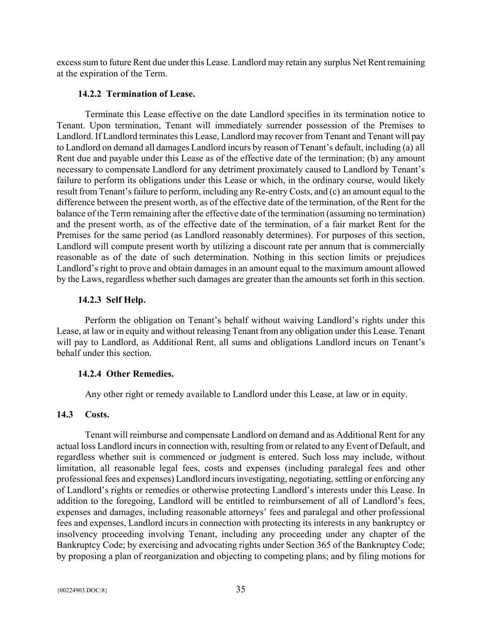excess sum to future Rent due under this Lease. Landlord may retain any surplus Net Rent remaining at the expiration of the Term.

### **14.2.2 Termination of Lease.**

Terminate this Lease effective on the date Landlord specifies in its termination notice to Tenant. Upon termination, Tenant will immediately surrender possession of the Premises to Landlord. If Landlord terminates this Lease, Landlord may recover from Tenant and Tenant will pay to Landlord on demand all damages Landlord incurs by reason of Tenant's default, including (a) all Rent due and payable under this Lease as of the effective date of the termination; (b) any amount necessary to compensate Landlord for any detriment proximately caused to Landlord by Tenant's failure to perform its obligations under this Lease or which, in the ordinary course, would likely result from Tenant's failure to perform, including any Re-entry Costs, and (c) an amount equal to the difference between the present worth, as of the effective date of the termination, of the Rent for the balance of the Term remaining after the effective date of the termination (assuming no termination) and the present worth, as of the effective date of the termination, of a fair market Rent for the Premises for the same period (as Landlord reasonably determines). For purposes of this section, Landlord will compute present worth by utilizing a discount rate per annum that is commercially reasonable as of the date of such determination. Nothing in this section limits or prejudices Landlord's right to prove and obtain damages in an amount equal to the maximum amount allowed by the Laws, regardless whether such damages are greater than the amounts set forth in this section.

### **14.2.3 Self Help.**

Perform the obligation on Tenant's behalf without waiving Landlord's rights under this Lease, at law or in equity and without releasing Tenant from any obligation under this Lease. Tenant will pay to Landlord, as Additional Rent, all sums and obligations Landlord incurs on Tenant's behalf under this section.

## **14.2.4 Other Remedies.**

Any other right or remedy available to Landlord under this Lease, at law or in equity.

## **14.3 Costs.**

Tenant will reimburse and compensate Landlord on demand and as Additional Rent for any actual loss Landlord incurs in connection with, resulting from or related to any Event of Default, and regardless whether suit is commenced or judgment is entered. Such loss may include, without limitation, all reasonable legal fees, costs and expenses (including paralegal fees and other professional fees and expenses) Landlord incurs investigating, negotiating, settling or enforcing any of Landlord's rights or remedies or otherwise protecting Landlord's interests under this Lease. In addition to the foregoing, Landlord will be entitled to reimbursement of all of Landlord's fees, expenses and damages, including reasonable attorneys' fees and paralegal and other professional fees and expenses, Landlord incurs in connection with protecting its interests in any bankruptcy or insolvency proceeding involving Tenant, including any proceeding under any chapter of the Bankruptcy Code; by exercising and advocating rights under Section 365 of the Bankruptcy Code; by proposing a plan of reorganization and objecting to competing plans; and by filing motions for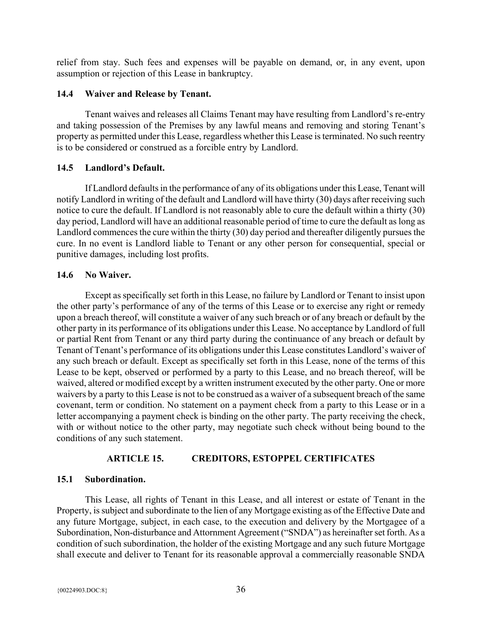relief from stay. Such fees and expenses will be payable on demand, or, in any event, upon assumption or rejection of this Lease in bankruptcy.

### **14.4 Waiver and Release by Tenant.**

Tenant waives and releases all Claims Tenant may have resulting from Landlord's re-entry and taking possession of the Premises by any lawful means and removing and storing Tenant's property as permitted under this Lease, regardless whether this Lease is terminated. No such reentry is to be considered or construed as a forcible entry by Landlord.

### **14.5 Landlord's Default.**

If Landlord defaults in the performance of any of its obligations under this Lease, Tenant will notify Landlord in writing of the default and Landlord will have thirty (30) days after receiving such notice to cure the default. If Landlord is not reasonably able to cure the default within a thirty (30) day period, Landlord will have an additional reasonable period of time to cure the default as long as Landlord commences the cure within the thirty (30) day period and thereafter diligently pursues the cure. In no event is Landlord liable to Tenant or any other person for consequential, special or punitive damages, including lost profits.

### **14.6 No Waiver.**

Except as specifically set forth in this Lease, no failure by Landlord or Tenant to insist upon the other party's performance of any of the terms of this Lease or to exercise any right or remedy upon a breach thereof, will constitute a waiver of any such breach or of any breach or default by the other party in its performance of its obligations under this Lease. No acceptance by Landlord of full or partial Rent from Tenant or any third party during the continuance of any breach or default by Tenant of Tenant's performance of its obligations under this Lease constitutes Landlord's waiver of any such breach or default. Except as specifically set forth in this Lease, none of the terms of this Lease to be kept, observed or performed by a party to this Lease, and no breach thereof, will be waived, altered or modified except by a written instrument executed by the other party. One or more waivers by a party to this Lease is not to be construed as a waiver of a subsequent breach of the same covenant, term or condition. No statement on a payment check from a party to this Lease or in a letter accompanying a payment check is binding on the other party. The party receiving the check, with or without notice to the other party, may negotiate such check without being bound to the conditions of any such statement.

### **ARTICLE 15. CREDITORS, ESTOPPEL CERTIFICATES**

### **15.1 Subordination.**

This Lease, all rights of Tenant in this Lease, and all interest or estate of Tenant in the Property, is subject and subordinate to the lien of any Mortgage existing as of the Effective Date and any future Mortgage, subject, in each case, to the execution and delivery by the Mortgagee of a Subordination, Non-disturbance and Attornment Agreement ("SNDA") as hereinafter set forth. As a condition of such subordination, the holder of the existing Mortgage and any such future Mortgage shall execute and deliver to Tenant for its reasonable approval a commercially reasonable SNDA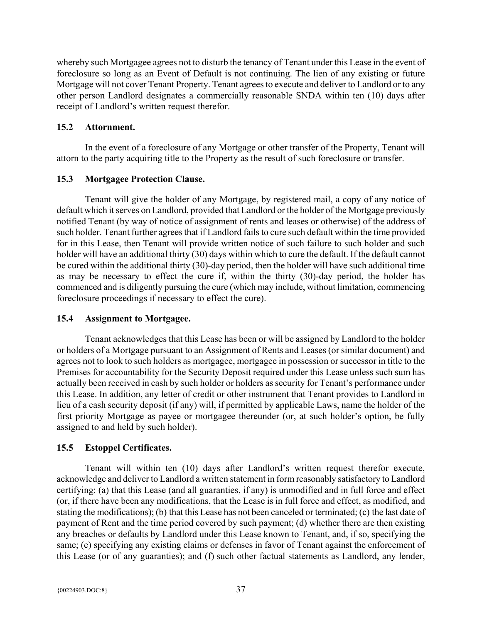whereby such Mortgagee agrees not to disturb the tenancy of Tenant under this Lease in the event of foreclosure so long as an Event of Default is not continuing. The lien of any existing or future Mortgage will not cover Tenant Property. Tenant agrees to execute and deliver to Landlord or to any other person Landlord designates a commercially reasonable SNDA within ten (10) days after receipt of Landlord's written request therefor.

#### **15.2 Attornment.**

In the event of a foreclosure of any Mortgage or other transfer of the Property, Tenant will attorn to the party acquiring title to the Property as the result of such foreclosure or transfer.

### **15.3 Mortgagee Protection Clause.**

Tenant will give the holder of any Mortgage, by registered mail, a copy of any notice of default which it serves on Landlord, provided that Landlord or the holder of the Mortgage previously notified Tenant (by way of notice of assignment of rents and leases or otherwise) of the address of such holder. Tenant further agrees that if Landlord fails to cure such default within the time provided for in this Lease, then Tenant will provide written notice of such failure to such holder and such holder will have an additional thirty (30) days within which to cure the default. If the default cannot be cured within the additional thirty (30)-day period, then the holder will have such additional time as may be necessary to effect the cure if, within the thirty (30)-day period, the holder has commenced and is diligently pursuing the cure (which may include, without limitation, commencing foreclosure proceedings if necessary to effect the cure).

### **15.4 Assignment to Mortgagee.**

Tenant acknowledges that this Lease has been or will be assigned by Landlord to the holder or holders of a Mortgage pursuant to an Assignment of Rents and Leases (or similar document) and agrees not to look to such holders as mortgagee, mortgagee in possession or successor in title to the Premises for accountability for the Security Deposit required under this Lease unless such sum has actually been received in cash by such holder or holders as security for Tenant's performance under this Lease. In addition, any letter of credit or other instrument that Tenant provides to Landlord in lieu of a cash security deposit (if any) will, if permitted by applicable Laws, name the holder of the first priority Mortgage as payee or mortgagee thereunder (or, at such holder's option, be fully assigned to and held by such holder).

## **15.5 Estoppel Certificates.**

Tenant will within ten (10) days after Landlord's written request therefor execute, acknowledge and deliver to Landlord a written statement in form reasonably satisfactory to Landlord certifying: (a) that this Lease (and all guaranties, if any) is unmodified and in full force and effect (or, if there have been any modifications, that the Lease is in full force and effect, as modified, and stating the modifications); (b) that this Lease has not been canceled or terminated; (c) the last date of payment of Rent and the time period covered by such payment; (d) whether there are then existing any breaches or defaults by Landlord under this Lease known to Tenant, and, if so, specifying the same; (e) specifying any existing claims or defenses in favor of Tenant against the enforcement of this Lease (or of any guaranties); and (f) such other factual statements as Landlord, any lender,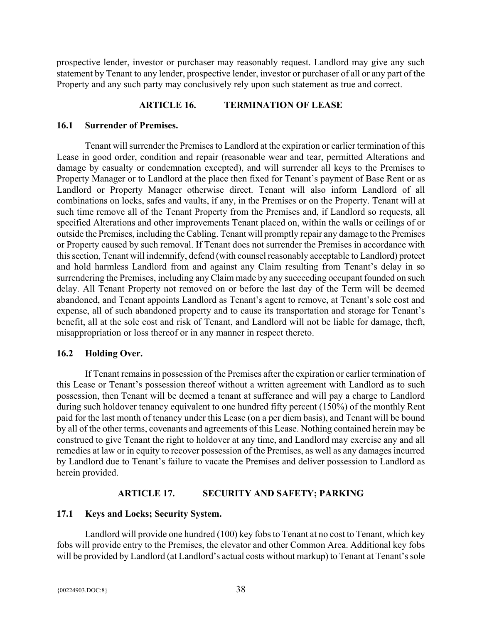prospective lender, investor or purchaser may reasonably request. Landlord may give any such statement by Tenant to any lender, prospective lender, investor or purchaser of all or any part of the Property and any such party may conclusively rely upon such statement as true and correct.

### **ARTICLE 16. TERMINATION OF LEASE**

### **16.1 Surrender of Premises.**

Tenant will surrender the Premises to Landlord at the expiration or earlier termination of this Lease in good order, condition and repair (reasonable wear and tear, permitted Alterations and damage by casualty or condemnation excepted), and will surrender all keys to the Premises to Property Manager or to Landlord at the place then fixed for Tenant's payment of Base Rent or as Landlord or Property Manager otherwise direct. Tenant will also inform Landlord of all combinations on locks, safes and vaults, if any, in the Premises or on the Property. Tenant will at such time remove all of the Tenant Property from the Premises and, if Landlord so requests, all specified Alterations and other improvements Tenant placed on, within the walls or ceilings of or outside the Premises, including the Cabling. Tenant will promptly repair any damage to the Premises or Property caused by such removal. If Tenant does not surrender the Premises in accordance with this section, Tenant will indemnify, defend (with counsel reasonably acceptable to Landlord) protect and hold harmless Landlord from and against any Claim resulting from Tenant's delay in so surrendering the Premises, including any Claim made by any succeeding occupant founded on such delay. All Tenant Property not removed on or before the last day of the Term will be deemed abandoned, and Tenant appoints Landlord as Tenant's agent to remove, at Tenant's sole cost and expense, all of such abandoned property and to cause its transportation and storage for Tenant's benefit, all at the sole cost and risk of Tenant, and Landlord will not be liable for damage, theft, misappropriation or loss thereof or in any manner in respect thereto.

### **16.2 Holding Over.**

If Tenant remains in possession of the Premises after the expiration or earlier termination of this Lease or Tenant's possession thereof without a written agreement with Landlord as to such possession, then Tenant will be deemed a tenant at sufferance and will pay a charge to Landlord during such holdover tenancy equivalent to one hundred fifty percent (150%) of the monthly Rent paid for the last month of tenancy under this Lease (on a per diem basis), and Tenant will be bound by all of the other terms, covenants and agreements of this Lease. Nothing contained herein may be construed to give Tenant the right to holdover at any time, and Landlord may exercise any and all remedies at law or in equity to recover possession of the Premises, as well as any damages incurred by Landlord due to Tenant's failure to vacate the Premises and deliver possession to Landlord as herein provided.

### **ARTICLE 17. SECURITY AND SAFETY; PARKING**

### **17.1 Keys and Locks; Security System.**

Landlord will provide one hundred (100) key fobs to Tenant at no cost to Tenant, which key fobs will provide entry to the Premises, the elevator and other Common Area. Additional key fobs will be provided by Landlord (at Landlord's actual costs without markup) to Tenant at Tenant's sole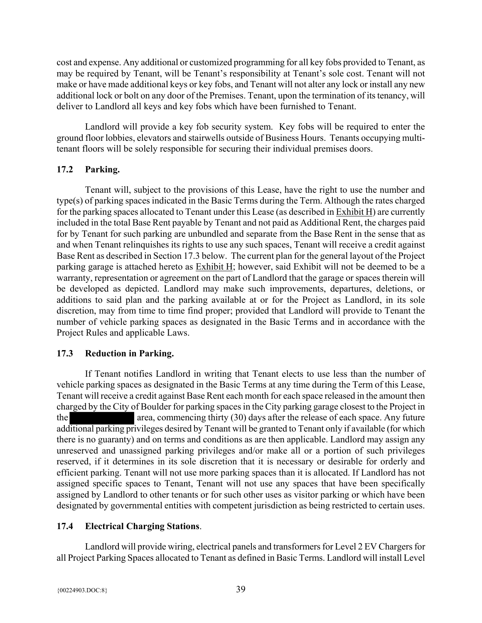cost and expense. Any additional or customized programming for all key fobs provided to Tenant, as may be required by Tenant, will be Tenant's responsibility at Tenant's sole cost. Tenant will not make or have made additional keys or key fobs, and Tenant will not alter any lock or install any new additional lock or bolt on any door of the Premises. Tenant, upon the termination of its tenancy, will deliver to Landlord all keys and key fobs which have been furnished to Tenant.

Landlord will provide a key fob security system. Key fobs will be required to enter the ground floor lobbies, elevators and stairwells outside of Business Hours. Tenants occupying multitenant floors will be solely responsible for securing their individual premises doors.

### **17.2 Parking.**

Tenant will, subject to the provisions of this Lease, have the right to use the number and type(s) of parking spaces indicated in the Basic Terms during the Term. Although the rates charged for the parking spaces allocated to Tenant under this Lease (as described in Exhibit H) are currently included in the total Base Rent payable by Tenant and not paid as Additional Rent, the charges paid for by Tenant for such parking are unbundled and separate from the Base Rent in the sense that as and when Tenant relinquishes its rights to use any such spaces, Tenant will receive a credit against Base Rent as described in Section 17.3 below. The current plan for the general layout of the Project parking garage is attached hereto as Exhibit H; however, said Exhibit will not be deemed to be a warranty, representation or agreement on the part of Landlord that the garage or spaces therein will be developed as depicted. Landlord may make such improvements, departures, deletions, or additions to said plan and the parking available at or for the Project as Landlord, in its sole discretion, may from time to time find proper; provided that Landlord will provide to Tenant the number of vehicle parking spaces as designated in the Basic Terms and in accordance with the Project Rules and applicable Laws.

## **17.3 Reduction in Parking.**

If Tenant notifies Landlord in writing that Tenant elects to use less than the number of vehicle parking spaces as designated in the Basic Terms at any time during the Term of this Lease, Tenant will receive a credit against Base Rent each month for each space released in the amount then charged by the City of Boulder for parking spaces in the City parking garage closest to the Project in the area, commencing thirty (30) days after the release of each space. Any future additional parking privileges desired by Tenant will be granted to Tenant only if available (for which there is no guaranty) and on terms and conditions as are then applicable. Landlord may assign any unreserved and unassigned parking privileges and/or make all or a portion of such privileges reserved, if it determines in its sole discretion that it is necessary or desirable for orderly and efficient parking. Tenant will not use more parking spaces than it is allocated. If Landlord has not assigned specific spaces to Tenant, Tenant will not use any spaces that have been specifically assigned by Landlord to other tenants or for such other uses as visitor parking or which have been designated by governmental entities with competent jurisdiction as being restricted to certain uses.

## **17.4 Electrical Charging Stations**.

Landlord will provide wiring, electrical panels and transformers for Level 2 EV Chargers for all Project Parking Spaces allocated to Tenant as defined in Basic Terms. Landlord will install Level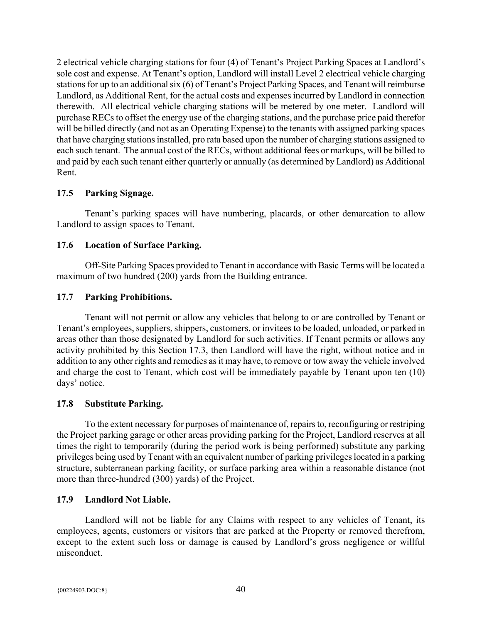2 electrical vehicle charging stations for four (4) of Tenant's Project Parking Spaces at Landlord's sole cost and expense. At Tenant's option, Landlord will install Level 2 electrical vehicle charging stations for up to an additional six (6) of Tenant's Project Parking Spaces, and Tenant will reimburse Landlord, as Additional Rent, for the actual costs and expenses incurred by Landlord in connection therewith. All electrical vehicle charging stations will be metered by one meter. Landlord will purchase RECs to offset the energy use of the charging stations, and the purchase price paid therefor will be billed directly (and not as an Operating Expense) to the tenants with assigned parking spaces that have charging stations installed, pro rata based upon the number of charging stations assigned to each such tenant. The annual cost of the RECs, without additional fees or markups, will be billed to and paid by each such tenant either quarterly or annually (as determined by Landlord) as Additional Rent.

### **17.5 Parking Signage.**

Tenant's parking spaces will have numbering, placards, or other demarcation to allow Landlord to assign spaces to Tenant.

### **17.6 Location of Surface Parking.**

Off-Site Parking Spaces provided to Tenant in accordance with Basic Terms will be located a maximum of two hundred (200) yards from the Building entrance.

### **17.7 Parking Prohibitions.**

Tenant will not permit or allow any vehicles that belong to or are controlled by Tenant or Tenant's employees, suppliers, shippers, customers, or invitees to be loaded, unloaded, or parked in areas other than those designated by Landlord for such activities. If Tenant permits or allows any activity prohibited by this Section 17.3, then Landlord will have the right, without notice and in addition to any other rights and remedies as it may have, to remove or tow away the vehicle involved and charge the cost to Tenant, which cost will be immediately payable by Tenant upon ten (10) days' notice.

### **17.8 Substitute Parking.**

To the extent necessary for purposes of maintenance of, repairs to, reconfiguring or restriping the Project parking garage or other areas providing parking for the Project, Landlord reserves at all times the right to temporarily (during the period work is being performed) substitute any parking privileges being used by Tenant with an equivalent number of parking privileges located in a parking structure, subterranean parking facility, or surface parking area within a reasonable distance (not more than three-hundred (300) yards) of the Project.

#### **17.9 Landlord Not Liable.**

Landlord will not be liable for any Claims with respect to any vehicles of Tenant, its employees, agents, customers or visitors that are parked at the Property or removed therefrom, except to the extent such loss or damage is caused by Landlord's gross negligence or willful misconduct.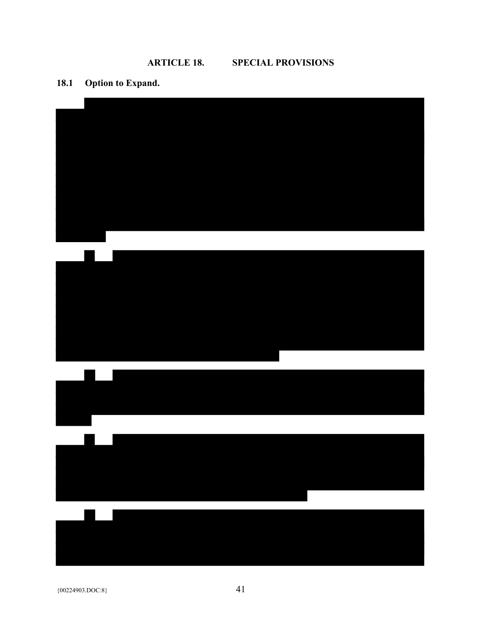## **ARTICLE 18. SPECIAL PROVISIONS**

## **18.1 Option to Expand.**

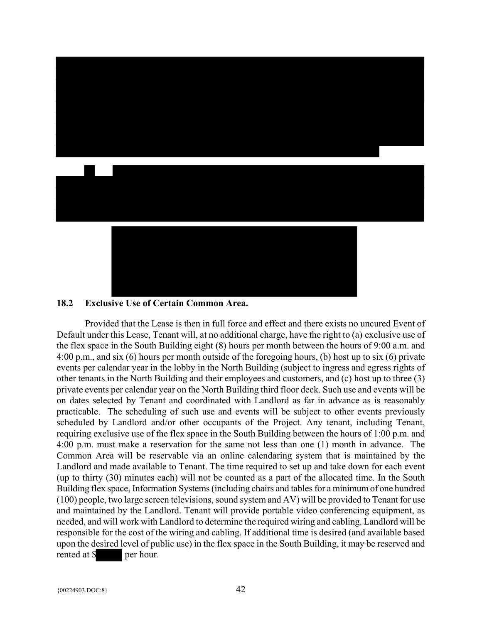

**18.2 Exclusive Use of Certain Common Area.** 

Provided that the Lease is then in full force and effect and there exists no uncured Event of Default under this Lease, Tenant will, at no additional charge, have the right to (a) exclusive use of the flex space in the South Building eight (8) hours per month between the hours of 9:00 a.m. and 4:00 p.m., and six (6) hours per month outside of the foregoing hours, (b) host up to six (6) private events per calendar year in the lobby in the North Building (subject to ingress and egress rights of other tenants in the North Building and their employees and customers, and (c) host up to three (3) private events per calendar year on the North Building third floor deck. Such use and events will be on dates selected by Tenant and coordinated with Landlord as far in advance as is reasonably practicable. The scheduling of such use and events will be subject to other events previously scheduled by Landlord and/or other occupants of the Project. Any tenant, including Tenant, requiring exclusive use of the flex space in the South Building between the hours of 1:00 p.m. and 4:00 p.m. must make a reservation for the same not less than one (1) month in advance. The Common Area will be reservable via an online calendaring system that is maintained by the Landlord and made available to Tenant. The time required to set up and take down for each event (up to thirty (30) minutes each) will not be counted as a part of the allocated time. In the South Building flex space, Information Systems (including chairs and tables for a minimum of one hundred (100) people, two large screen televisions, sound system and AV) will be provided to Tenant for use and maintained by the Landlord. Tenant will provide portable video conferencing equipment, as needed, and will work with Landlord to determine the required wiring and cabling. Landlord will be responsible for the cost of the wiring and cabling. If additional time is desired (and available based upon the desired level of public use) in the flex space in the South Building, it may be reserved and rented at \$ per hour.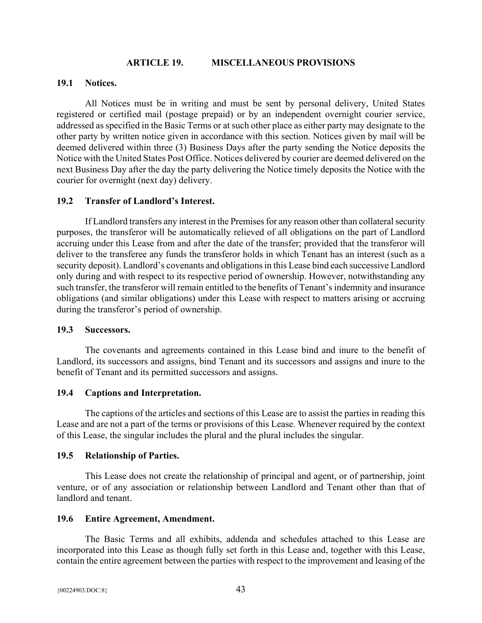#### **ARTICLE 19. MISCELLANEOUS PROVISIONS**

#### **19.1 Notices.**

All Notices must be in writing and must be sent by personal delivery, United States registered or certified mail (postage prepaid) or by an independent overnight courier service, addressed as specified in the Basic Terms or at such other place as either party may designate to the other party by written notice given in accordance with this section. Notices given by mail will be deemed delivered within three (3) Business Days after the party sending the Notice deposits the Notice with the United States Post Office. Notices delivered by courier are deemed delivered on the next Business Day after the day the party delivering the Notice timely deposits the Notice with the courier for overnight (next day) delivery.

#### **19.2 Transfer of Landlord's Interest.**

If Landlord transfers any interest in the Premises for any reason other than collateral security purposes, the transferor will be automatically relieved of all obligations on the part of Landlord accruing under this Lease from and after the date of the transfer; provided that the transferor will deliver to the transferee any funds the transferor holds in which Tenant has an interest (such as a security deposit). Landlord's covenants and obligations in this Lease bind each successive Landlord only during and with respect to its respective period of ownership. However, notwithstanding any such transfer, the transferor will remain entitled to the benefits of Tenant's indemnity and insurance obligations (and similar obligations) under this Lease with respect to matters arising or accruing during the transferor's period of ownership.

#### **19.3 Successors.**

The covenants and agreements contained in this Lease bind and inure to the benefit of Landlord, its successors and assigns, bind Tenant and its successors and assigns and inure to the benefit of Tenant and its permitted successors and assigns.

#### **19.4 Captions and Interpretation.**

The captions of the articles and sections of this Lease are to assist the parties in reading this Lease and are not a part of the terms or provisions of this Lease. Whenever required by the context of this Lease, the singular includes the plural and the plural includes the singular.

#### **19.5 Relationship of Parties.**

This Lease does not create the relationship of principal and agent, or of partnership, joint venture, or of any association or relationship between Landlord and Tenant other than that of landlord and tenant.

#### **19.6 Entire Agreement, Amendment.**

The Basic Terms and all exhibits, addenda and schedules attached to this Lease are incorporated into this Lease as though fully set forth in this Lease and, together with this Lease, contain the entire agreement between the parties with respect to the improvement and leasing of the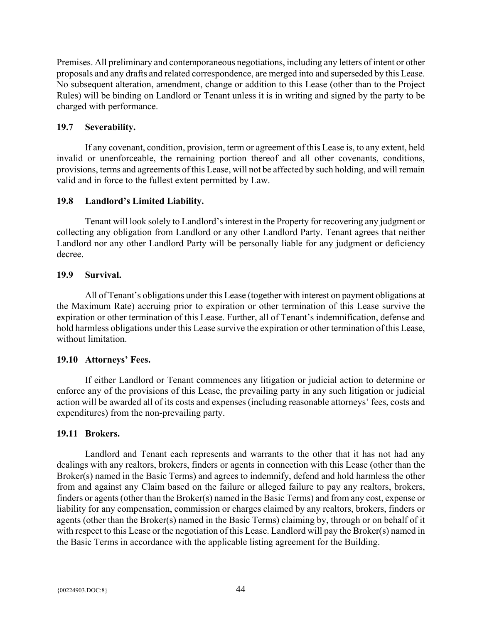Premises. All preliminary and contemporaneous negotiations, including any letters of intent or other proposals and any drafts and related correspondence, are merged into and superseded by this Lease. No subsequent alteration, amendment, change or addition to this Lease (other than to the Project Rules) will be binding on Landlord or Tenant unless it is in writing and signed by the party to be charged with performance.

### **19.7 Severability.**

If any covenant, condition, provision, term or agreement of this Lease is, to any extent, held invalid or unenforceable, the remaining portion thereof and all other covenants, conditions, provisions, terms and agreements of this Lease, will not be affected by such holding, and will remain valid and in force to the fullest extent permitted by Law.

### **19.8 Landlord's Limited Liability.**

Tenant will look solely to Landlord's interest in the Property for recovering any judgment or collecting any obligation from Landlord or any other Landlord Party. Tenant agrees that neither Landlord nor any other Landlord Party will be personally liable for any judgment or deficiency decree.

### **19.9 Survival.**

All of Tenant's obligations under this Lease (together with interest on payment obligations at the Maximum Rate) accruing prior to expiration or other termination of this Lease survive the expiration or other termination of this Lease. Further, all of Tenant's indemnification, defense and hold harmless obligations under this Lease survive the expiration or other termination of this Lease, without limitation.

### **19.10 Attorneys' Fees.**

If either Landlord or Tenant commences any litigation or judicial action to determine or enforce any of the provisions of this Lease, the prevailing party in any such litigation or judicial action will be awarded all of its costs and expenses (including reasonable attorneys' fees, costs and expenditures) from the non-prevailing party.

#### **19.11 Brokers.**

Landlord and Tenant each represents and warrants to the other that it has not had any dealings with any realtors, brokers, finders or agents in connection with this Lease (other than the Broker(s) named in the Basic Terms) and agrees to indemnify, defend and hold harmless the other from and against any Claim based on the failure or alleged failure to pay any realtors, brokers, finders or agents (other than the Broker(s) named in the Basic Terms) and from any cost, expense or liability for any compensation, commission or charges claimed by any realtors, brokers, finders or agents (other than the Broker(s) named in the Basic Terms) claiming by, through or on behalf of it with respect to this Lease or the negotiation of this Lease. Landlord will pay the Broker(s) named in the Basic Terms in accordance with the applicable listing agreement for the Building.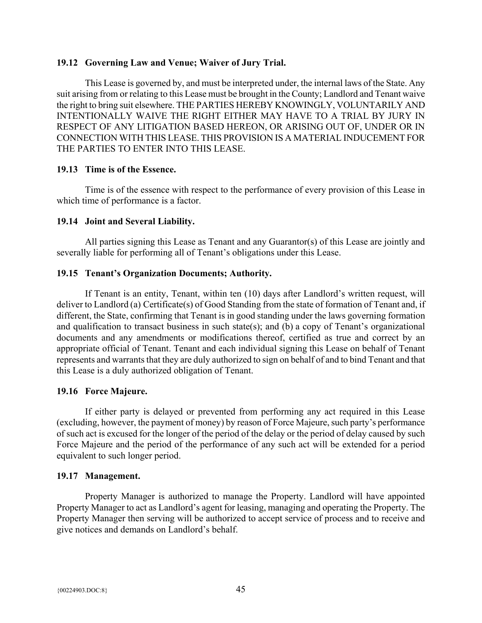#### **19.12 Governing Law and Venue; Waiver of Jury Trial.**

This Lease is governed by, and must be interpreted under, the internal laws of the State. Any suit arising from or relating to this Lease must be brought in the County; Landlord and Tenant waive the right to bring suit elsewhere. THE PARTIES HEREBY KNOWINGLY, VOLUNTARILY AND INTENTIONALLY WAIVE THE RIGHT EITHER MAY HAVE TO A TRIAL BY JURY IN RESPECT OF ANY LITIGATION BASED HEREON, OR ARISING OUT OF, UNDER OR IN CONNECTION WITH THIS LEASE. THIS PROVISION IS A MATERIAL INDUCEMENT FOR THE PARTIES TO ENTER INTO THIS LEASE.

#### **19.13 Time is of the Essence.**

Time is of the essence with respect to the performance of every provision of this Lease in which time of performance is a factor.

#### **19.14 Joint and Several Liability.**

All parties signing this Lease as Tenant and any Guarantor(s) of this Lease are jointly and severally liable for performing all of Tenant's obligations under this Lease.

### **19.15 Tenant's Organization Documents; Authority.**

If Tenant is an entity, Tenant, within ten (10) days after Landlord's written request, will deliver to Landlord (a) Certificate(s) of Good Standing from the state of formation of Tenant and, if different, the State, confirming that Tenant is in good standing under the laws governing formation and qualification to transact business in such state(s); and (b) a copy of Tenant's organizational documents and any amendments or modifications thereof, certified as true and correct by an appropriate official of Tenant. Tenant and each individual signing this Lease on behalf of Tenant represents and warrants that they are duly authorized to sign on behalf of and to bind Tenant and that this Lease is a duly authorized obligation of Tenant.

#### **19.16 Force Majeure.**

If either party is delayed or prevented from performing any act required in this Lease (excluding, however, the payment of money) by reason of Force Majeure, such party's performance of such act is excused for the longer of the period of the delay or the period of delay caused by such Force Majeure and the period of the performance of any such act will be extended for a period equivalent to such longer period.

#### **19.17 Management.**

Property Manager is authorized to manage the Property. Landlord will have appointed Property Manager to act as Landlord's agent for leasing, managing and operating the Property. The Property Manager then serving will be authorized to accept service of process and to receive and give notices and demands on Landlord's behalf.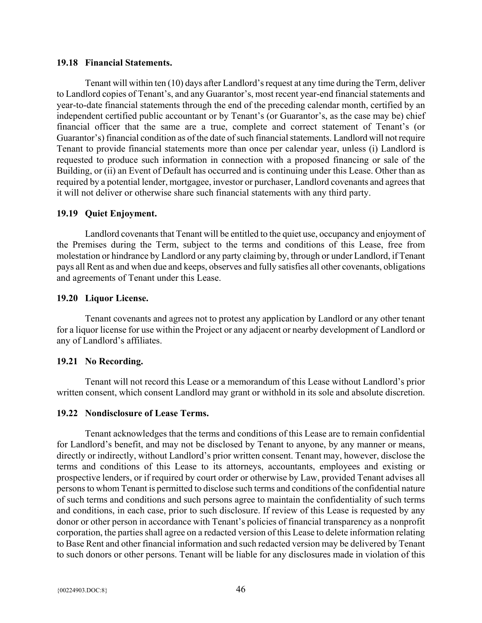#### **19.18 Financial Statements.**

Tenant will within ten (10) days after Landlord's request at any time during the Term, deliver to Landlord copies of Tenant's, and any Guarantor's, most recent year-end financial statements and year-to-date financial statements through the end of the preceding calendar month, certified by an independent certified public accountant or by Tenant's (or Guarantor's, as the case may be) chief financial officer that the same are a true, complete and correct statement of Tenant's (or Guarantor's) financial condition as of the date of such financial statements. Landlord will not require Tenant to provide financial statements more than once per calendar year, unless (i) Landlord is requested to produce such information in connection with a proposed financing or sale of the Building, or (ii) an Event of Default has occurred and is continuing under this Lease. Other than as required by a potential lender, mortgagee, investor or purchaser, Landlord covenants and agrees that it will not deliver or otherwise share such financial statements with any third party.

### **19.19 Quiet Enjoyment.**

Landlord covenants that Tenant will be entitled to the quiet use, occupancy and enjoyment of the Premises during the Term, subject to the terms and conditions of this Lease, free from molestation or hindrance by Landlord or any party claiming by, through or under Landlord, if Tenant pays all Rent as and when due and keeps, observes and fully satisfies all other covenants, obligations and agreements of Tenant under this Lease.

### **19.20 Liquor License.**

Tenant covenants and agrees not to protest any application by Landlord or any other tenant for a liquor license for use within the Project or any adjacent or nearby development of Landlord or any of Landlord's affiliates.

#### **19.21 No Recording.**

Tenant will not record this Lease or a memorandum of this Lease without Landlord's prior written consent, which consent Landlord may grant or withhold in its sole and absolute discretion.

#### **19.22 Nondisclosure of Lease Terms.**

Tenant acknowledges that the terms and conditions of this Lease are to remain confidential for Landlord's benefit, and may not be disclosed by Tenant to anyone, by any manner or means, directly or indirectly, without Landlord's prior written consent. Tenant may, however, disclose the terms and conditions of this Lease to its attorneys, accountants, employees and existing or prospective lenders, or if required by court order or otherwise by Law, provided Tenant advises all persons to whom Tenant is permitted to disclose such terms and conditions of the confidential nature of such terms and conditions and such persons agree to maintain the confidentiality of such terms and conditions, in each case, prior to such disclosure. If review of this Lease is requested by any donor or other person in accordance with Tenant's policies of financial transparency as a nonprofit corporation, the parties shall agree on a redacted version of this Lease to delete information relating to Base Rent and other financial information and such redacted version may be delivered by Tenant to such donors or other persons. Tenant will be liable for any disclosures made in violation of this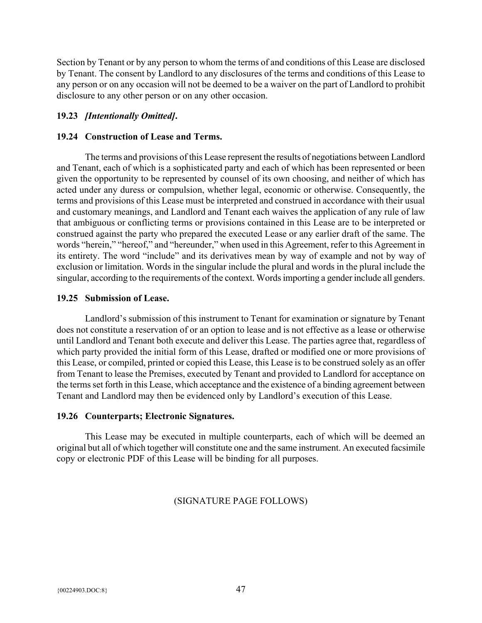Section by Tenant or by any person to whom the terms of and conditions of this Lease are disclosed by Tenant. The consent by Landlord to any disclosures of the terms and conditions of this Lease to any person or on any occasion will not be deemed to be a waiver on the part of Landlord to prohibit disclosure to any other person or on any other occasion.

### **19.23** *[Intentionally Omitted]***.**

### **19.24 Construction of Lease and Terms.**

The terms and provisions of this Lease represent the results of negotiations between Landlord and Tenant, each of which is a sophisticated party and each of which has been represented or been given the opportunity to be represented by counsel of its own choosing, and neither of which has acted under any duress or compulsion, whether legal, economic or otherwise. Consequently, the terms and provisions of this Lease must be interpreted and construed in accordance with their usual and customary meanings, and Landlord and Tenant each waives the application of any rule of law that ambiguous or conflicting terms or provisions contained in this Lease are to be interpreted or construed against the party who prepared the executed Lease or any earlier draft of the same. The words "herein," "hereof," and "hereunder," when used in this Agreement, refer to this Agreement in its entirety. The word "include" and its derivatives mean by way of example and not by way of exclusion or limitation. Words in the singular include the plural and words in the plural include the singular, according to the requirements of the context. Words importing a gender include all genders.

### **19.25 Submission of Lease.**

Landlord's submission of this instrument to Tenant for examination or signature by Tenant does not constitute a reservation of or an option to lease and is not effective as a lease or otherwise until Landlord and Tenant both execute and deliver this Lease. The parties agree that, regardless of which party provided the initial form of this Lease, drafted or modified one or more provisions of this Lease, or compiled, printed or copied this Lease, this Lease is to be construed solely as an offer from Tenant to lease the Premises, executed by Tenant and provided to Landlord for acceptance on the terms set forth in this Lease, which acceptance and the existence of a binding agreement between Tenant and Landlord may then be evidenced only by Landlord's execution of this Lease.

#### **19.26 Counterparts; Electronic Signatures.**

This Lease may be executed in multiple counterparts, each of which will be deemed an original but all of which together will constitute one and the same instrument. An executed facsimile copy or electronic PDF of this Lease will be binding for all purposes.

### (SIGNATURE PAGE FOLLOWS)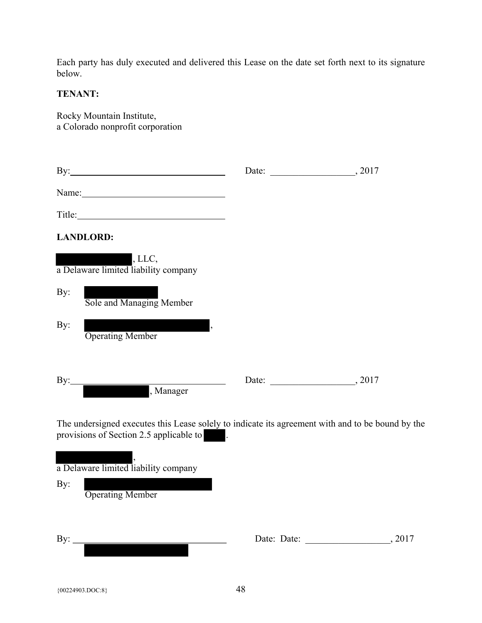Each party has duly executed and delivered this Lease on the date set forth next to its signature below.

### **TENANT:**

Rocky Mountain Institute, a Colorado nonprofit corporation

|                                                                                                                                               | Name:                                          |  |  |  |  |
|-----------------------------------------------------------------------------------------------------------------------------------------------|------------------------------------------------|--|--|--|--|
|                                                                                                                                               | Title: Title:                                  |  |  |  |  |
|                                                                                                                                               | <b>LANDLORD:</b>                               |  |  |  |  |
|                                                                                                                                               | , LLC,<br>a Delaware limited liability company |  |  |  |  |
| By:                                                                                                                                           | Sole and Managing Member                       |  |  |  |  |
| By:                                                                                                                                           | <b>Operating Member</b>                        |  |  |  |  |
|                                                                                                                                               | By: Manager                                    |  |  |  |  |
| The undersigned executes this Lease solely to indicate its agreement with and to be bound by the<br>provisions of Section 2.5 applicable to . |                                                |  |  |  |  |
|                                                                                                                                               | a Delaware limited liability company           |  |  |  |  |
| By:                                                                                                                                           | <b>Operating Member</b>                        |  |  |  |  |
| By: $\qquad$                                                                                                                                  |                                                |  |  |  |  |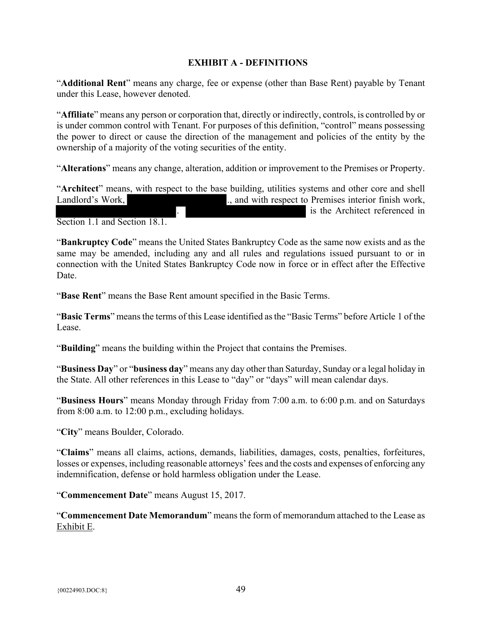### **EXHIBIT A - DEFINITIONS**

"**Additional Rent**" means any charge, fee or expense (other than Base Rent) payable by Tenant under this Lease, however denoted.

"**Affiliate**" means any person or corporation that, directly or indirectly, controls, is controlled by or is under common control with Tenant. For purposes of this definition, "control" means possessing the power to direct or cause the direction of the management and policies of the entity by the ownership of a majority of the voting securities of the entity.

"**Alterations**" means any change, alteration, addition or improvement to the Premises or Property.

"**Architect**" means, with respect to the base building, utilities systems and other core and shell Landlord's Work, **... and with respect to Premises interior finish work**, is the Architect referenced in

Section 1.1 and Section 18.1.

"**Bankruptcy Code**" means the United States Bankruptcy Code as the same now exists and as the same may be amended, including any and all rules and regulations issued pursuant to or in connection with the United States Bankruptcy Code now in force or in effect after the Effective Date.

"**Base Rent**" means the Base Rent amount specified in the Basic Terms.

"**Basic Terms**" means the terms of this Lease identified as the "Basic Terms" before Article 1 of the Lease.

"**Building**" means the building within the Project that contains the Premises.

"**Business Day**" or "**business day**" means any day other than Saturday, Sunday or a legal holiday in the State. All other references in this Lease to "day" or "days" will mean calendar days.

"**Business Hours**" means Monday through Friday from 7:00 a.m. to 6:00 p.m. and on Saturdays from 8:00 a.m. to 12:00 p.m., excluding holidays.

"**City**" means Boulder, Colorado.

"**Claims**" means all claims, actions, demands, liabilities, damages, costs, penalties, forfeitures, losses or expenses, including reasonable attorneys' fees and the costs and expenses of enforcing any indemnification, defense or hold harmless obligation under the Lease.

"**Commencement Date**" means August 15, 2017.

"**Commencement Date Memorandum**" means the form of memorandum attached to the Lease as Exhibit E.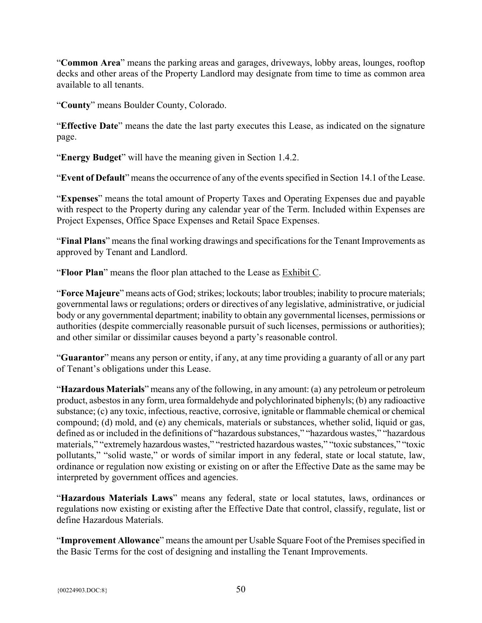"**Common Area**" means the parking areas and garages, driveways, lobby areas, lounges, rooftop decks and other areas of the Property Landlord may designate from time to time as common area available to all tenants.

"**County**" means Boulder County, Colorado.

"**Effective Date**" means the date the last party executes this Lease, as indicated on the signature page.

"**Energy Budget**" will have the meaning given in Section 1.4.2.

"**Event of Default**" means the occurrence of any of the events specified in Section 14.1 of the Lease.

"**Expenses**" means the total amount of Property Taxes and Operating Expenses due and payable with respect to the Property during any calendar year of the Term. Included within Expenses are Project Expenses, Office Space Expenses and Retail Space Expenses.

"**Final Plans**" means the final working drawings and specifications for the Tenant Improvements as approved by Tenant and Landlord.

"**Floor Plan**" means the floor plan attached to the Lease as Exhibit C.

"**Force Majeure**" means acts of God; strikes; lockouts; labor troubles; inability to procure materials; governmental laws or regulations; orders or directives of any legislative, administrative, or judicial body or any governmental department; inability to obtain any governmental licenses, permissions or authorities (despite commercially reasonable pursuit of such licenses, permissions or authorities); and other similar or dissimilar causes beyond a party's reasonable control.

"**Guarantor**" means any person or entity, if any, at any time providing a guaranty of all or any part of Tenant's obligations under this Lease.

"**Hazardous Materials**" means any of the following, in any amount: (a) any petroleum or petroleum product, asbestos in any form, urea formaldehyde and polychlorinated biphenyls; (b) any radioactive substance; (c) any toxic, infectious, reactive, corrosive, ignitable or flammable chemical or chemical compound; (d) mold, and (e) any chemicals, materials or substances, whether solid, liquid or gas, defined as or included in the definitions of "hazardous substances," "hazardous wastes," "hazardous materials," "extremely hazardous wastes," "restricted hazardous wastes," "toxic substances," "toxic pollutants," "solid waste," or words of similar import in any federal, state or local statute, law, ordinance or regulation now existing or existing on or after the Effective Date as the same may be interpreted by government offices and agencies.

"**Hazardous Materials Laws**" means any federal, state or local statutes, laws, ordinances or regulations now existing or existing after the Effective Date that control, classify, regulate, list or define Hazardous Materials.

"**Improvement Allowance**" means the amount per Usable Square Foot of the Premises specified in the Basic Terms for the cost of designing and installing the Tenant Improvements.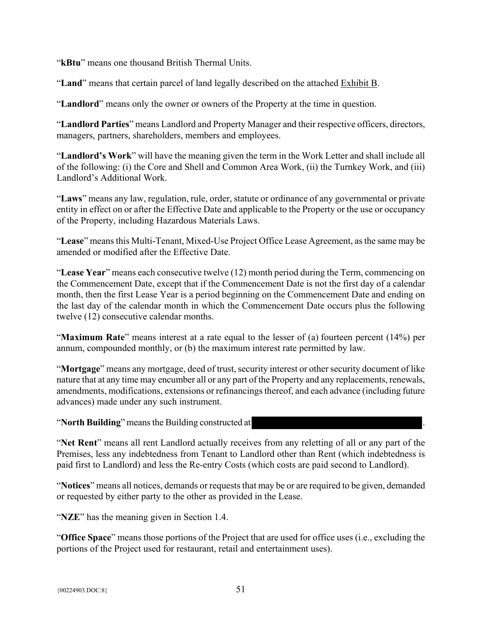"**kBtu**" means one thousand British Thermal Units.

"**Land**" means that certain parcel of land legally described on the attached Exhibit B.

"**Landlord**" means only the owner or owners of the Property at the time in question.

"**Landlord Parties**" means Landlord and Property Manager and their respective officers, directors, managers, partners, shareholders, members and employees.

"**Landlord's Work**" will have the meaning given the term in the Work Letter and shall include all of the following: (i) the Core and Shell and Common Area Work, (ii) the Turnkey Work, and (iii) Landlord's Additional Work.

"**Laws**" means any law, regulation, rule, order, statute or ordinance of any governmental or private entity in effect on or after the Effective Date and applicable to the Property or the use or occupancy of the Property, including Hazardous Materials Laws.

"**Lease**" means this Multi-Tenant, Mixed-Use Project Office Lease Agreement, as the same may be amended or modified after the Effective Date.

"**Lease Year**" means each consecutive twelve (12) month period during the Term, commencing on the Commencement Date, except that if the Commencement Date is not the first day of a calendar month, then the first Lease Year is a period beginning on the Commencement Date and ending on the last day of the calendar month in which the Commencement Date occurs plus the following twelve (12) consecutive calendar months.

"**Maximum Rate**" means interest at a rate equal to the lesser of (a) fourteen percent (14%) per annum, compounded monthly, or (b) the maximum interest rate permitted by law.

"**Mortgage**" means any mortgage, deed of trust, security interest or other security document of like nature that at any time may encumber all or any part of the Property and any replacements, renewals, amendments, modifications, extensions or refinancings thereof, and each advance (including future advances) made under any such instrument.

"**North Building**" means the Building constructed at .

"**Net Rent**" means all rent Landlord actually receives from any reletting of all or any part of the Premises, less any indebtedness from Tenant to Landlord other than Rent (which indebtedness is paid first to Landlord) and less the Re-entry Costs (which costs are paid second to Landlord).

"**Notices**" means all notices, demands or requests that may be or are required to be given, demanded or requested by either party to the other as provided in the Lease.

"**NZE**" has the meaning given in Section 1.4.

"**Office Space**" means those portions of the Project that are used for office uses (i.e., excluding the portions of the Project used for restaurant, retail and entertainment uses).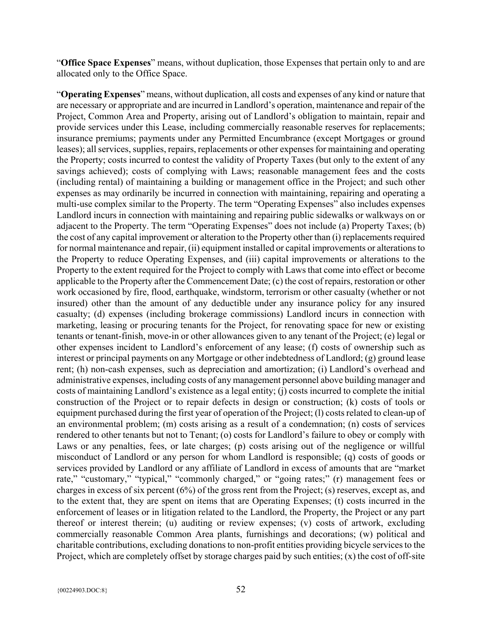"**Office Space Expenses**" means, without duplication, those Expenses that pertain only to and are allocated only to the Office Space.

"**Operating Expenses**" means, without duplication, all costs and expenses of any kind or nature that are necessary or appropriate and are incurred in Landlord's operation, maintenance and repair of the Project, Common Area and Property, arising out of Landlord's obligation to maintain, repair and provide services under this Lease, including commercially reasonable reserves for replacements; insurance premiums; payments under any Permitted Encumbrance (except Mortgages or ground leases); all services, supplies, repairs, replacements or other expenses for maintaining and operating the Property; costs incurred to contest the validity of Property Taxes (but only to the extent of any savings achieved); costs of complying with Laws; reasonable management fees and the costs (including rental) of maintaining a building or management office in the Project; and such other expenses as may ordinarily be incurred in connection with maintaining, repairing and operating a multi-use complex similar to the Property. The term "Operating Expenses" also includes expenses Landlord incurs in connection with maintaining and repairing public sidewalks or walkways on or adjacent to the Property. The term "Operating Expenses" does not include (a) Property Taxes; (b) the cost of any capital improvement or alteration to the Property other than (i) replacements required for normal maintenance and repair, (ii) equipment installed or capital improvements or alterations to the Property to reduce Operating Expenses, and (iii) capital improvements or alterations to the Property to the extent required for the Project to comply with Laws that come into effect or become applicable to the Property after the Commencement Date; (c) the cost of repairs, restoration or other work occasioned by fire, flood, earthquake, windstorm, terrorism or other casualty (whether or not insured) other than the amount of any deductible under any insurance policy for any insured casualty; (d) expenses (including brokerage commissions) Landlord incurs in connection with marketing, leasing or procuring tenants for the Project, for renovating space for new or existing tenants or tenant-finish, move-in or other allowances given to any tenant of the Project; (e) legal or other expenses incident to Landlord's enforcement of any lease; (f) costs of ownership such as interest or principal payments on any Mortgage or other indebtedness of Landlord; (g) ground lease rent; (h) non-cash expenses, such as depreciation and amortization; (i) Landlord's overhead and administrative expenses, including costs of any management personnel above building manager and costs of maintaining Landlord's existence as a legal entity; (j) costs incurred to complete the initial construction of the Project or to repair defects in design or construction; (k) costs of tools or equipment purchased during the first year of operation of the Project; (l) costs related to clean-up of an environmental problem; (m) costs arising as a result of a condemnation; (n) costs of services rendered to other tenants but not to Tenant; (o) costs for Landlord's failure to obey or comply with Laws or any penalties, fees, or late charges; (p) costs arising out of the negligence or willful misconduct of Landlord or any person for whom Landlord is responsible; (q) costs of goods or services provided by Landlord or any affiliate of Landlord in excess of amounts that are "market rate," "customary," "typical," "commonly charged," or "going rates;" (r) management fees or charges in excess of six percent (6%) of the gross rent from the Project; (s) reserves, except as, and to the extent that, they are spent on items that are Operating Expenses; (t) costs incurred in the enforcement of leases or in litigation related to the Landlord, the Property, the Project or any part thereof or interest therein; (u) auditing or review expenses; (v) costs of artwork, excluding commercially reasonable Common Area plants, furnishings and decorations; (w) political and charitable contributions, excluding donations to non-profit entities providing bicycle services to the Project, which are completely offset by storage charges paid by such entities; (x) the cost of off-site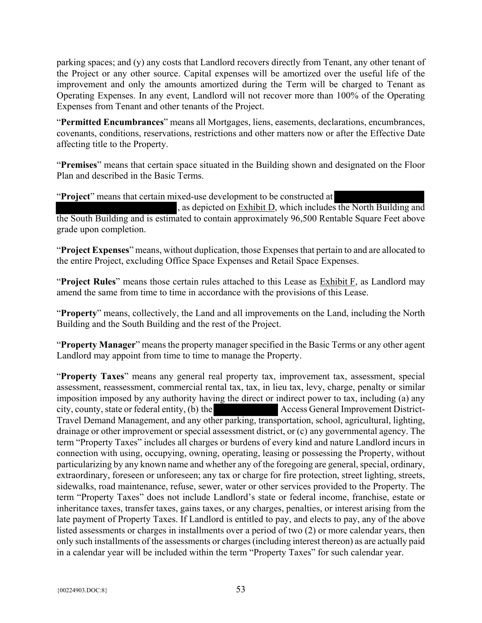parking spaces; and (y) any costs that Landlord recovers directly from Tenant, any other tenant of the Project or any other source. Capital expenses will be amortized over the useful life of the improvement and only the amounts amortized during the Term will be charged to Tenant as Operating Expenses. In any event, Landlord will not recover more than 100% of the Operating Expenses from Tenant and other tenants of the Project.

"**Permitted Encumbrances**" means all Mortgages, liens, easements, declarations, encumbrances, covenants, conditions, reservations, restrictions and other matters now or after the Effective Date affecting title to the Property.

"**Premises**" means that certain space situated in the Building shown and designated on the Floor Plan and described in the Basic Terms.

"**Project**" means that certain mixed-use development to be constructed at , as depicted on Exhibit D, which includes the North Building and

the South Building and is estimated to contain approximately 96,500 Rentable Square Feet above grade upon completion.

"**Project Expenses**" means, without duplication, those Expenses that pertain to and are allocated to the entire Project, excluding Office Space Expenses and Retail Space Expenses.

"**Project Rules**" means those certain rules attached to this Lease as Exhibit F, as Landlord may amend the same from time to time in accordance with the provisions of this Lease.

"**Property**" means, collectively, the Land and all improvements on the Land, including the North Building and the South Building and the rest of the Project.

"**Property Manager**" means the property manager specified in the Basic Terms or any other agent Landlord may appoint from time to time to manage the Property.

"**Property Taxes**" means any general real property tax, improvement tax, assessment, special assessment, reassessment, commercial rental tax, tax, in lieu tax, levy, charge, penalty or similar imposition imposed by any authority having the direct or indirect power to tax, including (a) any city, county, state or federal entity, (b) the Access General Improvement District-Travel Demand Management, and any other parking, transportation, school, agricultural, lighting, drainage or other improvement or special assessment district, or (c) any governmental agency. The term "Property Taxes" includes all charges or burdens of every kind and nature Landlord incurs in connection with using, occupying, owning, operating, leasing or possessing the Property, without particularizing by any known name and whether any of the foregoing are general, special, ordinary, extraordinary, foreseen or unforeseen; any tax or charge for fire protection, street lighting, streets, sidewalks, road maintenance, refuse, sewer, water or other services provided to the Property. The term "Property Taxes" does not include Landlord's state or federal income, franchise, estate or inheritance taxes, transfer taxes, gains taxes, or any charges, penalties, or interest arising from the late payment of Property Taxes. If Landlord is entitled to pay, and elects to pay, any of the above listed assessments or charges in installments over a period of two (2) or more calendar years, then only such installments of the assessments or charges (including interest thereon) as are actually paid in a calendar year will be included within the term "Property Taxes" for such calendar year.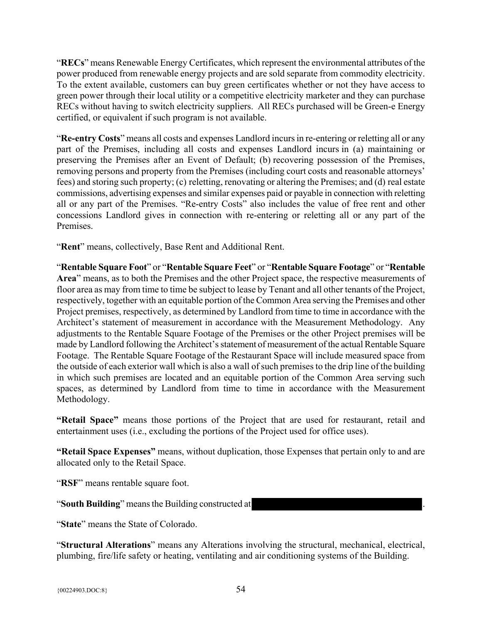"**RECs**" means Renewable Energy Certificates, which represent the environmental attributes of the power produced from renewable energy projects and are sold separate from commodity electricity. To the extent available, customers can buy green certificates whether or not they have access to green power through their local utility or a competitive electricity marketer and they can purchase RECs without having to switch electricity suppliers. All RECs purchased will be Green-e Energy certified, or equivalent if such program is not available.

"**Re-entry Costs**" means all costs and expenses Landlord incurs in re-entering or reletting all or any part of the Premises, including all costs and expenses Landlord incurs in (a) maintaining or preserving the Premises after an Event of Default; (b) recovering possession of the Premises, removing persons and property from the Premises (including court costs and reasonable attorneys' fees) and storing such property; (c) reletting, renovating or altering the Premises; and (d) real estate commissions, advertising expenses and similar expenses paid or payable in connection with reletting all or any part of the Premises. "Re-entry Costs" also includes the value of free rent and other concessions Landlord gives in connection with re-entering or reletting all or any part of the Premises.

"**Rent**" means, collectively, Base Rent and Additional Rent.

"**Rentable Square Foot**" or "**Rentable Square Feet**" or "**Rentable Square Footage**" or "**Rentable Area**" means, as to both the Premises and the other Project space, the respective measurements of floor area as may from time to time be subject to lease by Tenant and all other tenants of the Project, respectively, together with an equitable portion of the Common Area serving the Premises and other Project premises, respectively, as determined by Landlord from time to time in accordance with the Architect's statement of measurement in accordance with the Measurement Methodology. Any adjustments to the Rentable Square Footage of the Premises or the other Project premises will be made by Landlord following the Architect's statement of measurement of the actual Rentable Square Footage. The Rentable Square Footage of the Restaurant Space will include measured space from the outside of each exterior wall which is also a wall of such premises to the drip line of the building in which such premises are located and an equitable portion of the Common Area serving such spaces, as determined by Landlord from time to time in accordance with the Measurement Methodology.

**"Retail Space"** means those portions of the Project that are used for restaurant, retail and entertainment uses (i.e., excluding the portions of the Project used for office uses).

**"Retail Space Expenses"** means, without duplication, those Expenses that pertain only to and are allocated only to the Retail Space.

"**RSF**" means rentable square foot.

"**South Building**" means the Building constructed at .

"**State**" means the State of Colorado.

"**Structural Alterations**" means any Alterations involving the structural, mechanical, electrical, plumbing, fire/life safety or heating, ventilating and air conditioning systems of the Building.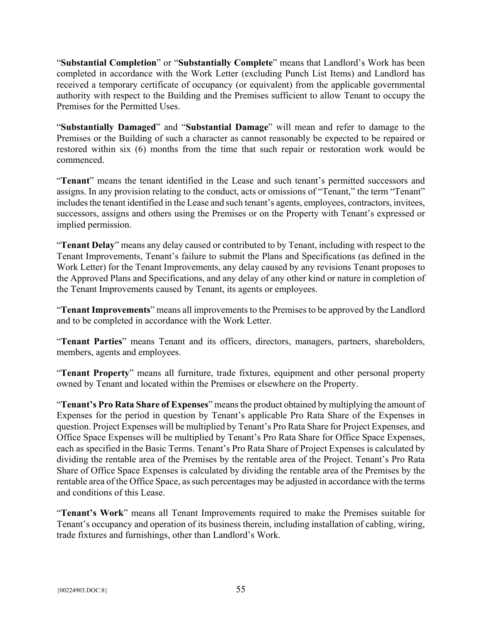"**Substantial Completion**" or "**Substantially Complete**" means that Landlord's Work has been completed in accordance with the Work Letter (excluding Punch List Items) and Landlord has received a temporary certificate of occupancy (or equivalent) from the applicable governmental authority with respect to the Building and the Premises sufficient to allow Tenant to occupy the Premises for the Permitted Uses.

"**Substantially Damaged**" and "**Substantial Damage**" will mean and refer to damage to the Premises or the Building of such a character as cannot reasonably be expected to be repaired or restored within six (6) months from the time that such repair or restoration work would be commenced.

"**Tenant**" means the tenant identified in the Lease and such tenant's permitted successors and assigns. In any provision relating to the conduct, acts or omissions of "Tenant," the term "Tenant" includes the tenant identified in the Lease and such tenant's agents, employees, contractors, invitees, successors, assigns and others using the Premises or on the Property with Tenant's expressed or implied permission.

"**Tenant Delay**" means any delay caused or contributed to by Tenant, including with respect to the Tenant Improvements, Tenant's failure to submit the Plans and Specifications (as defined in the Work Letter) for the Tenant Improvements, any delay caused by any revisions Tenant proposes to the Approved Plans and Specifications, and any delay of any other kind or nature in completion of the Tenant Improvements caused by Tenant, its agents or employees.

"**Tenant Improvements**" means all improvements to the Premises to be approved by the Landlord and to be completed in accordance with the Work Letter.

"**Tenant Parties**" means Tenant and its officers, directors, managers, partners, shareholders, members, agents and employees.

"**Tenant Property**" means all furniture, trade fixtures, equipment and other personal property owned by Tenant and located within the Premises or elsewhere on the Property.

"**Tenant's Pro Rata Share of Expenses**" means the product obtained by multiplying the amount of Expenses for the period in question by Tenant's applicable Pro Rata Share of the Expenses in question. Project Expenses will be multiplied by Tenant's Pro Rata Share for Project Expenses, and Office Space Expenses will be multiplied by Tenant's Pro Rata Share for Office Space Expenses, each as specified in the Basic Terms. Tenant's Pro Rata Share of Project Expenses is calculated by dividing the rentable area of the Premises by the rentable area of the Project. Tenant's Pro Rata Share of Office Space Expenses is calculated by dividing the rentable area of the Premises by the rentable area of the Office Space, as such percentages may be adjusted in accordance with the terms and conditions of this Lease.

"**Tenant's Work**" means all Tenant Improvements required to make the Premises suitable for Tenant's occupancy and operation of its business therein, including installation of cabling, wiring, trade fixtures and furnishings, other than Landlord's Work.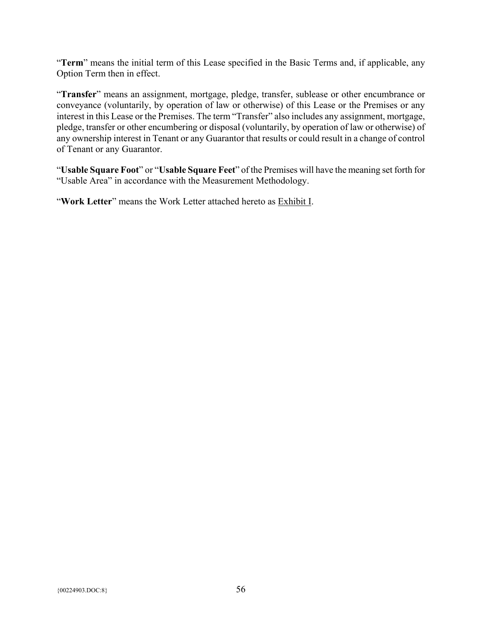"**Term**" means the initial term of this Lease specified in the Basic Terms and, if applicable, any Option Term then in effect.

"**Transfer**" means an assignment, mortgage, pledge, transfer, sublease or other encumbrance or conveyance (voluntarily, by operation of law or otherwise) of this Lease or the Premises or any interest in this Lease or the Premises. The term "Transfer" also includes any assignment, mortgage, pledge, transfer or other encumbering or disposal (voluntarily, by operation of law or otherwise) of any ownership interest in Tenant or any Guarantor that results or could result in a change of control of Tenant or any Guarantor.

"**Usable Square Foot**" or "**Usable Square Feet**" of the Premises will have the meaning set forth for "Usable Area" in accordance with the Measurement Methodology.

"**Work Letter**" means the Work Letter attached hereto as Exhibit I.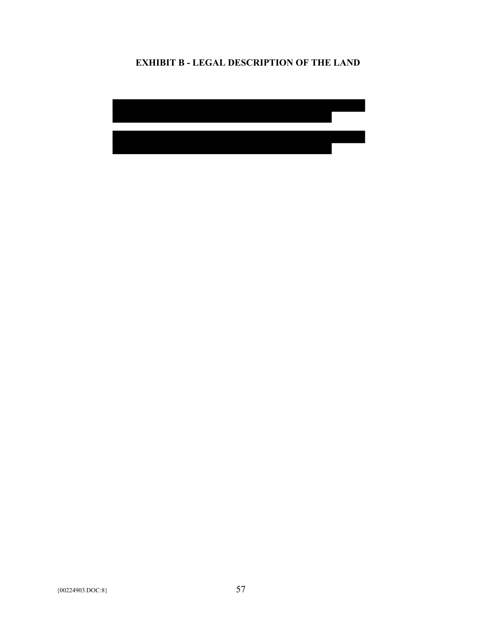## **EXHIBIT B - LEGAL DESCRIPTION OF THE LAND**

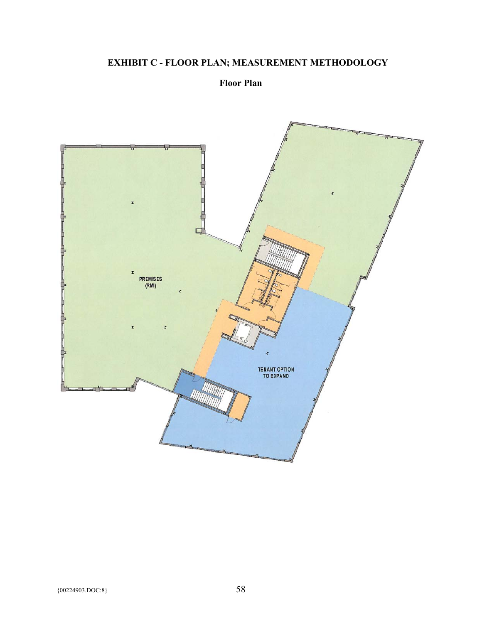# **EXHIBIT C - FLOOR PLAN; MEASUREMENT METHODOLOGY**

## **Floor Plan**

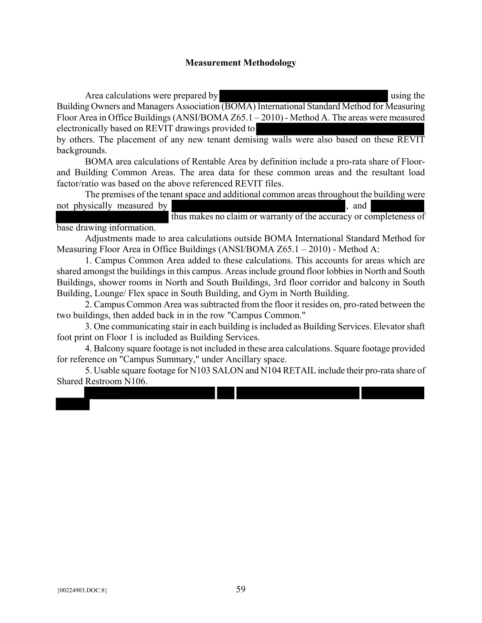#### **Measurement Methodology**

Area calculations were prepared by using the using the using the using the using the using the using the using the using the using the using the using the using the using the using the using the using the using the using t Building Owners and Managers Association (BOMA) International Standard Method for Measuring Floor Area in Office Buildings (ANSI/BOMA Z65.1 – 2010) - Method A. The areas were measured electronically based on REVIT drawings provided to

by others. The placement of any new tenant demising walls were also based on these REVIT backgrounds.

BOMA area calculations of Rentable Area by definition include a pro-rata share of Floorand Building Common Areas. The area data for these common areas and the resultant load factor/ratio was based on the above referenced REVIT files.

The premises of the tenant space and additional common areas throughout the building were not physically measured by , and , and , and , and , and , and , and , and , and , and , and , and , and , and , and , and , and , and , and , and , and , and , and , and , and , and , and , and , and , and , and , and , a

 thus makes no claim or warranty of the accuracy or completeness of base drawing information.

Adjustments made to area calculations outside BOMA International Standard Method for Measuring Floor Area in Office Buildings (ANSI/BOMA Z65.1 – 2010) - Method A:

1. Campus Common Area added to these calculations. This accounts for areas which are shared amongst the buildings in this campus. Areas include ground floor lobbies in North and South Buildings, shower rooms in North and South Buildings, 3rd floor corridor and balcony in South Building, Lounge/ Flex space in South Building, and Gym in North Building.

2. Campus Common Area was subtracted from the floor it resides on, pro-rated between the two buildings, then added back in in the row "Campus Common."

3. One communicating stair in each building is included as Building Services. Elevator shaft foot print on Floor 1 is included as Building Services.

4. Balcony square footage is not included in these area calculations. Square footage provided for reference on "Campus Summary," under Ancillary space.

5. Usable square footage for N103 SALON and N104 RETAIL include their pro-rata share of Shared Restroom N106.

 $\overline{\phantom{a}}$ 

{00224903.DOC:8} 59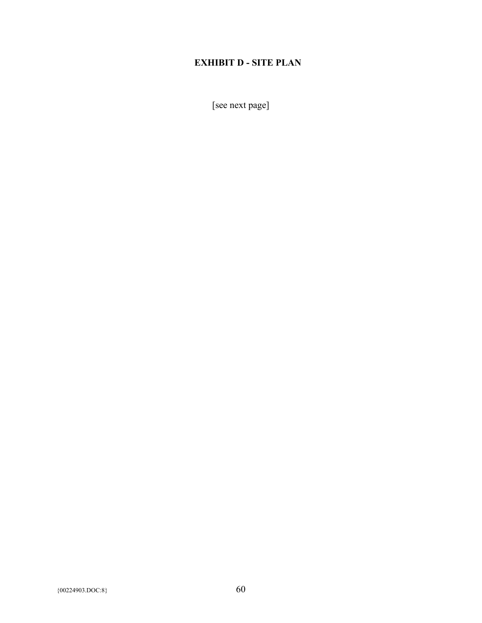## **EXHIBIT D - SITE PLAN**

[see next page]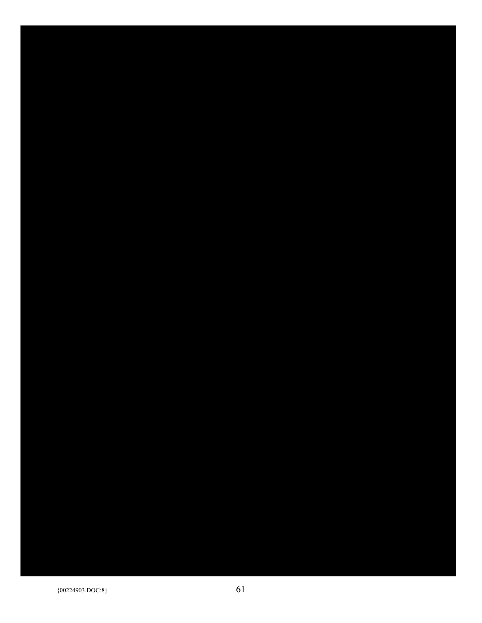### ${00224903.DOC:8}$  61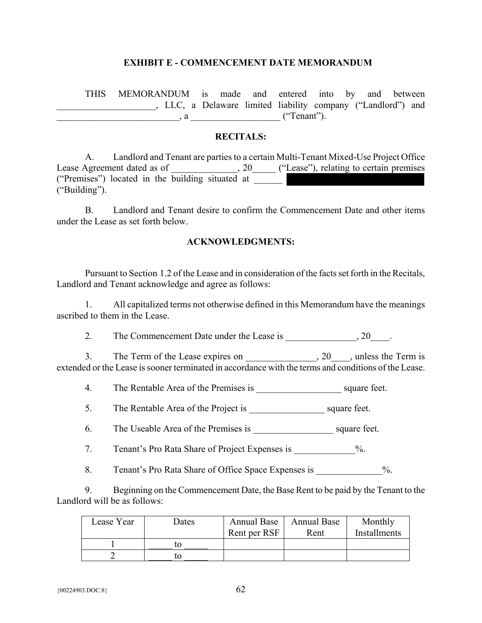#### **EXHIBIT E - COMMENCEMENT DATE MEMORANDUM**

THIS MEMORANDUM is made and entered into by and between LLC, a Delaware limited liability company ("Landlord") and  $\overline{\phantom{a}}$ , a  $\overline{\phantom{a}}$  ("Tenant").

#### **RECITALS:**

A. Landlord and Tenant are parties to a certain Multi-Tenant Mixed-Use Project Office Lease Agreement dated as of \_\_\_\_\_\_\_\_\_\_\_\_\_, 20\_\_\_\_\_ ("Lease"), relating to certain premises ("Premises") located in the building situated at \_\_\_\_\_\_ ("Building").

B. Landlord and Tenant desire to confirm the Commencement Date and other items under the Lease as set forth below.

#### **ACKNOWLEDGMENTS:**

Pursuant to Section 1.2 of the Lease and in consideration of the facts set forth in the Recitals, Landlord and Tenant acknowledge and agree as follows:

1. All capitalized terms not otherwise defined in this Memorandum have the meanings ascribed to them in the Lease.

2. The Commencement Date under the Lease is \_\_\_\_\_\_\_\_\_\_\_\_\_\_\_, 20\_\_\_\_\_.

3. The Term of the Lease expires on \_\_\_\_\_\_\_\_\_\_\_\_\_, 20\_\_\_\_, unless the Term is extended or the Lease is sooner terminated in accordance with the terms and conditions of the Lease.

4. The Rentable Area of the Premises is \_\_\_\_\_\_\_\_\_\_\_\_\_\_\_\_\_\_ square feet.

5. The Rentable Area of the Project is \_\_\_\_\_\_\_\_\_\_\_\_\_\_\_\_\_\_\_\_\_\_ square feet.

6. The Useable Area of the Premises is square feet.

7. Tenant's Pro Rata Share of Project Expenses is \_\_\_\_\_\_\_\_\_\_\_\_%.

8. Tenant's Pro Rata Share of Office Space Expenses is  $\%$ .

9. Beginning on the Commencement Date, the Base Rent to be paid by the Tenant to the Landlord will be as follows:

| Lease Year | Dates | <b>Annual Base</b> | <b>Annual Base</b> | Monthly      |
|------------|-------|--------------------|--------------------|--------------|
|            |       | Rent per RSF       | Rent               | Installments |
|            |       |                    |                    |              |
|            |       |                    |                    |              |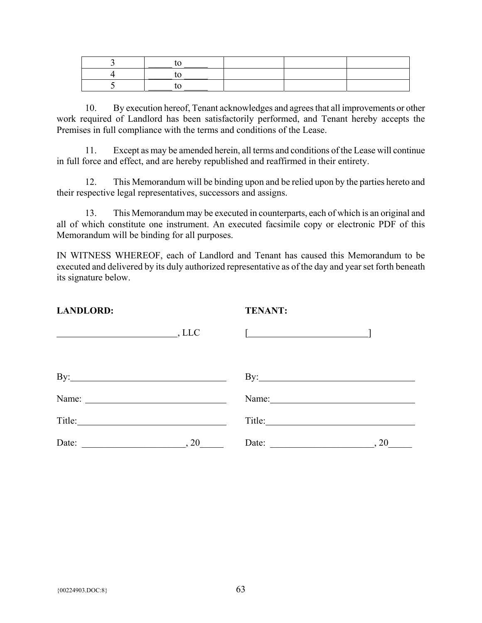10. By execution hereof, Tenant acknowledges and agrees that all improvements or other work required of Landlord has been satisfactorily performed, and Tenant hereby accepts the Premises in full compliance with the terms and conditions of the Lease.

11. Except as may be amended herein, all terms and conditions of the Lease will continue in full force and effect, and are hereby republished and reaffirmed in their entirety.

12. This Memorandum will be binding upon and be relied upon by the parties hereto and their respective legal representatives, successors and assigns.

13. This Memorandum may be executed in counterparts, each of which is an original and all of which constitute one instrument. An executed facsimile copy or electronic PDF of this Memorandum will be binding for all purposes.

IN WITNESS WHEREOF, each of Landlord and Tenant has caused this Memorandum to be executed and delivered by its duly authorized representative as of the day and year set forth beneath its signature below.

| <b>LANDLORD:</b>             |  | <b>TENANT:</b>                                                                                                                                                                                                                 |  |
|------------------------------|--|--------------------------------------------------------------------------------------------------------------------------------------------------------------------------------------------------------------------------------|--|
| $\overline{\phantom{a}}$ LLC |  |                                                                                                                                                                                                                                |  |
| By: $\qquad \qquad$          |  | $\mathbf{By:}\_\_\_\_\_\$                                                                                                                                                                                                      |  |
|                              |  | Name: Name and the state of the state of the state of the state of the state of the state of the state of the state of the state of the state of the state of the state of the state of the state of the state of the state of |  |
| Title:                       |  |                                                                                                                                                                                                                                |  |
| Date: $\qquad \qquad .20$    |  | Date: $\qquad \qquad .20$                                                                                                                                                                                                      |  |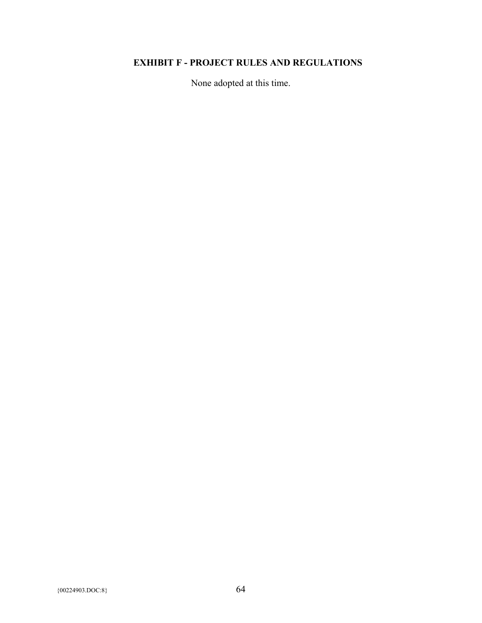## **EXHIBIT F - PROJECT RULES AND REGULATIONS**

None adopted at this time.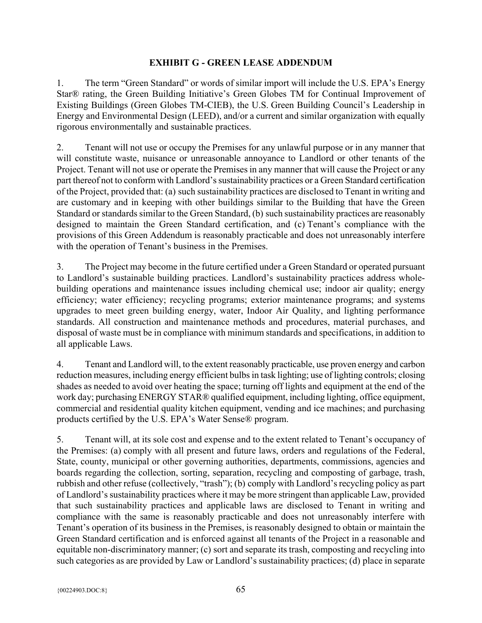### **EXHIBIT G - GREEN LEASE ADDENDUM**

1. The term "Green Standard" or words of similar import will include the U.S. EPA's Energy Star® rating, the Green Building Initiative's Green Globes TM for Continual Improvement of Existing Buildings (Green Globes TM-CIEB), the U.S. Green Building Council's Leadership in Energy and Environmental Design (LEED), and/or a current and similar organization with equally rigorous environmentally and sustainable practices.

2. Tenant will not use or occupy the Premises for any unlawful purpose or in any manner that will constitute waste, nuisance or unreasonable annoyance to Landlord or other tenants of the Project. Tenant will not use or operate the Premises in any manner that will cause the Project or any part thereof not to conform with Landlord's sustainability practices or a Green Standard certification of the Project, provided that: (a) such sustainability practices are disclosed to Tenant in writing and are customary and in keeping with other buildings similar to the Building that have the Green Standard or standards similar to the Green Standard, (b) such sustainability practices are reasonably designed to maintain the Green Standard certification, and (c) Tenant's compliance with the provisions of this Green Addendum is reasonably practicable and does not unreasonably interfere with the operation of Tenant's business in the Premises.

3. The Project may become in the future certified under a Green Standard or operated pursuant to Landlord's sustainable building practices. Landlord's sustainability practices address wholebuilding operations and maintenance issues including chemical use; indoor air quality; energy efficiency; water efficiency; recycling programs; exterior maintenance programs; and systems upgrades to meet green building energy, water, Indoor Air Quality, and lighting performance standards. All construction and maintenance methods and procedures, material purchases, and disposal of waste must be in compliance with minimum standards and specifications, in addition to all applicable Laws.

4. Tenant and Landlord will, to the extent reasonably practicable, use proven energy and carbon reduction measures, including energy efficient bulbs in task lighting; use of lighting controls; closing shades as needed to avoid over heating the space; turning off lights and equipment at the end of the work day; purchasing ENERGY STAR® qualified equipment, including lighting, office equipment, commercial and residential quality kitchen equipment, vending and ice machines; and purchasing products certified by the U.S. EPA's Water Sense® program.

5. Tenant will, at its sole cost and expense and to the extent related to Tenant's occupancy of the Premises: (a) comply with all present and future laws, orders and regulations of the Federal, State, county, municipal or other governing authorities, departments, commissions, agencies and boards regarding the collection, sorting, separation, recycling and composting of garbage, trash, rubbish and other refuse (collectively, "trash"); (b) comply with Landlord's recycling policy as part of Landlord's sustainability practices where it may be more stringent than applicable Law, provided that such sustainability practices and applicable laws are disclosed to Tenant in writing and compliance with the same is reasonably practicable and does not unreasonably interfere with Tenant's operation of its business in the Premises, is reasonably designed to obtain or maintain the Green Standard certification and is enforced against all tenants of the Project in a reasonable and equitable non-discriminatory manner; (c) sort and separate its trash, composting and recycling into such categories as are provided by Law or Landlord's sustainability practices; (d) place in separate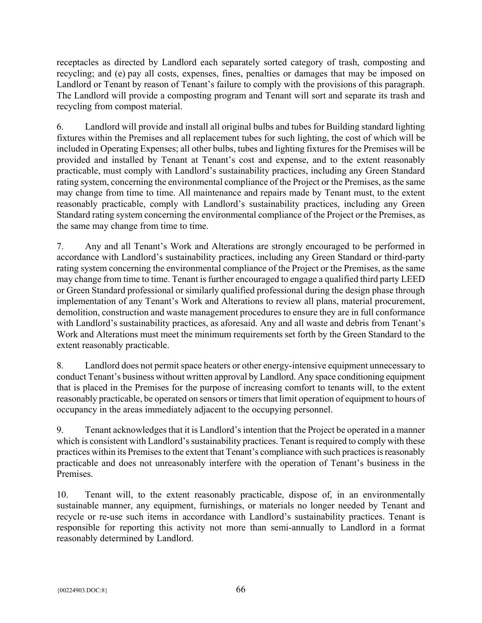receptacles as directed by Landlord each separately sorted category of trash, composting and recycling; and (e) pay all costs, expenses, fines, penalties or damages that may be imposed on Landlord or Tenant by reason of Tenant's failure to comply with the provisions of this paragraph. The Landlord will provide a composting program and Tenant will sort and separate its trash and recycling from compost material.

6. Landlord will provide and install all original bulbs and tubes for Building standard lighting fixtures within the Premises and all replacement tubes for such lighting, the cost of which will be included in Operating Expenses; all other bulbs, tubes and lighting fixtures for the Premises will be provided and installed by Tenant at Tenant's cost and expense, and to the extent reasonably practicable, must comply with Landlord's sustainability practices, including any Green Standard rating system, concerning the environmental compliance of the Project or the Premises, as the same may change from time to time. All maintenance and repairs made by Tenant must, to the extent reasonably practicable, comply with Landlord's sustainability practices, including any Green Standard rating system concerning the environmental compliance of the Project or the Premises, as the same may change from time to time.

7. Any and all Tenant's Work and Alterations are strongly encouraged to be performed in accordance with Landlord's sustainability practices, including any Green Standard or third-party rating system concerning the environmental compliance of the Project or the Premises, as the same may change from time to time. Tenant is further encouraged to engage a qualified third party LEED or Green Standard professional or similarly qualified professional during the design phase through implementation of any Tenant's Work and Alterations to review all plans, material procurement, demolition, construction and waste management procedures to ensure they are in full conformance with Landlord's sustainability practices, as aforesaid. Any and all waste and debris from Tenant's Work and Alterations must meet the minimum requirements set forth by the Green Standard to the extent reasonably practicable.

8. Landlord does not permit space heaters or other energy-intensive equipment unnecessary to conduct Tenant's business without written approval by Landlord. Any space conditioning equipment that is placed in the Premises for the purpose of increasing comfort to tenants will, to the extent reasonably practicable, be operated on sensors or timers that limit operation of equipment to hours of occupancy in the areas immediately adjacent to the occupying personnel.

9. Tenant acknowledges that it is Landlord's intention that the Project be operated in a manner which is consistent with Landlord's sustainability practices. Tenant is required to comply with these practices within its Premises to the extent that Tenant's compliance with such practices is reasonably practicable and does not unreasonably interfere with the operation of Tenant's business in the **Premises** 

10. Tenant will, to the extent reasonably practicable, dispose of, in an environmentally sustainable manner, any equipment, furnishings, or materials no longer needed by Tenant and recycle or re-use such items in accordance with Landlord's sustainability practices. Tenant is responsible for reporting this activity not more than semi-annually to Landlord in a format reasonably determined by Landlord.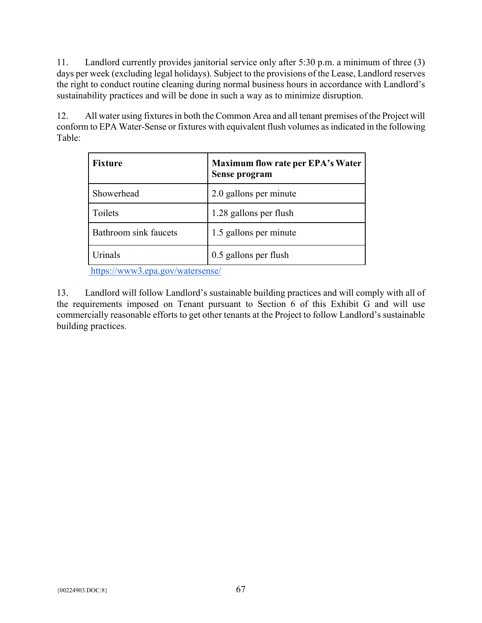11. Landlord currently provides janitorial service only after 5:30 p.m. a minimum of three (3) days per week (excluding legal holidays). Subject to the provisions of the Lease, Landlord reserves the right to conduct routine cleaning during normal business hours in accordance with Landlord's sustainability practices and will be done in such a way as to minimize disruption.

12. All water using fixtures in both the Common Area and all tenant premises of the Project will conform to EPA Water-Sense or fixtures with equivalent flush volumes as indicated in the following Table:

| <b>Fixture</b>        | <b>Maximum flow rate per EPA's Water</b><br>Sense program |
|-----------------------|-----------------------------------------------------------|
| Showerhead            | 2.0 gallons per minute                                    |
| Toilets               | 1.28 gallons per flush                                    |
| Bathroom sink faucets | 1.5 gallons per minute                                    |
| <b>Urinals</b>        | 0.5 gallons per flush                                     |

https://www3.epa.gov/watersense/

13. Landlord will follow Landlord's sustainable building practices and will comply with all of the requirements imposed on Tenant pursuant to Section 6 of this Exhibit G and will use commercially reasonable efforts to get other tenants at the Project to follow Landlord's sustainable building practices.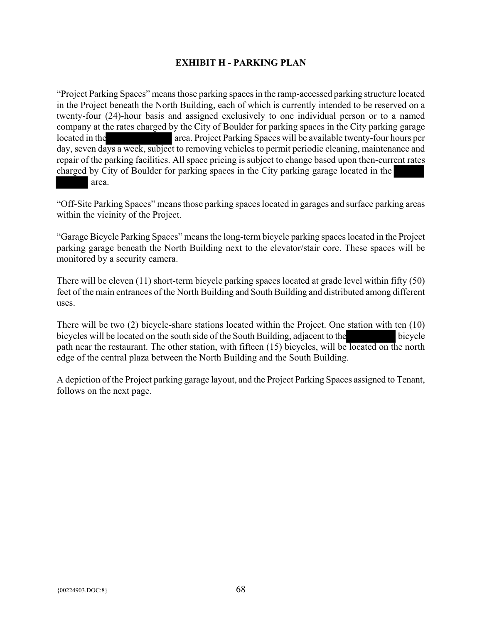#### **EXHIBIT H - PARKING PLAN**

"Project Parking Spaces" means those parking spaces in the ramp-accessed parking structure located in the Project beneath the North Building, each of which is currently intended to be reserved on a twenty-four (24)-hour basis and assigned exclusively to one individual person or to a named company at the rates charged by the City of Boulder for parking spaces in the City parking garage located in the area. Project Parking Spaces will be available twenty-four hours per day, seven days a week, subject to removing vehicles to permit periodic cleaning, maintenance and repair of the parking facilities. All space pricing is subject to change based upon then-current rates charged by City of Boulder for parking spaces in the City parking garage located in the area.

"Off-Site Parking Spaces" means those parking spaces located in garages and surface parking areas within the vicinity of the Project.

"Garage Bicycle Parking Spaces" means the long-term bicycle parking spaces located in the Project parking garage beneath the North Building next to the elevator/stair core. These spaces will be monitored by a security camera.

There will be eleven (11) short-term bicycle parking spaces located at grade level within fifty (50) feet of the main entrances of the North Building and South Building and distributed among different uses.

There will be two (2) bicycle-share stations located within the Project. One station with ten (10) bicycles will be located on the south side of the South Building, adjacent to the bicycle path near the restaurant. The other station, with fifteen (15) bicycles, will be located on the north edge of the central plaza between the North Building and the South Building.

A depiction of the Project parking garage layout, and the Project Parking Spaces assigned to Tenant, follows on the next page.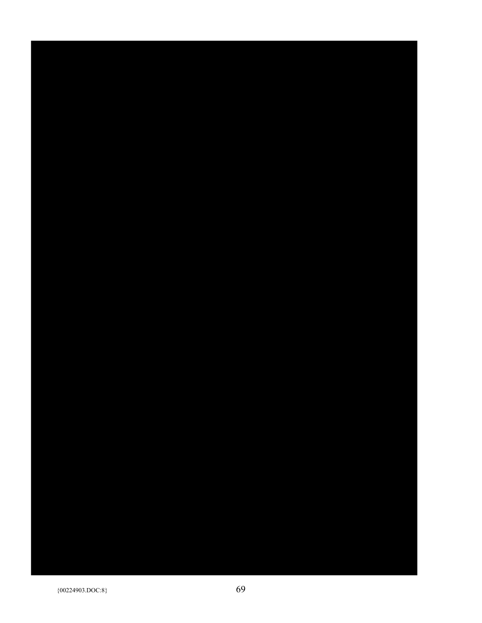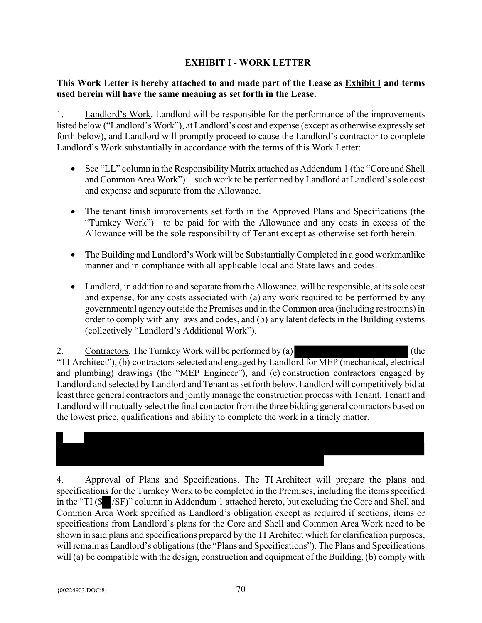### **EXHIBIT I - WORK LETTER**

### **This Work Letter is hereby attached to and made part of the Lease as Exhibit I and terms used herein will have the same meaning as set forth in the Lease.**

1. Landlord's Work. Landlord will be responsible for the performance of the improvements listed below ("Landlord's Work"), at Landlord's cost and expense (except as otherwise expressly set forth below), and Landlord will promptly proceed to cause the Landlord's contractor to complete Landlord's Work substantially in accordance with the terms of this Work Letter:

- See "LL" column in the Responsibility Matrix attached as Addendum 1 (the "Core and Shell and Common Area Work")—such work to be performed by Landlord at Landlord's sole cost and expense and separate from the Allowance.
- The tenant finish improvements set forth in the Approved Plans and Specifications (the "Turnkey Work")—to be paid for with the Allowance and any costs in excess of the Allowance will be the sole responsibility of Tenant except as otherwise set forth herein.
- The Building and Landlord's Work will be Substantially Completed in a good workmanlike manner and in compliance with all applicable local and State laws and codes.
- Landlord, in addition to and separate from the Allowance, will be responsible, at its sole cost and expense, for any costs associated with (a) any work required to be performed by any governmental agency outside the Premises and in the Common area (including restrooms) in order to comply with any laws and codes, and (b) any latent defects in the Building systems (collectively "Landlord's Additional Work").

2. Contractors. The Turnkey Work will be performed by  $(a)$  (the "TI Architect"), (b) contractors selected and engaged by Landlord for MEP (mechanical, electrical and plumbing) drawings (the "MEP Engineer"), and (c) construction contractors engaged by Landlord and selected by Landlord and Tenant as set forth below. Landlord will competitively bid at least three general contractors and jointly manage the construction process with Tenant. Tenant and Landlord will mutually select the final contactor from the three bidding general contractors based on the lowest price, qualifications and ability to complete the work in a timely matter.

4. Approval of Plans and Specifications. The TI Architect will prepare the plans and specifications for the Turnkey Work to be completed in the Premises, including the items specified in the "TI (\$ /SF)" column in Addendum 1 attached hereto, but excluding the Core and Shell and Common Area Work specified as Landlord's obligation except as required if sections, items or specifications from Landlord's plans for the Core and Shell and Common Area Work need to be shown in said plans and specifications prepared by the TI Architect which for clarification purposes, will remain as Landlord's obligations (the "Plans and Specifications"). The Plans and Specifications will (a) be compatible with the design, construction and equipment of the Building, (b) comply with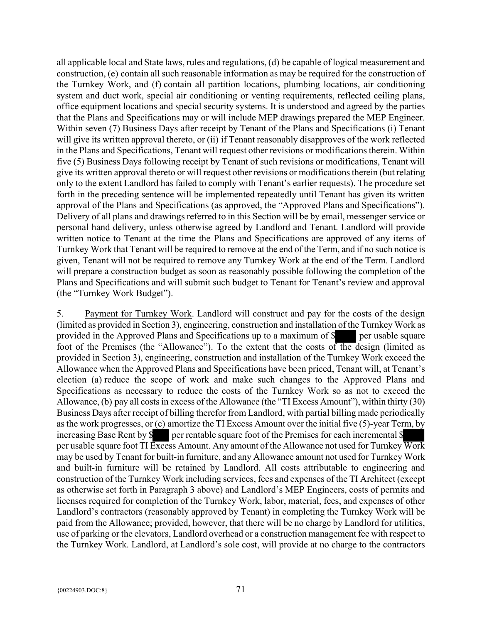all applicable local and State laws, rules and regulations, (d) be capable of logical measurement and construction, (e) contain all such reasonable information as may be required for the construction of the Turnkey Work, and (f) contain all partition locations, plumbing locations, air conditioning system and duct work, special air conditioning or venting requirements, reflected ceiling plans, office equipment locations and special security systems. It is understood and agreed by the parties that the Plans and Specifications may or will include MEP drawings prepared the MEP Engineer. Within seven (7) Business Days after receipt by Tenant of the Plans and Specifications (i) Tenant will give its written approval thereto, or (ii) if Tenant reasonably disapproves of the work reflected in the Plans and Specifications, Tenant will request other revisions or modifications therein. Within five (5) Business Days following receipt by Tenant of such revisions or modifications, Tenant will give its written approval thereto or will request other revisions or modifications therein (but relating only to the extent Landlord has failed to comply with Tenant's earlier requests). The procedure set forth in the preceding sentence will be implemented repeatedly until Tenant has given its written approval of the Plans and Specifications (as approved, the "Approved Plans and Specifications"). Delivery of all plans and drawings referred to in this Section will be by email, messenger service or personal hand delivery, unless otherwise agreed by Landlord and Tenant. Landlord will provide written notice to Tenant at the time the Plans and Specifications are approved of any items of Turnkey Work that Tenant will be required to remove at the end of the Term, and if no such notice is given, Tenant will not be required to remove any Turnkey Work at the end of the Term. Landlord will prepare a construction budget as soon as reasonably possible following the completion of the Plans and Specifications and will submit such budget to Tenant for Tenant's review and approval (the "Turnkey Work Budget").

5. Payment for Turnkey Work. Landlord will construct and pay for the costs of the design (limited as provided in Section 3), engineering, construction and installation of the Turnkey Work as provided in the Approved Plans and Specifications up to a maximum of  $\frac{1}{2}$  per usable square foot of the Premises (the "Allowance"). To the extent that the costs of the design (limited as provided in Section 3), engineering, construction and installation of the Turnkey Work exceed the Allowance when the Approved Plans and Specifications have been priced, Tenant will, at Tenant's election (a) reduce the scope of work and make such changes to the Approved Plans and Specifications as necessary to reduce the costs of the Turnkey Work so as not to exceed the Allowance, (b) pay all costs in excess of the Allowance (the "TI Excess Amount"), within thirty (30) Business Days after receipt of billing therefor from Landlord, with partial billing made periodically as the work progresses, or (c) amortize the TI Excess Amount over the initial five (5)-year Term, by increasing Base Rent by  $\$\$  per rentable square foot of the Premises for each incremental  $\$$ per usable square foot TI Excess Amount. Any amount of the Allowance not used for Turnkey Work may be used by Tenant for built-in furniture, and any Allowance amount not used for Turnkey Work and built-in furniture will be retained by Landlord. All costs attributable to engineering and construction of the Turnkey Work including services, fees and expenses of the TI Architect (except as otherwise set forth in Paragraph 3 above) and Landlord's MEP Engineers, costs of permits and licenses required for completion of the Turnkey Work, labor, material, fees, and expenses of other Landlord's contractors (reasonably approved by Tenant) in completing the Turnkey Work will be paid from the Allowance; provided, however, that there will be no charge by Landlord for utilities, use of parking or the elevators, Landlord overhead or a construction management fee with respect to the Turnkey Work. Landlord, at Landlord's sole cost, will provide at no charge to the contractors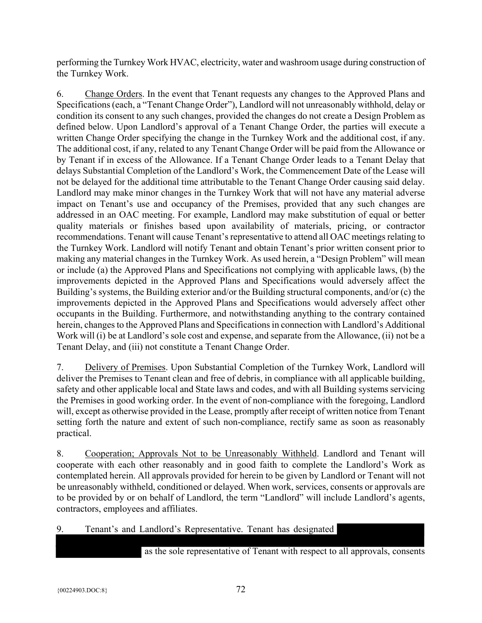performing the Turnkey Work HVAC, electricity, water and washroom usage during construction of the Turnkey Work.

6. Change Orders. In the event that Tenant requests any changes to the Approved Plans and Specifications (each, a "Tenant Change Order"), Landlord will not unreasonably withhold, delay or condition its consent to any such changes, provided the changes do not create a Design Problem as defined below. Upon Landlord's approval of a Tenant Change Order, the parties will execute a written Change Order specifying the change in the Turnkey Work and the additional cost, if any. The additional cost, if any, related to any Tenant Change Order will be paid from the Allowance or by Tenant if in excess of the Allowance. If a Tenant Change Order leads to a Tenant Delay that delays Substantial Completion of the Landlord's Work, the Commencement Date of the Lease will not be delayed for the additional time attributable to the Tenant Change Order causing said delay. Landlord may make minor changes in the Turnkey Work that will not have any material adverse impact on Tenant's use and occupancy of the Premises, provided that any such changes are addressed in an OAC meeting. For example, Landlord may make substitution of equal or better quality materials or finishes based upon availability of materials, pricing, or contractor recommendations. Tenant will cause Tenant's representative to attend all OAC meetings relating to the Turnkey Work. Landlord will notify Tenant and obtain Tenant's prior written consent prior to making any material changes in the Turnkey Work. As used herein, a "Design Problem" will mean or include (a) the Approved Plans and Specifications not complying with applicable laws, (b) the improvements depicted in the Approved Plans and Specifications would adversely affect the Building's systems, the Building exterior and/or the Building structural components, and/or (c) the improvements depicted in the Approved Plans and Specifications would adversely affect other occupants in the Building. Furthermore, and notwithstanding anything to the contrary contained herein, changes to the Approved Plans and Specifications in connection with Landlord's Additional Work will (i) be at Landlord's sole cost and expense, and separate from the Allowance, (ii) not be a Tenant Delay, and (iii) not constitute a Tenant Change Order.

7. Delivery of Premises. Upon Substantial Completion of the Turnkey Work, Landlord will deliver the Premises to Tenant clean and free of debris, in compliance with all applicable building, safety and other applicable local and State laws and codes, and with all Building systems servicing the Premises in good working order. In the event of non-compliance with the foregoing, Landlord will, except as otherwise provided in the Lease, promptly after receipt of written notice from Tenant setting forth the nature and extent of such non-compliance, rectify same as soon as reasonably practical.

8. Cooperation; Approvals Not to be Unreasonably Withheld. Landlord and Tenant will cooperate with each other reasonably and in good faith to complete the Landlord's Work as contemplated herein. All approvals provided for herein to be given by Landlord or Tenant will not be unreasonably withheld, conditioned or delayed. When work, services, consents or approvals are to be provided by or on behalf of Landlord, the term "Landlord" will include Landlord's agents, contractors, employees and affiliates.

9. Tenant's and Landlord's Representative. Tenant has designated

as the sole representative of Tenant with respect to all approvals, consents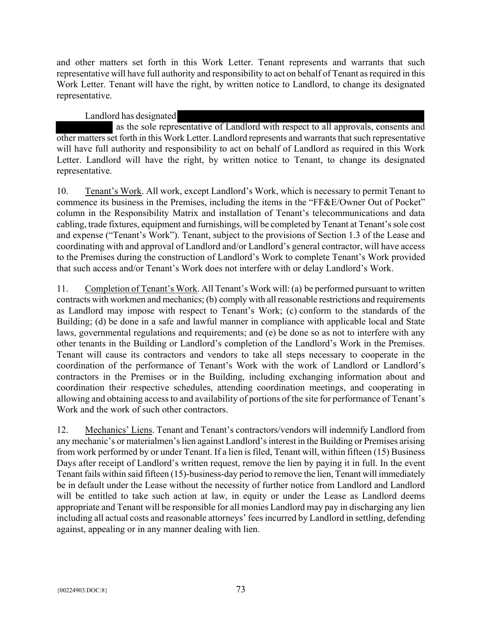and other matters set forth in this Work Letter. Tenant represents and warrants that such representative will have full authority and responsibility to act on behalf of Tenant as required in this Work Letter. Tenant will have the right, by written notice to Landlord, to change its designated representative.

## Landlord has designated

 as the sole representative of Landlord with respect to all approvals, consents and other matters set forth in this Work Letter. Landlord represents and warrants that such representative will have full authority and responsibility to act on behalf of Landlord as required in this Work Letter. Landlord will have the right, by written notice to Tenant, to change its designated representative.

10. Tenant's Work. All work, except Landlord's Work, which is necessary to permit Tenant to commence its business in the Premises, including the items in the "FF&E/Owner Out of Pocket" column in the Responsibility Matrix and installation of Tenant's telecommunications and data cabling, trade fixtures, equipment and furnishings, will be completed by Tenant at Tenant's sole cost and expense ("Tenant's Work"). Tenant, subject to the provisions of Section 1.3 of the Lease and coordinating with and approval of Landlord and/or Landlord's general contractor, will have access to the Premises during the construction of Landlord's Work to complete Tenant's Work provided that such access and/or Tenant's Work does not interfere with or delay Landlord's Work.

11. Completion of Tenant's Work. All Tenant's Work will: (a) be performed pursuant to written contracts with workmen and mechanics; (b) comply with all reasonable restrictions and requirements as Landlord may impose with respect to Tenant's Work; (c) conform to the standards of the Building; (d) be done in a safe and lawful manner in compliance with applicable local and State laws, governmental regulations and requirements; and (e) be done so as not to interfere with any other tenants in the Building or Landlord's completion of the Landlord's Work in the Premises. Tenant will cause its contractors and vendors to take all steps necessary to cooperate in the coordination of the performance of Tenant's Work with the work of Landlord or Landlord's contractors in the Premises or in the Building, including exchanging information about and coordination their respective schedules, attending coordination meetings, and cooperating in allowing and obtaining access to and availability of portions of the site for performance of Tenant's Work and the work of such other contractors.

12. Mechanics' Liens. Tenant and Tenant's contractors/vendors will indemnify Landlord from any mechanic's or materialmen's lien against Landlord's interest in the Building or Premises arising from work performed by or under Tenant. If a lien is filed, Tenant will, within fifteen (15) Business Days after receipt of Landlord's written request, remove the lien by paying it in full. In the event Tenant fails within said fifteen (15)-business-day period to remove the lien, Tenant will immediately be in default under the Lease without the necessity of further notice from Landlord and Landlord will be entitled to take such action at law, in equity or under the Lease as Landlord deems appropriate and Tenant will be responsible for all monies Landlord may pay in discharging any lien including all actual costs and reasonable attorneys' fees incurred by Landlord in settling, defending against, appealing or in any manner dealing with lien.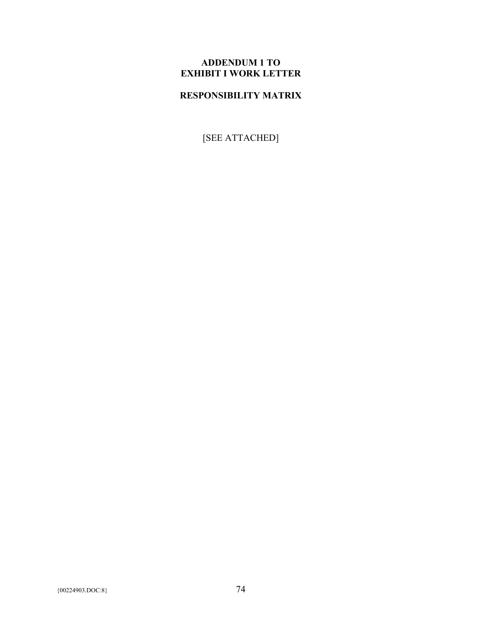# **ADDENDUM 1 TO EXHIBIT I WORK LETTER**

# **RESPONSIBILITY MATRIX**

[SEE ATTACHED]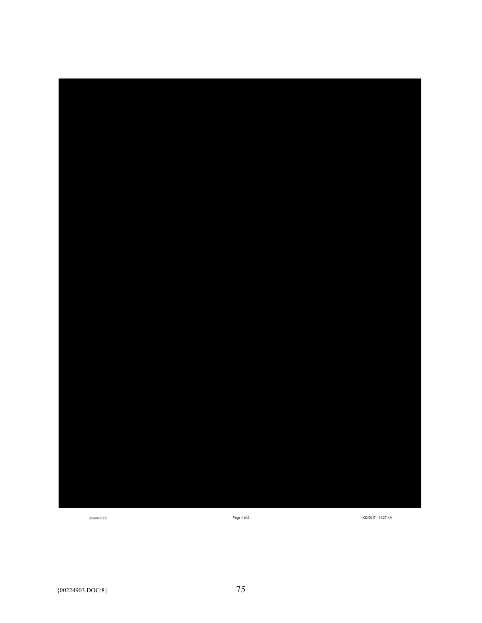

Page 1 of 2

1/30/2017 11:27 AM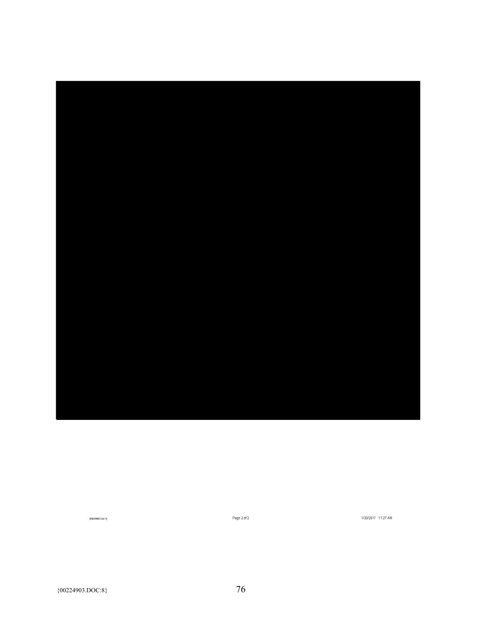

 $0000000000001$ 

Page 2 of 2

1/30/2017 11:27 AM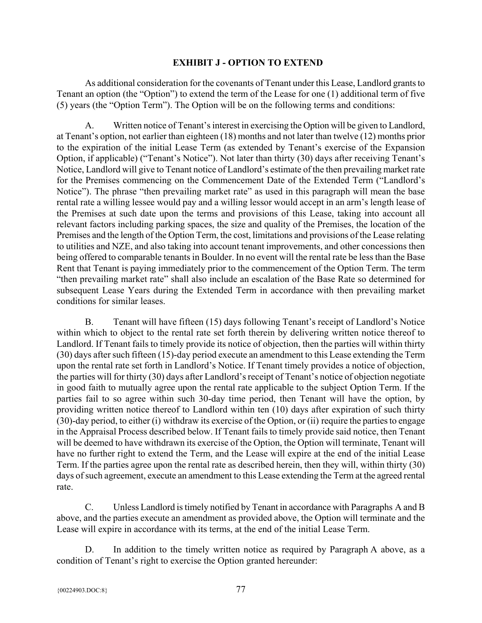#### **EXHIBIT J - OPTION TO EXTEND**

As additional consideration for the covenants of Tenant under this Lease, Landlord grants to Tenant an option (the "Option") to extend the term of the Lease for one (1) additional term of five (5) years (the "Option Term"). The Option will be on the following terms and conditions:

A. Written notice of Tenant's interest in exercising the Option will be given to Landlord, at Tenant's option, not earlier than eighteen (18) months and not later than twelve (12) months prior to the expiration of the initial Lease Term (as extended by Tenant's exercise of the Expansion Option, if applicable) ("Tenant's Notice"). Not later than thirty (30) days after receiving Tenant's Notice, Landlord will give to Tenant notice of Landlord's estimate of the then prevailing market rate for the Premises commencing on the Commencement Date of the Extended Term ("Landlord's Notice"). The phrase "then prevailing market rate" as used in this paragraph will mean the base rental rate a willing lessee would pay and a willing lessor would accept in an arm's length lease of the Premises at such date upon the terms and provisions of this Lease, taking into account all relevant factors including parking spaces, the size and quality of the Premises, the location of the Premises and the length of the Option Term, the cost, limitations and provisions of the Lease relating to utilities and NZE, and also taking into account tenant improvements, and other concessions then being offered to comparable tenants in Boulder. In no event will the rental rate be less than the Base Rent that Tenant is paying immediately prior to the commencement of the Option Term. The term "then prevailing market rate" shall also include an escalation of the Base Rate so determined for subsequent Lease Years during the Extended Term in accordance with then prevailing market conditions for similar leases.

B. Tenant will have fifteen (15) days following Tenant's receipt of Landlord's Notice within which to object to the rental rate set forth therein by delivering written notice thereof to Landlord. If Tenant fails to timely provide its notice of objection, then the parties will within thirty (30) days after such fifteen (15)-day period execute an amendment to this Lease extending the Term upon the rental rate set forth in Landlord's Notice. If Tenant timely provides a notice of objection, the parties will for thirty (30) days after Landlord's receipt of Tenant's notice of objection negotiate in good faith to mutually agree upon the rental rate applicable to the subject Option Term. If the parties fail to so agree within such 30-day time period, then Tenant will have the option, by providing written notice thereof to Landlord within ten (10) days after expiration of such thirty (30)-day period, to either (i) withdraw its exercise of the Option, or (ii) require the parties to engage in the Appraisal Process described below. If Tenant fails to timely provide said notice, then Tenant will be deemed to have withdrawn its exercise of the Option, the Option will terminate, Tenant will have no further right to extend the Term, and the Lease will expire at the end of the initial Lease Term. If the parties agree upon the rental rate as described herein, then they will, within thirty (30) days of such agreement, execute an amendment to this Lease extending the Term at the agreed rental rate.

C. Unless Landlord is timely notified by Tenant in accordance with Paragraphs A and B above, and the parties execute an amendment as provided above, the Option will terminate and the Lease will expire in accordance with its terms, at the end of the initial Lease Term.

D. In addition to the timely written notice as required by Paragraph A above, as a condition of Tenant's right to exercise the Option granted hereunder: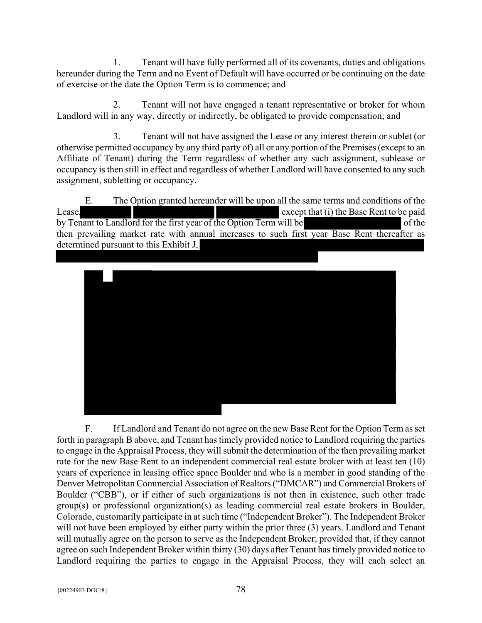1. Tenant will have fully performed all of its covenants, duties and obligations hereunder during the Term and no Event of Default will have occurred or be continuing on the date of exercise or the date the Option Term is to commence; and

2. Tenant will not have engaged a tenant representative or broker for whom Landlord will in any way, directly or indirectly, be obligated to provide compensation; and

3. Tenant will not have assigned the Lease or any interest therein or sublet (or otherwise permitted occupancy by any third party of) all or any portion of the Premises (except to an Affiliate of Tenant) during the Term regardless of whether any such assignment, sublease or occupancy is then still in effect and regardless of whether Landlord will have consented to any such assignment, subletting or occupancy.

E. The Option granted hereunder will be upon all the same terms and conditions of the Lease, except that (i) the Base Rent to be paid by Tenant to Landlord for the first year of the Option Term will be of the of the then prevailing market rate with annual increases to such first year Base Rent thereafter as determined pursuant to this Exhibit J,



F. If Landlord and Tenant do not agree on the new Base Rent for the Option Term as set forth in paragraph B above, and Tenant has timely provided notice to Landlord requiring the parties to engage in the Appraisal Process, they will submit the determination of the then prevailing market rate for the new Base Rent to an independent commercial real estate broker with at least ten (10) years of experience in leasing office space Boulder and who is a member in good standing of the Denver Metropolitan Commercial Association of Realtors ("DMCAR") and Commercial Brokers of Boulder ("CBB"), or if either of such organizations is not then in existence, such other trade group(s) or professional organization(s) as leading commercial real estate brokers in Boulder, Colorado, customarily participate in at such time ("Independent Broker"). The Independent Broker will not have been employed by either party within the prior three (3) years. Landlord and Tenant will mutually agree on the person to serve as the Independent Broker; provided that, if they cannot agree on such Independent Broker within thirty (30) days after Tenant has timely provided notice to Landlord requiring the parties to engage in the Appraisal Process, they will each select an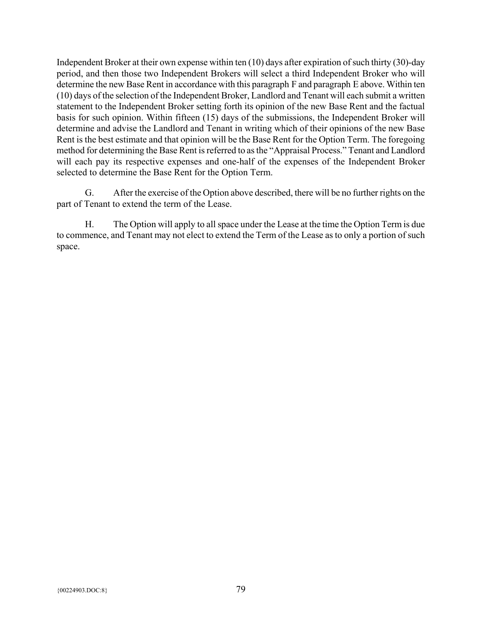Independent Broker at their own expense within ten (10) days after expiration of such thirty (30)-day period, and then those two Independent Brokers will select a third Independent Broker who will determine the new Base Rent in accordance with this paragraph F and paragraph E above. Within ten (10) days of the selection of the Independent Broker, Landlord and Tenant will each submit a written statement to the Independent Broker setting forth its opinion of the new Base Rent and the factual basis for such opinion. Within fifteen (15) days of the submissions, the Independent Broker will determine and advise the Landlord and Tenant in writing which of their opinions of the new Base Rent is the best estimate and that opinion will be the Base Rent for the Option Term. The foregoing method for determining the Base Rent is referred to as the "Appraisal Process." Tenant and Landlord will each pay its respective expenses and one-half of the expenses of the Independent Broker selected to determine the Base Rent for the Option Term.

G. After the exercise of the Option above described, there will be no further rights on the part of Tenant to extend the term of the Lease.

H. The Option will apply to all space under the Lease at the time the Option Term is due to commence, and Tenant may not elect to extend the Term of the Lease as to only a portion of such space.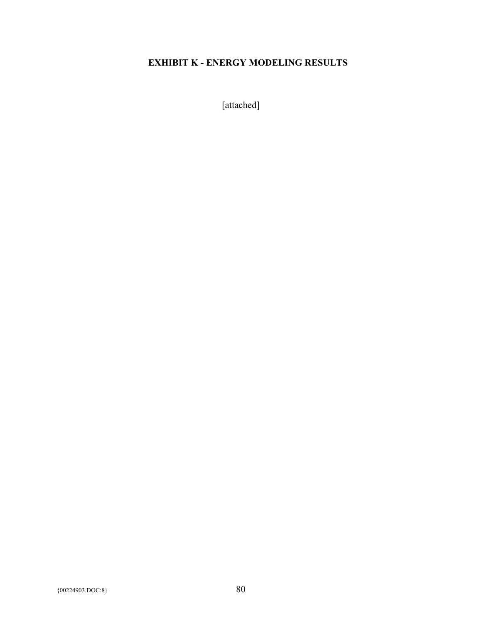# **EXHIBIT K - ENERGY MODELING RESULTS**

[attached]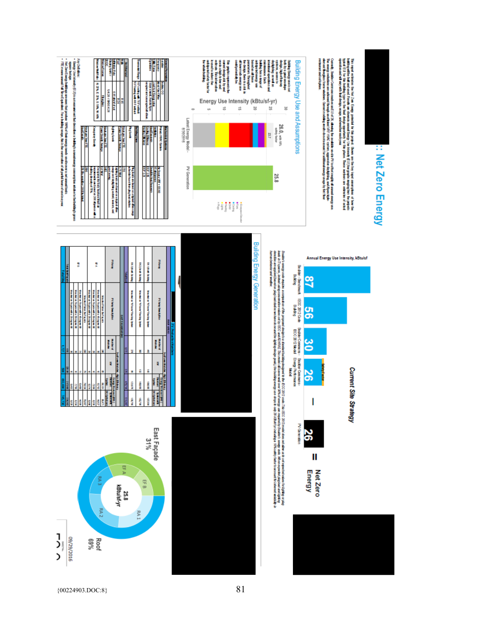

{00224903.DOC:8}